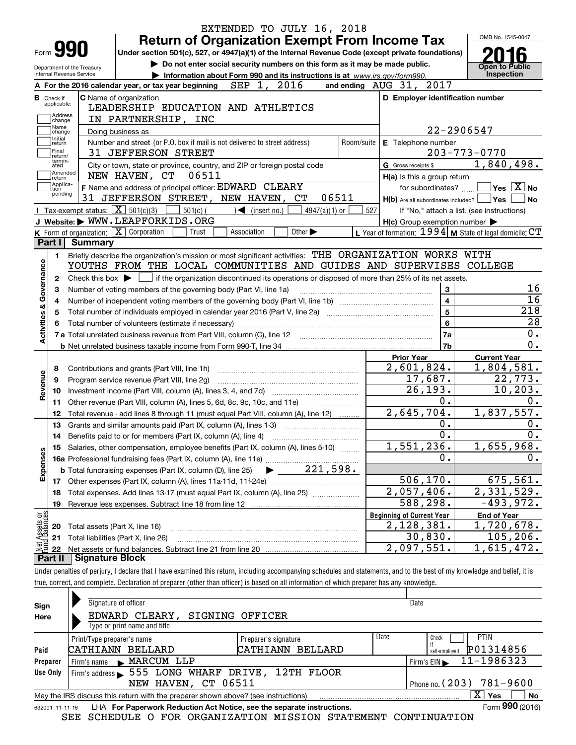|                                  |                        | EXTENDED TO JULY 16, 2018                                                                                                                                                  |                                                             |                  |                                             |
|----------------------------------|------------------------|----------------------------------------------------------------------------------------------------------------------------------------------------------------------------|-------------------------------------------------------------|------------------|---------------------------------------------|
|                                  |                        | <b>Return of Organization Exempt From Income Tax</b>                                                                                                                       |                                                             |                  | OMB No. 1545-0047                           |
| Form <b>990</b>                  |                        | Under section 501(c), 527, or 4947(a)(1) of the Internal Revenue Code (except private foundations)                                                                         |                                                             |                  |                                             |
| Department of the Treasury       |                        | Do not enter social security numbers on this form as it may be made public.                                                                                                |                                                             |                  | <b>Open to Public</b>                       |
| Internal Revenue Service         |                        | Information about Form 990 and its instructions is at www.irs.gov/form990.                                                                                                 |                                                             |                  | Inspection                                  |
|                                  |                        | A For the 2016 calendar year, or tax year beginning $\,$ SEP $\,$ 1 $\,$ , $\,$ 2016 $\,$                                                                                  | and ending AUG 31, 2017                                     |                  |                                             |
| <b>B</b> Check if<br>applicable: |                        | C Name of organization                                                                                                                                                     | D Employer identification number                            |                  |                                             |
| Address                          |                        | LEADERSHIP EDUCATION AND ATHLETICS                                                                                                                                         |                                                             |                  |                                             |
| change<br>Name                   |                        | IN PARTNERSHIP, INC                                                                                                                                                        |                                                             |                  | 22-2906547                                  |
| change<br>Initial                |                        | Doing business as                                                                                                                                                          |                                                             |                  |                                             |
| return<br>Final                  |                        | Number and street (or P.O. box if mail is not delivered to street address)<br>Room/suite<br>31 JEFFERSON STREET                                                            | E Telephone number                                          |                  | $203 - 773 - 0770$                          |
| return/<br>termin-<br>ated       |                        | City or town, state or province, country, and ZIP or foreign postal code                                                                                                   | G Gross receipts \$                                         |                  | 1,840,498.                                  |
| Amended                          |                        | NEW HAVEN, CT<br>06511                                                                                                                                                     | H(a) Is this a group return                                 |                  |                                             |
| return<br>Applica-               |                        | F Name and address of principal officer: EDWARD CLEARY                                                                                                                     |                                                             |                  | for subordinates? $\Box$ Yes $\boxed{X}$ No |
| tion<br>pending                  |                        | 31 JEFFERSON STREET, NEW HAVEN, CT<br>06511                                                                                                                                | H(b) Are all subordinates included?   Yes                   |                  | ∣No                                         |
|                                  |                        | <b>I</b> Tax-exempt status: $\boxed{\mathbf{X}}$ 501(c)(3) $\boxed{\mathbf{X}}$<br>501(c) (<br>$\bigcup$ (insert no.)<br>$4947(a)(1)$ or                                   | 527                                                         |                  | If "No," attach a list. (see instructions)  |
|                                  |                        | J Website: WWW.LEAPFORKIDS.ORG                                                                                                                                             | $H(c)$ Group exemption number $\blacktriangleright$         |                  |                                             |
|                                  |                        | K Form of organization: $\boxed{\mathbf{X}}$ Corporation<br>Trust<br>Association<br>Other $\blacktriangleright$                                                            | L Year of formation: $1994$ M State of legal domicile: $CT$ |                  |                                             |
| Part I                           | Summary                |                                                                                                                                                                            |                                                             |                  |                                             |
| 1.                               |                        | Briefly describe the organization's mission or most significant activities: THE ORGANIZATION WORKS WITH                                                                    |                                                             |                  |                                             |
|                                  |                        | YOUTHS FROM THE LOCAL COMMUNITIES AND GUIDES AND SUPERVISES COLLEGE                                                                                                        |                                                             |                  |                                             |
| 2                                |                        | Check this box $\blacktriangleright$ $\blacksquare$ if the organization discontinued its operations or disposed of more than 25% of its net assets.                        |                                                             |                  |                                             |
|                                  |                        | Number of voting members of the governing body (Part VI, line 1a)                                                                                                          |                                                             | $\mathbf{3}$     | 16                                          |
|                                  |                        |                                                                                                                                                                            |                                                             | $\overline{4}$   | $\overline{16}$                             |
|                                  |                        | Total number of individuals employed in calendar year 2016 (Part V, line 2a) manufacture of individuals employed in calendar year 2016 (Part V, line 2a)                   |                                                             | $\overline{5}$   | 218                                         |
| Activities & Governance          |                        |                                                                                                                                                                            |                                                             | $6\phantom{a}$   | $\overline{28}$                             |
|                                  |                        |                                                                                                                                                                            |                                                             | 7a               | 0.                                          |
|                                  |                        |                                                                                                                                                                            |                                                             | 7b               | $\overline{0}$ .                            |
|                                  |                        |                                                                                                                                                                            | <b>Prior Year</b>                                           |                  | <b>Current Year</b>                         |
| 8                                |                        | Contributions and grants (Part VIII, line 1h)                                                                                                                              | 2,601,824.                                                  |                  | 1,804,581.                                  |
| 9                                |                        | Program service revenue (Part VIII, line 2g)                                                                                                                               | 17,687.                                                     |                  | 22,773.                                     |
| Revenue<br>10                    |                        |                                                                                                                                                                            | 26, 193.                                                    |                  | 10, 203.                                    |
| 11                               |                        | Other revenue (Part VIII, column (A), lines 5, 6d, 8c, 9c, 10c, and 11e)                                                                                                   |                                                             | $\overline{0}$ . | 0.                                          |
| 12                               |                        | Total revenue - add lines 8 through 11 (must equal Part VIII, column (A), line 12)                                                                                         | 2,645,704.                                                  |                  | 1,837,557.                                  |
| 13                               |                        | Grants and similar amounts paid (Part IX, column (A), lines 1-3)                                                                                                           |                                                             | 0.               | 0.                                          |
| 14                               |                        | Benefits paid to or for members (Part IX, column (A), line 4)                                                                                                              |                                                             | $\overline{0}$ . | $\overline{0}$ .                            |
|                                  |                        | 15 Salaries, other compensation, employee benefits (Part IX, column (A), lines 5-10)                                                                                       | 1,551,236.                                                  |                  | 1,655,968.                                  |
|                                  |                        |                                                                                                                                                                            |                                                             | 0.               | 0.                                          |
| Expenses                         |                        |                                                                                                                                                                            |                                                             |                  |                                             |
|                                  |                        |                                                                                                                                                                            | 506, 170.                                                   |                  | 675, 561.                                   |
| 18                               |                        | Total expenses. Add lines 13-17 (must equal Part IX, column (A), line 25)                                                                                                  | 2,057,406.                                                  |                  | 2,331,529.                                  |
| 19                               |                        | Revenue less expenses. Subtract line 18 from line 12                                                                                                                       | 588,298.                                                    |                  | $-493,972.$                                 |
| : Assets or<br>d Balances        |                        |                                                                                                                                                                            | <b>Beginning of Current Year</b>                            |                  | <b>End of Year</b>                          |
| 20                               |                        | Total assets (Part X, line 16)                                                                                                                                             | 2,128,381.                                                  |                  | 1,720,678.                                  |
| 21                               |                        | Total liabilities (Part X, line 26)                                                                                                                                        | 30,830.                                                     |                  | 105, 206.                                   |
| 22                               |                        |                                                                                                                                                                            | 2,097,551.                                                  |                  | $\overline{1}$ , 615, 472.                  |
| Part II                          | <b>Signature Block</b> |                                                                                                                                                                            |                                                             |                  |                                             |
|                                  |                        | Under penalties of perjury, I declare that I have examined this return, including accompanying schedules and statements, and to the best of my knowledge and belief, it is |                                                             |                  |                                             |
|                                  |                        | true, correct, and complete. Declaration of preparer (other than officer) is based on all information of which preparer has any knowledge.                                 |                                                             |                  |                                             |
|                                  |                        |                                                                                                                                                                            |                                                             |                  |                                             |

| Sign            | Signature of officer                                                              |                      |      | Date                       |
|-----------------|-----------------------------------------------------------------------------------|----------------------|------|----------------------------|
| Here            | EDWARD CLEARY,                                                                    | SIGNING OFFICER      |      |                            |
|                 | Type or print name and title                                                      |                      |      |                            |
|                 | Print/Type preparer's name                                                        | Preparer's signature | Date | <b>PTIN</b><br>Check       |
| Paid            | CATHIANN BELLARD                                                                  | CATHIANN BELLARD     |      | P01314856<br>self-emploved |
| Preparer        | Firm's name MARCUM LLP                                                            |                      |      | 11-1986323<br>Firm's $EIN$ |
| Use Only        | Firm's address > 555 LONG WHARF DRIVE, 12TH FLOOR                                 |                      |      |                            |
|                 | NEW HAVEN, CT 06511                                                               |                      |      | Phone no. $(203)$ 781-9600 |
|                 | May the IRS discuss this return with the preparer shown above? (see instructions) |                      |      | x<br>No<br>Yes             |
| 632001 11-11-16 | LHA For Paperwork Reduction Act Notice, see the separate instructions.            |                      |      | Form 990 (2016)            |

632001 11-11-16 LHA **For Paperwork Reduction Act Notice, see the separate instructions.**<br>SEE SCHEDULE O FOR ORGANIZATION MISSION STATEMENT CONTINUATION SEE SCHEDULE O FOR ORGANIZATION MISSION STATEMENT CONTINUATION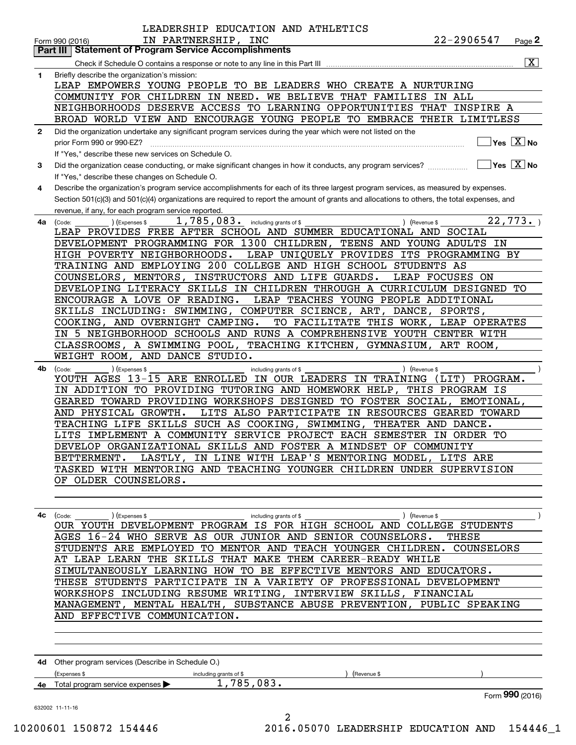| 1<br>2<br>3<br>4<br>4a | $\overline{\mathbf{x}}$<br>Briefly describe the organization's mission:<br>LEAP EMPOWERS YOUNG PEOPLE TO BE LEADERS WHO CREATE A NURTURING<br>COMMUNITY FOR CHILDREN IN NEED.<br>WE BELIEVE THAT FAMILIES<br>IN ALL<br>NEIGHBORHOODS DESERVE ACCESS TO LEARNING OPPORTUNITIES THAT INSPIRE A<br>BROAD WORLD VIEW AND ENCOURAGE YOUNG PEOPLE TO EMBRACE THEIR LIMITLESS<br>Did the organization undertake any significant program services during the year which were not listed on the<br>prior Form 990 or 990-EZ?<br>If "Yes," describe these new services on Schedule O.<br>Did the organization cease conducting, or make significant changes in how it conducts, any program services?<br>If "Yes," describe these changes on Schedule O.<br>Describe the organization's program service accomplishments for each of its three largest program services, as measured by expenses.<br>Section 501(c)(3) and 501(c)(4) organizations are required to report the amount of grants and allocations to others, the total expenses, and<br>revenue, if any, for each program service reported.<br>1,785,083. including grants of \$<br>22,773.<br>) (Revenue \$<br>(Expenses \$<br>(Code:<br>LEAP PROVIDES FREE AFTER SCHOOL AND SUMMER EDUCATIONAL AND SOCIAL<br>DEVELOPMENT PROGRAMMING FOR 1300 CHILDREN, TEENS AND YOUNG ADULTS IN<br>HIGH POVERTY NEIGHBORHOODS.<br>LEAP UNIQUELY PROVIDES ITS PROGRAMMING BY<br>TRAINING AND EMPLOYING 200 COLLEGE AND HIGH SCHOOL STUDENTS AS<br>COUNSELORS, MENTORS, INSTRUCTORS AND LIFE GUARDS.<br>LEAP FOCUSES ON |  |  |  |  |  |  |  |
|------------------------|-------------------------------------------------------------------------------------------------------------------------------------------------------------------------------------------------------------------------------------------------------------------------------------------------------------------------------------------------------------------------------------------------------------------------------------------------------------------------------------------------------------------------------------------------------------------------------------------------------------------------------------------------------------------------------------------------------------------------------------------------------------------------------------------------------------------------------------------------------------------------------------------------------------------------------------------------------------------------------------------------------------------------------------------------------------------------------------------------------------------------------------------------------------------------------------------------------------------------------------------------------------------------------------------------------------------------------------------------------------------------------------------------------------------------------------------------------------------------------------------------------------------------------------------------------------|--|--|--|--|--|--|--|
|                        |                                                                                                                                                                                                                                                                                                                                                                                                                                                                                                                                                                                                                                                                                                                                                                                                                                                                                                                                                                                                                                                                                                                                                                                                                                                                                                                                                                                                                                                                                                                                                             |  |  |  |  |  |  |  |
|                        |                                                                                                                                                                                                                                                                                                                                                                                                                                                                                                                                                                                                                                                                                                                                                                                                                                                                                                                                                                                                                                                                                                                                                                                                                                                                                                                                                                                                                                                                                                                                                             |  |  |  |  |  |  |  |
|                        | $\sqrt{}$ Yes $\sqrt{X}$ No<br>$\sqrt{}$ Yes $\sqrt{}$ X $\sqrt{}$ No                                                                                                                                                                                                                                                                                                                                                                                                                                                                                                                                                                                                                                                                                                                                                                                                                                                                                                                                                                                                                                                                                                                                                                                                                                                                                                                                                                                                                                                                                       |  |  |  |  |  |  |  |
|                        |                                                                                                                                                                                                                                                                                                                                                                                                                                                                                                                                                                                                                                                                                                                                                                                                                                                                                                                                                                                                                                                                                                                                                                                                                                                                                                                                                                                                                                                                                                                                                             |  |  |  |  |  |  |  |
|                        |                                                                                                                                                                                                                                                                                                                                                                                                                                                                                                                                                                                                                                                                                                                                                                                                                                                                                                                                                                                                                                                                                                                                                                                                                                                                                                                                                                                                                                                                                                                                                             |  |  |  |  |  |  |  |
|                        |                                                                                                                                                                                                                                                                                                                                                                                                                                                                                                                                                                                                                                                                                                                                                                                                                                                                                                                                                                                                                                                                                                                                                                                                                                                                                                                                                                                                                                                                                                                                                             |  |  |  |  |  |  |  |
|                        |                                                                                                                                                                                                                                                                                                                                                                                                                                                                                                                                                                                                                                                                                                                                                                                                                                                                                                                                                                                                                                                                                                                                                                                                                                                                                                                                                                                                                                                                                                                                                             |  |  |  |  |  |  |  |
|                        |                                                                                                                                                                                                                                                                                                                                                                                                                                                                                                                                                                                                                                                                                                                                                                                                                                                                                                                                                                                                                                                                                                                                                                                                                                                                                                                                                                                                                                                                                                                                                             |  |  |  |  |  |  |  |
|                        |                                                                                                                                                                                                                                                                                                                                                                                                                                                                                                                                                                                                                                                                                                                                                                                                                                                                                                                                                                                                                                                                                                                                                                                                                                                                                                                                                                                                                                                                                                                                                             |  |  |  |  |  |  |  |
|                        |                                                                                                                                                                                                                                                                                                                                                                                                                                                                                                                                                                                                                                                                                                                                                                                                                                                                                                                                                                                                                                                                                                                                                                                                                                                                                                                                                                                                                                                                                                                                                             |  |  |  |  |  |  |  |
|                        |                                                                                                                                                                                                                                                                                                                                                                                                                                                                                                                                                                                                                                                                                                                                                                                                                                                                                                                                                                                                                                                                                                                                                                                                                                                                                                                                                                                                                                                                                                                                                             |  |  |  |  |  |  |  |
|                        |                                                                                                                                                                                                                                                                                                                                                                                                                                                                                                                                                                                                                                                                                                                                                                                                                                                                                                                                                                                                                                                                                                                                                                                                                                                                                                                                                                                                                                                                                                                                                             |  |  |  |  |  |  |  |
|                        |                                                                                                                                                                                                                                                                                                                                                                                                                                                                                                                                                                                                                                                                                                                                                                                                                                                                                                                                                                                                                                                                                                                                                                                                                                                                                                                                                                                                                                                                                                                                                             |  |  |  |  |  |  |  |
|                        |                                                                                                                                                                                                                                                                                                                                                                                                                                                                                                                                                                                                                                                                                                                                                                                                                                                                                                                                                                                                                                                                                                                                                                                                                                                                                                                                                                                                                                                                                                                                                             |  |  |  |  |  |  |  |
|                        |                                                                                                                                                                                                                                                                                                                                                                                                                                                                                                                                                                                                                                                                                                                                                                                                                                                                                                                                                                                                                                                                                                                                                                                                                                                                                                                                                                                                                                                                                                                                                             |  |  |  |  |  |  |  |
|                        |                                                                                                                                                                                                                                                                                                                                                                                                                                                                                                                                                                                                                                                                                                                                                                                                                                                                                                                                                                                                                                                                                                                                                                                                                                                                                                                                                                                                                                                                                                                                                             |  |  |  |  |  |  |  |
|                        |                                                                                                                                                                                                                                                                                                                                                                                                                                                                                                                                                                                                                                                                                                                                                                                                                                                                                                                                                                                                                                                                                                                                                                                                                                                                                                                                                                                                                                                                                                                                                             |  |  |  |  |  |  |  |
|                        |                                                                                                                                                                                                                                                                                                                                                                                                                                                                                                                                                                                                                                                                                                                                                                                                                                                                                                                                                                                                                                                                                                                                                                                                                                                                                                                                                                                                                                                                                                                                                             |  |  |  |  |  |  |  |
|                        |                                                                                                                                                                                                                                                                                                                                                                                                                                                                                                                                                                                                                                                                                                                                                                                                                                                                                                                                                                                                                                                                                                                                                                                                                                                                                                                                                                                                                                                                                                                                                             |  |  |  |  |  |  |  |
|                        |                                                                                                                                                                                                                                                                                                                                                                                                                                                                                                                                                                                                                                                                                                                                                                                                                                                                                                                                                                                                                                                                                                                                                                                                                                                                                                                                                                                                                                                                                                                                                             |  |  |  |  |  |  |  |
|                        |                                                                                                                                                                                                                                                                                                                                                                                                                                                                                                                                                                                                                                                                                                                                                                                                                                                                                                                                                                                                                                                                                                                                                                                                                                                                                                                                                                                                                                                                                                                                                             |  |  |  |  |  |  |  |
|                        | DEVELOPING LITERACY SKILLS IN CHILDREN THROUGH A CURRICULUM DESIGNED TO                                                                                                                                                                                                                                                                                                                                                                                                                                                                                                                                                                                                                                                                                                                                                                                                                                                                                                                                                                                                                                                                                                                                                                                                                                                                                                                                                                                                                                                                                     |  |  |  |  |  |  |  |
|                        | ENCOURAGE A LOVE OF READING.<br>LEAP TEACHES YOUNG PEOPLE ADDITIONAL                                                                                                                                                                                                                                                                                                                                                                                                                                                                                                                                                                                                                                                                                                                                                                                                                                                                                                                                                                                                                                                                                                                                                                                                                                                                                                                                                                                                                                                                                        |  |  |  |  |  |  |  |
|                        | SKILLS INCLUDING: SWIMMING, COMPUTER SCIENCE, ART, DANCE,<br>SPORTS,                                                                                                                                                                                                                                                                                                                                                                                                                                                                                                                                                                                                                                                                                                                                                                                                                                                                                                                                                                                                                                                                                                                                                                                                                                                                                                                                                                                                                                                                                        |  |  |  |  |  |  |  |
|                        | COOKING, AND OVERNIGHT CAMPING.<br>TO FACILITATE THIS WORK,<br>LEAP OPERATES                                                                                                                                                                                                                                                                                                                                                                                                                                                                                                                                                                                                                                                                                                                                                                                                                                                                                                                                                                                                                                                                                                                                                                                                                                                                                                                                                                                                                                                                                |  |  |  |  |  |  |  |
|                        | IN 5 NEIGHBORHOOD SCHOOLS AND RUNS A COMPREHENSIVE YOUTH CENTER WITH                                                                                                                                                                                                                                                                                                                                                                                                                                                                                                                                                                                                                                                                                                                                                                                                                                                                                                                                                                                                                                                                                                                                                                                                                                                                                                                                                                                                                                                                                        |  |  |  |  |  |  |  |
|                        | CLASSROOMS, A SWIMMING POOL, TEACHING KITCHEN, GYMNASIUM, ART ROOM,                                                                                                                                                                                                                                                                                                                                                                                                                                                                                                                                                                                                                                                                                                                                                                                                                                                                                                                                                                                                                                                                                                                                                                                                                                                                                                                                                                                                                                                                                         |  |  |  |  |  |  |  |
|                        | WEIGHT ROOM, AND DANCE STUDIO.                                                                                                                                                                                                                                                                                                                                                                                                                                                                                                                                                                                                                                                                                                                                                                                                                                                                                                                                                                                                                                                                                                                                                                                                                                                                                                                                                                                                                                                                                                                              |  |  |  |  |  |  |  |
|                        |                                                                                                                                                                                                                                                                                                                                                                                                                                                                                                                                                                                                                                                                                                                                                                                                                                                                                                                                                                                                                                                                                                                                                                                                                                                                                                                                                                                                                                                                                                                                                             |  |  |  |  |  |  |  |
| 4b                     | ) (Expenses \$<br>) (Revenue \$<br>(Code:<br>including grants of \$<br>YOUTH AGES 13-15 ARE ENROLLED IN OUR LEADERS IN TRAINING<br>PROGRAM.<br>(LIT)                                                                                                                                                                                                                                                                                                                                                                                                                                                                                                                                                                                                                                                                                                                                                                                                                                                                                                                                                                                                                                                                                                                                                                                                                                                                                                                                                                                                        |  |  |  |  |  |  |  |
|                        |                                                                                                                                                                                                                                                                                                                                                                                                                                                                                                                                                                                                                                                                                                                                                                                                                                                                                                                                                                                                                                                                                                                                                                                                                                                                                                                                                                                                                                                                                                                                                             |  |  |  |  |  |  |  |
|                        | IN ADDITION TO PROVIDING TUTORING AND HOMEWORK HELP, THIS PROGRAM IS                                                                                                                                                                                                                                                                                                                                                                                                                                                                                                                                                                                                                                                                                                                                                                                                                                                                                                                                                                                                                                                                                                                                                                                                                                                                                                                                                                                                                                                                                        |  |  |  |  |  |  |  |
|                        | GEARED TOWARD PROVIDING WORKSHOPS DESIGNED TO FOSTER SOCIAL, EMOTIONAL,                                                                                                                                                                                                                                                                                                                                                                                                                                                                                                                                                                                                                                                                                                                                                                                                                                                                                                                                                                                                                                                                                                                                                                                                                                                                                                                                                                                                                                                                                     |  |  |  |  |  |  |  |
|                        | AND PHYSICAL GROWTH.<br>LITS ALSO PARTICIPATE IN RESOURCES GEARED TOWARD                                                                                                                                                                                                                                                                                                                                                                                                                                                                                                                                                                                                                                                                                                                                                                                                                                                                                                                                                                                                                                                                                                                                                                                                                                                                                                                                                                                                                                                                                    |  |  |  |  |  |  |  |
|                        | TEACHING LIFE SKILLS SUCH AS COOKING, SWIMMING, THEATER AND DANCE.                                                                                                                                                                                                                                                                                                                                                                                                                                                                                                                                                                                                                                                                                                                                                                                                                                                                                                                                                                                                                                                                                                                                                                                                                                                                                                                                                                                                                                                                                          |  |  |  |  |  |  |  |
|                        | LITS IMPLEMENT A COMMUNITY SERVICE PROJECT EACH SEMESTER IN ORDER TO                                                                                                                                                                                                                                                                                                                                                                                                                                                                                                                                                                                                                                                                                                                                                                                                                                                                                                                                                                                                                                                                                                                                                                                                                                                                                                                                                                                                                                                                                        |  |  |  |  |  |  |  |
|                        | DEVELOP ORGANIZATIONAL SKILLS AND FOSTER A MINDSET OF COMMUNITY                                                                                                                                                                                                                                                                                                                                                                                                                                                                                                                                                                                                                                                                                                                                                                                                                                                                                                                                                                                                                                                                                                                                                                                                                                                                                                                                                                                                                                                                                             |  |  |  |  |  |  |  |
|                        | LASTLY, IN LINE WITH LEAP'S MENTORING MODEL, LITS ARE<br>BETTERMENT.                                                                                                                                                                                                                                                                                                                                                                                                                                                                                                                                                                                                                                                                                                                                                                                                                                                                                                                                                                                                                                                                                                                                                                                                                                                                                                                                                                                                                                                                                        |  |  |  |  |  |  |  |
|                        | TASKED WITH MENTORING AND TEACHING YOUNGER CHILDREN UNDER SUPERVISION                                                                                                                                                                                                                                                                                                                                                                                                                                                                                                                                                                                                                                                                                                                                                                                                                                                                                                                                                                                                                                                                                                                                                                                                                                                                                                                                                                                                                                                                                       |  |  |  |  |  |  |  |
|                        | OF OLDER COUNSELORS.                                                                                                                                                                                                                                                                                                                                                                                                                                                                                                                                                                                                                                                                                                                                                                                                                                                                                                                                                                                                                                                                                                                                                                                                                                                                                                                                                                                                                                                                                                                                        |  |  |  |  |  |  |  |
|                        |                                                                                                                                                                                                                                                                                                                                                                                                                                                                                                                                                                                                                                                                                                                                                                                                                                                                                                                                                                                                                                                                                                                                                                                                                                                                                                                                                                                                                                                                                                                                                             |  |  |  |  |  |  |  |
|                        |                                                                                                                                                                                                                                                                                                                                                                                                                                                                                                                                                                                                                                                                                                                                                                                                                                                                                                                                                                                                                                                                                                                                                                                                                                                                                                                                                                                                                                                                                                                                                             |  |  |  |  |  |  |  |
| 4с                     | (Expenses \$<br>) (Revenue \$<br>(Code:<br>including grants of \$                                                                                                                                                                                                                                                                                                                                                                                                                                                                                                                                                                                                                                                                                                                                                                                                                                                                                                                                                                                                                                                                                                                                                                                                                                                                                                                                                                                                                                                                                           |  |  |  |  |  |  |  |
|                        | OUR YOUTH DEVELOPMENT PROGRAM IS FOR HIGH SCHOOL AND COLLEGE STUDENTS                                                                                                                                                                                                                                                                                                                                                                                                                                                                                                                                                                                                                                                                                                                                                                                                                                                                                                                                                                                                                                                                                                                                                                                                                                                                                                                                                                                                                                                                                       |  |  |  |  |  |  |  |
|                        | AGES 16-24 WHO SERVE AS OUR JUNIOR AND SENIOR COUNSELORS.<br>THESE                                                                                                                                                                                                                                                                                                                                                                                                                                                                                                                                                                                                                                                                                                                                                                                                                                                                                                                                                                                                                                                                                                                                                                                                                                                                                                                                                                                                                                                                                          |  |  |  |  |  |  |  |
|                        | STUDENTS ARE EMPLOYED TO MENTOR AND TEACH YOUNGER CHILDREN. COUNSELORS                                                                                                                                                                                                                                                                                                                                                                                                                                                                                                                                                                                                                                                                                                                                                                                                                                                                                                                                                                                                                                                                                                                                                                                                                                                                                                                                                                                                                                                                                      |  |  |  |  |  |  |  |
|                        | AT LEAP LEARN THE SKILLS THAT MAKE THEM CAREER-READY WHILE                                                                                                                                                                                                                                                                                                                                                                                                                                                                                                                                                                                                                                                                                                                                                                                                                                                                                                                                                                                                                                                                                                                                                                                                                                                                                                                                                                                                                                                                                                  |  |  |  |  |  |  |  |
|                        | SIMULTANEOUSLY LEARNING HOW TO BE EFFECTIVE MENTORS AND EDUCATORS.                                                                                                                                                                                                                                                                                                                                                                                                                                                                                                                                                                                                                                                                                                                                                                                                                                                                                                                                                                                                                                                                                                                                                                                                                                                                                                                                                                                                                                                                                          |  |  |  |  |  |  |  |
|                        | THESE STUDENTS PARTICIPATE IN A VARIETY OF PROFESSIONAL DEVELOPMENT                                                                                                                                                                                                                                                                                                                                                                                                                                                                                                                                                                                                                                                                                                                                                                                                                                                                                                                                                                                                                                                                                                                                                                                                                                                                                                                                                                                                                                                                                         |  |  |  |  |  |  |  |
|                        | WORKSHOPS INCLUDING RESUME WRITING, INTERVIEW SKILLS, FINANCIAL                                                                                                                                                                                                                                                                                                                                                                                                                                                                                                                                                                                                                                                                                                                                                                                                                                                                                                                                                                                                                                                                                                                                                                                                                                                                                                                                                                                                                                                                                             |  |  |  |  |  |  |  |
|                        |                                                                                                                                                                                                                                                                                                                                                                                                                                                                                                                                                                                                                                                                                                                                                                                                                                                                                                                                                                                                                                                                                                                                                                                                                                                                                                                                                                                                                                                                                                                                                             |  |  |  |  |  |  |  |
|                        | MANAGEMENT, MENTAL HEALTH, SUBSTANCE ABUSE PREVENTION, PUBLIC SPEAKING                                                                                                                                                                                                                                                                                                                                                                                                                                                                                                                                                                                                                                                                                                                                                                                                                                                                                                                                                                                                                                                                                                                                                                                                                                                                                                                                                                                                                                                                                      |  |  |  |  |  |  |  |
|                        | AND EFFECTIVE COMMUNICATION.                                                                                                                                                                                                                                                                                                                                                                                                                                                                                                                                                                                                                                                                                                                                                                                                                                                                                                                                                                                                                                                                                                                                                                                                                                                                                                                                                                                                                                                                                                                                |  |  |  |  |  |  |  |
|                        |                                                                                                                                                                                                                                                                                                                                                                                                                                                                                                                                                                                                                                                                                                                                                                                                                                                                                                                                                                                                                                                                                                                                                                                                                                                                                                                                                                                                                                                                                                                                                             |  |  |  |  |  |  |  |
|                        |                                                                                                                                                                                                                                                                                                                                                                                                                                                                                                                                                                                                                                                                                                                                                                                                                                                                                                                                                                                                                                                                                                                                                                                                                                                                                                                                                                                                                                                                                                                                                             |  |  |  |  |  |  |  |
|                        |                                                                                                                                                                                                                                                                                                                                                                                                                                                                                                                                                                                                                                                                                                                                                                                                                                                                                                                                                                                                                                                                                                                                                                                                                                                                                                                                                                                                                                                                                                                                                             |  |  |  |  |  |  |  |
|                        | 4d Other program services (Describe in Schedule O.)                                                                                                                                                                                                                                                                                                                                                                                                                                                                                                                                                                                                                                                                                                                                                                                                                                                                                                                                                                                                                                                                                                                                                                                                                                                                                                                                                                                                                                                                                                         |  |  |  |  |  |  |  |
|                        | (Expenses \$<br>including grants of \$<br>Revenue \$                                                                                                                                                                                                                                                                                                                                                                                                                                                                                                                                                                                                                                                                                                                                                                                                                                                                                                                                                                                                                                                                                                                                                                                                                                                                                                                                                                                                                                                                                                        |  |  |  |  |  |  |  |
|                        | 1,785,083.<br>Total program service expenses                                                                                                                                                                                                                                                                                                                                                                                                                                                                                                                                                                                                                                                                                                                                                                                                                                                                                                                                                                                                                                                                                                                                                                                                                                                                                                                                                                                                                                                                                                                |  |  |  |  |  |  |  |
|                        | Form 990 (2016)                                                                                                                                                                                                                                                                                                                                                                                                                                                                                                                                                                                                                                                                                                                                                                                                                                                                                                                                                                                                                                                                                                                                                                                                                                                                                                                                                                                                                                                                                                                                             |  |  |  |  |  |  |  |
| 632002 11-11-16        |                                                                                                                                                                                                                                                                                                                                                                                                                                                                                                                                                                                                                                                                                                                                                                                                                                                                                                                                                                                                                                                                                                                                                                                                                                                                                                                                                                                                                                                                                                                                                             |  |  |  |  |  |  |  |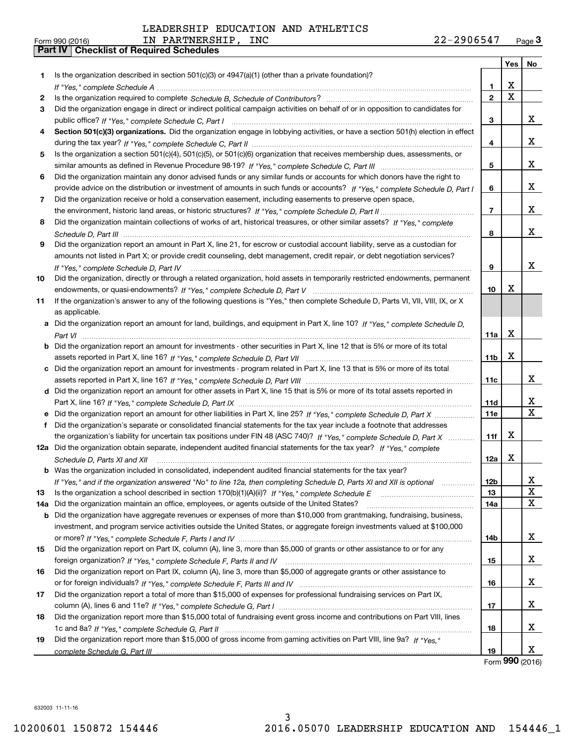| Form 990 (2016) |                                                  | PARTNERSHIP<br>IN | <b>INC</b> | 2906547<br>44 T | Page $3$ |
|-----------------|--------------------------------------------------|-------------------|------------|-----------------|----------|
|                 | <b>Part IV   Checklist of Required Schedules</b> |                   |            |                 |          |

|        |                                                                                                                                                                                                                                                  |                   | Yes       | No          |
|--------|--------------------------------------------------------------------------------------------------------------------------------------------------------------------------------------------------------------------------------------------------|-------------------|-----------|-------------|
| 1.     | Is the organization described in section $501(c)(3)$ or $4947(a)(1)$ (other than a private foundation)?                                                                                                                                          |                   |           |             |
|        |                                                                                                                                                                                                                                                  | 1.                | х         |             |
| 2      |                                                                                                                                                                                                                                                  | $\overline{2}$    | X         |             |
| 3      | Did the organization engage in direct or indirect political campaign activities on behalf of or in opposition to candidates for                                                                                                                  |                   |           |             |
|        |                                                                                                                                                                                                                                                  | 3                 |           | x           |
| 4      | Section 501(c)(3) organizations. Did the organization engage in lobbying activities, or have a section 501(h) election in effect                                                                                                                 |                   |           |             |
|        |                                                                                                                                                                                                                                                  | 4                 |           | x           |
| 5      | Is the organization a section 501(c)(4), 501(c)(5), or 501(c)(6) organization that receives membership dues, assessments, or                                                                                                                     |                   |           |             |
|        |                                                                                                                                                                                                                                                  | 5                 |           | x           |
| 6      | Did the organization maintain any donor advised funds or any similar funds or accounts for which donors have the right to                                                                                                                        |                   |           |             |
|        | provide advice on the distribution or investment of amounts in such funds or accounts? If "Yes," complete Schedule D. Part I                                                                                                                     | 6                 |           | x           |
| 7      | Did the organization receive or hold a conservation easement, including easements to preserve open space,                                                                                                                                        |                   |           |             |
|        |                                                                                                                                                                                                                                                  | $\overline{7}$    |           | x           |
| 8      | Did the organization maintain collections of works of art, historical treasures, or other similar assets? If "Yes," complete                                                                                                                     |                   |           |             |
|        |                                                                                                                                                                                                                                                  | 8                 |           | x           |
| 9      | Did the organization report an amount in Part X, line 21, for escrow or custodial account liability, serve as a custodian for                                                                                                                    |                   |           |             |
|        | amounts not listed in Part X; or provide credit counseling, debt management, credit repair, or debt negotiation services?                                                                                                                        |                   |           |             |
|        | If "Yes," complete Schedule D, Part IV                                                                                                                                                                                                           | 9                 |           | x           |
| 10     | Did the organization, directly or through a related organization, hold assets in temporarily restricted endowments, permanent                                                                                                                    |                   |           |             |
|        |                                                                                                                                                                                                                                                  | 10                | х         |             |
| 11     | If the organization's answer to any of the following questions is "Yes," then complete Schedule D, Parts VI, VII, VIII, IX, or X                                                                                                                 |                   |           |             |
|        | as applicable.                                                                                                                                                                                                                                   |                   |           |             |
|        | a Did the organization report an amount for land, buildings, and equipment in Part X, line 10? If "Yes," complete Schedule D,                                                                                                                    |                   |           |             |
|        |                                                                                                                                                                                                                                                  | 11a               | х         |             |
| b      | Did the organization report an amount for investments - other securities in Part X, line 12 that is 5% or more of its total                                                                                                                      |                   |           |             |
|        |                                                                                                                                                                                                                                                  | 11 <sub>b</sub>   | x         |             |
| c      | Did the organization report an amount for investments - program related in Part X, line 13 that is 5% or more of its total                                                                                                                       |                   |           | x           |
|        |                                                                                                                                                                                                                                                  | 11c               |           |             |
|        | d Did the organization report an amount for other assets in Part X, line 15 that is 5% or more of its total assets reported in                                                                                                                   |                   |           | x           |
|        |                                                                                                                                                                                                                                                  | 11d<br><b>11e</b> |           | $\mathbf X$ |
| е<br>f | Did the organization report an amount for other liabilities in Part X, line 25? If "Yes," complete Schedule D, Part X<br>Did the organization's separate or consolidated financial statements for the tax year include a footnote that addresses |                   |           |             |
|        | the organization's liability for uncertain tax positions under FIN 48 (ASC 740)? If "Yes," complete Schedule D, Part X                                                                                                                           | 11f               | х         |             |
|        | 12a Did the organization obtain separate, independent audited financial statements for the tax year? If "Yes," complete                                                                                                                          |                   |           |             |
|        | Schedule D, Parts XI and XII                                                                                                                                                                                                                     | 12a               | X         |             |
|        | <b>b</b> Was the organization included in consolidated, independent audited financial statements for the tax year?                                                                                                                               |                   |           |             |
|        | If "Yes," and if the organization answered "No" to line 12a, then completing Schedule D, Parts XI and XII is optional manum                                                                                                                      | 12b               |           | X           |
| 13     |                                                                                                                                                                                                                                                  | 13                |           | x           |
| 14a    | Did the organization maintain an office, employees, or agents outside of the United States?                                                                                                                                                      | 14a               |           | X           |
| b      | Did the organization have aggregate revenues or expenses of more than \$10,000 from grantmaking, fundraising, business,                                                                                                                          |                   |           |             |
|        | investment, and program service activities outside the United States, or aggregate foreign investments valued at \$100,000                                                                                                                       |                   |           |             |
|        |                                                                                                                                                                                                                                                  | 14b               |           | x           |
| 15     | Did the organization report on Part IX, column (A), line 3, more than \$5,000 of grants or other assistance to or for any                                                                                                                        |                   |           |             |
|        |                                                                                                                                                                                                                                                  | 15                |           | x           |
| 16     | Did the organization report on Part IX, column (A), line 3, more than \$5,000 of aggregate grants or other assistance to                                                                                                                         |                   |           |             |
|        |                                                                                                                                                                                                                                                  | 16                |           | x           |
| 17     | Did the organization report a total of more than \$15,000 of expenses for professional fundraising services on Part IX,                                                                                                                          |                   |           |             |
|        |                                                                                                                                                                                                                                                  | 17                |           | x           |
| 18     | Did the organization report more than \$15,000 total of fundraising event gross income and contributions on Part VIII, lines                                                                                                                     |                   |           |             |
|        |                                                                                                                                                                                                                                                  | 18                |           | x           |
| 19     | Did the organization report more than \$15,000 of gross income from gaming activities on Part VIII, line 9a? If "Yes."                                                                                                                           |                   |           |             |
|        |                                                                                                                                                                                                                                                  | 19                | $000 - 1$ | x           |

Form **990** (2016) Form (2016) **990**

632003 11-11-16 632003 11-11-16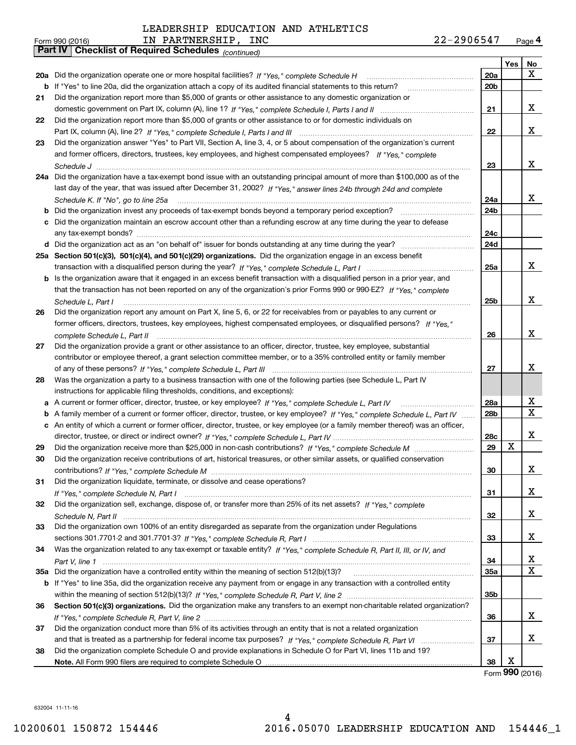| Form 990 (2016) | PARTNERSHIP,<br>ΓN                                           | INC | 22-2906547 | Page $4$ |
|-----------------|--------------------------------------------------------------|-----|------------|----------|
|                 | <b>Part IV   Checklist of Required Schedules</b> (continued) |     |            |          |

|    | Parl IV  <br>Criecklist of Required Scriedules (continued)                                                                        |     |            |                   |
|----|-----------------------------------------------------------------------------------------------------------------------------------|-----|------------|-------------------|
|    |                                                                                                                                   |     | <b>Yes</b> | No                |
|    | 20a Did the organization operate one or more hospital facilities? If "Yes," complete Schedule H                                   | 20a |            | X.                |
|    | <b>b</b> If "Yes" to line 20a, did the organization attach a copy of its audited financial statements to this return?             | 20b |            |                   |
| 21 | Did the organization report more than \$5,000 of grants or other assistance to any domestic organization or                       |     |            |                   |
|    |                                                                                                                                   | 21  |            | x                 |
| 22 | Did the organization report more than \$5,000 of grants or other assistance to or for domestic individuals on                     |     |            |                   |
|    |                                                                                                                                   | 22  |            | x                 |
| 23 | Did the organization answer "Yes" to Part VII, Section A, line 3, 4, or 5 about compensation of the organization's current        |     |            |                   |
|    | and former officers, directors, trustees, key employees, and highest compensated employees? If "Yes," complete                    |     |            |                   |
|    |                                                                                                                                   | 23  |            | x                 |
|    | 24a Did the organization have a tax-exempt bond issue with an outstanding principal amount of more than \$100,000 as of the       |     |            |                   |
|    | last day of the year, that was issued after December 31, 2002? If "Yes," answer lines 24b through 24d and complete                |     |            |                   |
|    | Schedule K. If "No", go to line 25a                                                                                               | 24a |            | x                 |
|    | <b>b</b> Did the organization invest any proceeds of tax-exempt bonds beyond a temporary period exception?                        | 24b |            |                   |
|    | c Did the organization maintain an escrow account other than a refunding escrow at any time during the year to defease            |     |            |                   |
|    |                                                                                                                                   | 24с |            |                   |
|    | d Did the organization act as an "on behalf of" issuer for bonds outstanding at any time during the year?                         | 24d |            |                   |
|    | 25a Section 501(c)(3), 501(c)(4), and 501(c)(29) organizations. Did the organization engage in an excess benefit                  |     |            |                   |
|    |                                                                                                                                   | 25a |            | x                 |
|    | b Is the organization aware that it engaged in an excess benefit transaction with a disqualified person in a prior year, and      |     |            |                   |
|    | that the transaction has not been reported on any of the organization's prior Forms 990 or 990-EZ? If "Yes," complete             |     |            |                   |
|    | Schedule L. Part I                                                                                                                | 25b |            | x                 |
| 26 | Did the organization report any amount on Part X, line 5, 6, or 22 for receivables from or payables to any current or             |     |            |                   |
|    | former officers, directors, trustees, key employees, highest compensated employees, or disqualified persons? If "Yes "            |     |            |                   |
|    |                                                                                                                                   | 26  |            | x                 |
| 27 | Did the organization provide a grant or other assistance to an officer, director, trustee, key employee, substantial              |     |            |                   |
|    | contributor or employee thereof, a grant selection committee member, or to a 35% controlled entity or family member               |     |            |                   |
|    |                                                                                                                                   | 27  |            | x                 |
| 28 | Was the organization a party to a business transaction with one of the following parties (see Schedule L, Part IV                 |     |            |                   |
|    | instructions for applicable filing thresholds, conditions, and exceptions):                                                       |     |            |                   |
|    | a A current or former officer, director, trustee, or key employee? If "Yes," complete Schedule L, Part IV                         | 28a |            | х                 |
|    | b A family member of a current or former officer, director, trustee, or key employee? If "Yes," complete Schedule L, Part IV      | 28b |            | X                 |
|    | c An entity of which a current or former officer, director, trustee, or key employee (or a family member thereof) was an officer, |     |            |                   |
|    |                                                                                                                                   | 28c |            | x                 |
| 29 |                                                                                                                                   | 29  | X          |                   |
| 30 | Did the organization receive contributions of art, historical treasures, or other similar assets, or qualified conservation       |     |            |                   |
|    |                                                                                                                                   | 30  |            | X                 |
| 31 | Did the organization liquidate, terminate, or dissolve and cease operations?                                                      |     |            |                   |
|    |                                                                                                                                   | 31  |            | x                 |
| 32 | Did the organization sell, exchange, dispose of, or transfer more than 25% of its net assets? If "Yes," complete                  |     |            |                   |
|    |                                                                                                                                   | 32  |            | X                 |
| 33 | Did the organization own 100% of an entity disregarded as separate from the organization under Regulations                        |     |            |                   |
|    |                                                                                                                                   | 33  |            | X                 |
| 34 | Was the organization related to any tax-exempt or taxable entity? If "Yes," complete Schedule R, Part II, III, or IV, and         |     |            |                   |
|    |                                                                                                                                   | 34  |            | x                 |
|    | 35a Did the organization have a controlled entity within the meaning of section 512(b)(13)?                                       | 35a |            | X                 |
|    | b If "Yes" to line 35a, did the organization receive any payment from or engage in any transaction with a controlled entity       |     |            |                   |
|    |                                                                                                                                   | 35b |            |                   |
| 36 | Section 501(c)(3) organizations. Did the organization make any transfers to an exempt non-charitable related organization?        |     |            |                   |
|    |                                                                                                                                   | 36  |            | x                 |
| 37 | Did the organization conduct more than 5% of its activities through an entity that is not a related organization                  |     |            |                   |
|    |                                                                                                                                   | 37  |            | x                 |
| 38 | Did the organization complete Schedule O and provide explanations in Schedule O for Part VI, lines 11b and 19?                    |     |            |                   |
|    |                                                                                                                                   | 38  | X          |                   |
|    |                                                                                                                                   |     |            | Form $990$ (2016) |
|    |                                                                                                                                   |     |            |                   |

632004 11-11-16 632004 11-11-16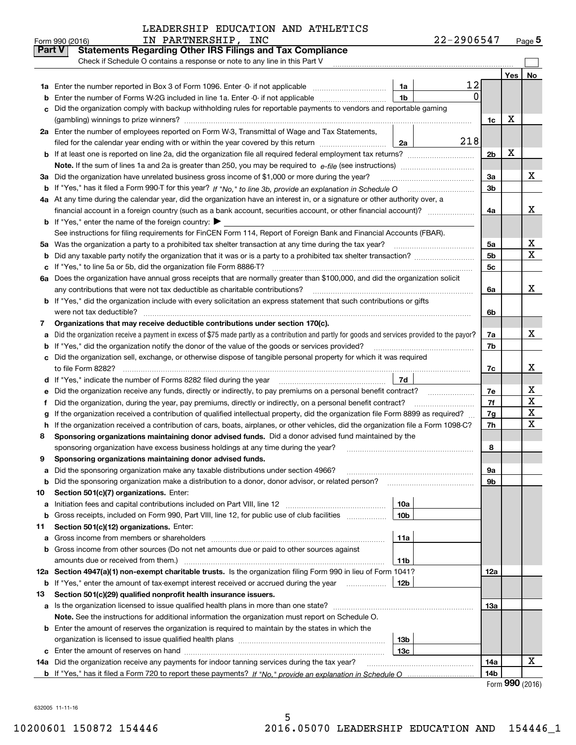| LEADERSHIP EDUCATION AND ATHLETICS |  |  |  |
|------------------------------------|--|--|--|
|------------------------------------|--|--|--|

|               | IN PARTNERSHIP, INC<br>Form 990 (2016)                                                                                                          |                 | 22-2906547 |                |            | $Page$ <sup>5</sup>     |
|---------------|-------------------------------------------------------------------------------------------------------------------------------------------------|-----------------|------------|----------------|------------|-------------------------|
| <b>Part V</b> | <b>Statements Regarding Other IRS Filings and Tax Compliance</b>                                                                                |                 |            |                |            |                         |
|               | Check if Schedule O contains a response or note to any line in this Part V                                                                      |                 |            |                |            |                         |
|               |                                                                                                                                                 |                 |            |                | <b>Yes</b> | No                      |
| 1a            | Enter the number reported in Box 3 of Form 1096. Enter -0- if not applicable                                                                    | 1a              | 12         |                |            |                         |
| b             | Enter the number of Forms W-2G included in line 1a. Enter -0- if not applicable                                                                 | 1 <sub>b</sub>  | $\Omega$   |                |            |                         |
| c             | Did the organization comply with backup withholding rules for reportable payments to vendors and reportable gaming                              |                 |            |                |            |                         |
|               |                                                                                                                                                 |                 |            | 1c             | x          |                         |
|               | 2a Enter the number of employees reported on Form W-3, Transmittal of Wage and Tax Statements,                                                  |                 |            |                |            |                         |
|               | filed for the calendar year ending with or within the year covered by this return                                                               | 2a              | 218        |                |            |                         |
| b             |                                                                                                                                                 |                 |            | 2 <sub>b</sub> | X          |                         |
|               |                                                                                                                                                 |                 |            |                |            |                         |
| За            | Did the organization have unrelated business gross income of \$1,000 or more during the year?                                                   |                 |            | За             |            | x                       |
| b             |                                                                                                                                                 |                 |            | 3 <sub>b</sub> |            |                         |
|               | 4a At any time during the calendar year, did the organization have an interest in, or a signature or other authority over, a                    |                 |            |                |            |                         |
|               | financial account in a foreign country (such as a bank account, securities account, or other financial account)?                                |                 |            | 4a             |            | x                       |
| b             | If "Yes," enter the name of the foreign country:                                                                                                |                 |            |                |            |                         |
|               | See instructions for filing requirements for FinCEN Form 114, Report of Foreign Bank and Financial Accounts (FBAR).                             |                 |            |                |            |                         |
| 5a            |                                                                                                                                                 |                 |            | 5a             |            | x                       |
| b             |                                                                                                                                                 |                 |            | 5 <sub>b</sub> |            | $\overline{\mathbf{x}}$ |
| с             | If "Yes," to line 5a or 5b, did the organization file Form 8886-T?                                                                              |                 |            | 5 <sub>c</sub> |            |                         |
| 6a            | Does the organization have annual gross receipts that are normally greater than \$100,000, and did the organization solicit                     |                 |            |                |            |                         |
|               | any contributions that were not tax deductible as charitable contributions?                                                                     |                 |            | 6a             |            | X                       |
| b             | If "Yes," did the organization include with every solicitation an express statement that such contributions or gifts                            |                 |            |                |            |                         |
|               | were not tax deductible?                                                                                                                        |                 |            | 6b             |            |                         |
| 7             | Organizations that may receive deductible contributions under section 170(c).                                                                   |                 |            |                |            |                         |
| a             | Did the organization receive a payment in excess of \$75 made partly as a contribution and partly for goods and services provided to the payor? |                 |            | 7a             |            | X                       |
| b             | If "Yes," did the organization notify the donor of the value of the goods or services provided?                                                 |                 |            | 7b             |            |                         |
| с             | Did the organization sell, exchange, or otherwise dispose of tangible personal property for which it was required                               |                 |            |                |            |                         |
|               |                                                                                                                                                 |                 |            | 7c             |            | x                       |
| d             |                                                                                                                                                 | 7d              |            |                |            |                         |
| е             | Did the organization receive any funds, directly or indirectly, to pay premiums on a personal benefit contract?                                 |                 |            | 7e             |            | х                       |
| f             | Did the organization, during the year, pay premiums, directly or indirectly, on a personal benefit contract?                                    |                 |            | 7f             |            | $\mathbf X$             |
| g             | If the organization received a contribution of qualified intellectual property, did the organization file Form 8899 as required?                |                 |            | 7g             |            | X                       |
| h             | If the organization received a contribution of cars, boats, airplanes, or other vehicles, did the organization file a Form 1098-C?              |                 |            | 7h             |            | $\mathbf X$             |
| 8             | Sponsoring organizations maintaining donor advised funds. Did a donor advised fund maintained by the                                            |                 |            |                |            |                         |
|               | sponsoring organization have excess business holdings at any time during the year?                                                              |                 |            | 8              |            |                         |
| y             | Sponsoring organizations maintaining donor advised funds.                                                                                       |                 |            |                |            |                         |
| а             | Did the sponsoring organization make any taxable distributions under section 4966?                                                              |                 |            | 9а             |            |                         |
| b             | Did the sponsoring organization make a distribution to a donor, donor advisor, or related person?                                               |                 |            | 9b             |            |                         |
| 10            | Section 501(c)(7) organizations. Enter:                                                                                                         |                 |            |                |            |                         |
| а             |                                                                                                                                                 | 10a             |            |                |            |                         |
| b             | Gross receipts, included on Form 990, Part VIII, line 12, for public use of club facilities                                                     | 10 <sub>b</sub> |            |                |            |                         |
| 11            | Section 501(c)(12) organizations. Enter:                                                                                                        |                 |            |                |            |                         |
| а             | Gross income from members or shareholders                                                                                                       | 11a             |            |                |            |                         |
| b             | Gross income from other sources (Do not net amounts due or paid to other sources against                                                        |                 |            |                |            |                         |
|               | amounts due or received from them.)                                                                                                             | 11b             |            |                |            |                         |
|               | 12a Section 4947(a)(1) non-exempt charitable trusts. Is the organization filing Form 990 in lieu of Form 1041?                                  |                 |            | 12a            |            |                         |
| b             | If "Yes," enter the amount of tax-exempt interest received or accrued during the year manu-                                                     | 12b             |            |                |            |                         |
| 13            | Section 501(c)(29) qualified nonprofit health insurance issuers.                                                                                |                 |            |                |            |                         |
| а             | Is the organization licensed to issue qualified health plans in more than one state?                                                            |                 |            | 13a            |            |                         |
|               | Note. See the instructions for additional information the organization must report on Schedule O.                                               |                 |            |                |            |                         |
| b             | Enter the amount of reserves the organization is required to maintain by the states in which the                                                |                 |            |                |            |                         |
|               |                                                                                                                                                 | 13 <sub>b</sub> |            |                |            |                         |
| с             |                                                                                                                                                 | 13c             |            |                |            |                         |
|               | 14a Did the organization receive any payments for indoor tanning services during the tax year?                                                  |                 |            | 14a            |            | х                       |
|               |                                                                                                                                                 |                 |            | 14b            |            |                         |

Form **990** (2016)

632005 11-11-16 632005 11-11-16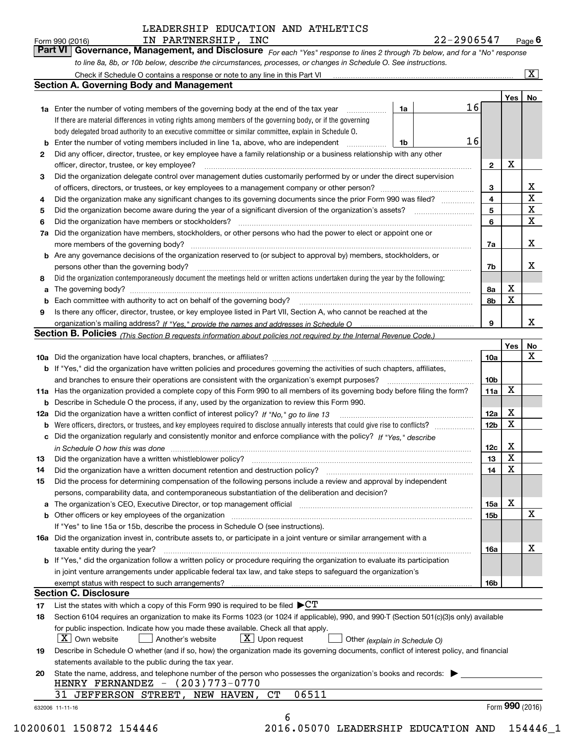Form990(2016) IN PARTNERSHIP, INC 22-2906547 Page **6** 

**Part VI Governance, Management, and Disclosure** For each "Yes" response to lines 2 through 7b below, and for a "No" response to line 8a, 8b, or 10b below, describe the circumstances, processes, or changes in Schedule O. See instructions. Form 990 (2016) **Form 990 (2016)** IN PARTNERSHIP, INC 22-2906547 Page 6<br>**Part VI** | Governance, Management, and Disclosure *For each "Yes" response to lines 2 through 7b below, and for a "No" response* 

|    |                                                                                                                                                                                                                                                                                                                                                                                                                                                                                                                                                                                                                                                                                                                                                                                                                                                                                                                                                                                                                                                                                                                                                                                                                                                                                                                                                                                                                                                                                                                                                                                                                                                                                                                                                                                                                                                                                                                                                                                                                                                                                                                                                                                                                                                                                                                                                                                                                                                                                                                                                                                                                                                                                                                                                                                                                                                                                                                                                                                                                                                                                                                                                                                                                                                                                                                                                                                                                                                                                                                                                                      |                 | Yes   No        |                         |
|----|----------------------------------------------------------------------------------------------------------------------------------------------------------------------------------------------------------------------------------------------------------------------------------------------------------------------------------------------------------------------------------------------------------------------------------------------------------------------------------------------------------------------------------------------------------------------------------------------------------------------------------------------------------------------------------------------------------------------------------------------------------------------------------------------------------------------------------------------------------------------------------------------------------------------------------------------------------------------------------------------------------------------------------------------------------------------------------------------------------------------------------------------------------------------------------------------------------------------------------------------------------------------------------------------------------------------------------------------------------------------------------------------------------------------------------------------------------------------------------------------------------------------------------------------------------------------------------------------------------------------------------------------------------------------------------------------------------------------------------------------------------------------------------------------------------------------------------------------------------------------------------------------------------------------------------------------------------------------------------------------------------------------------------------------------------------------------------------------------------------------------------------------------------------------------------------------------------------------------------------------------------------------------------------------------------------------------------------------------------------------------------------------------------------------------------------------------------------------------------------------------------------------------------------------------------------------------------------------------------------------------------------------------------------------------------------------------------------------------------------------------------------------------------------------------------------------------------------------------------------------------------------------------------------------------------------------------------------------------------------------------------------------------------------------------------------------------------------------------------------------------------------------------------------------------------------------------------------------------------------------------------------------------------------------------------------------------------------------------------------------------------------------------------------------------------------------------------------------------------------------------------------------------------------------------------------------|-----------------|-----------------|-------------------------|
|    | 16<br>1a                                                                                                                                                                                                                                                                                                                                                                                                                                                                                                                                                                                                                                                                                                                                                                                                                                                                                                                                                                                                                                                                                                                                                                                                                                                                                                                                                                                                                                                                                                                                                                                                                                                                                                                                                                                                                                                                                                                                                                                                                                                                                                                                                                                                                                                                                                                                                                                                                                                                                                                                                                                                                                                                                                                                                                                                                                                                                                                                                                                                                                                                                                                                                                                                                                                                                                                                                                                                                                                                                                                                                             |                 |                 |                         |
|    | If there are material differences in voting rights among members of the governing body, or if the governing                                                                                                                                                                                                                                                                                                                                                                                                                                                                                                                                                                                                                                                                                                                                                                                                                                                                                                                                                                                                                                                                                                                                                                                                                                                                                                                                                                                                                                                                                                                                                                                                                                                                                                                                                                                                                                                                                                                                                                                                                                                                                                                                                                                                                                                                                                                                                                                                                                                                                                                                                                                                                                                                                                                                                                                                                                                                                                                                                                                                                                                                                                                                                                                                                                                                                                                                                                                                                                                          |                 |                 |                         |
|    | body delegated broad authority to an executive committee or similar committee, explain in Schedule O.                                                                                                                                                                                                                                                                                                                                                                                                                                                                                                                                                                                                                                                                                                                                                                                                                                                                                                                                                                                                                                                                                                                                                                                                                                                                                                                                                                                                                                                                                                                                                                                                                                                                                                                                                                                                                                                                                                                                                                                                                                                                                                                                                                                                                                                                                                                                                                                                                                                                                                                                                                                                                                                                                                                                                                                                                                                                                                                                                                                                                                                                                                                                                                                                                                                                                                                                                                                                                                                                |                 |                 |                         |
|    | 16<br>1b                                                                                                                                                                                                                                                                                                                                                                                                                                                                                                                                                                                                                                                                                                                                                                                                                                                                                                                                                                                                                                                                                                                                                                                                                                                                                                                                                                                                                                                                                                                                                                                                                                                                                                                                                                                                                                                                                                                                                                                                                                                                                                                                                                                                                                                                                                                                                                                                                                                                                                                                                                                                                                                                                                                                                                                                                                                                                                                                                                                                                                                                                                                                                                                                                                                                                                                                                                                                                                                                                                                                                             |                 |                 |                         |
| 2  | Did any officer, director, trustee, or key employee have a family relationship or a business relationship with any other                                                                                                                                                                                                                                                                                                                                                                                                                                                                                                                                                                                                                                                                                                                                                                                                                                                                                                                                                                                                                                                                                                                                                                                                                                                                                                                                                                                                                                                                                                                                                                                                                                                                                                                                                                                                                                                                                                                                                                                                                                                                                                                                                                                                                                                                                                                                                                                                                                                                                                                                                                                                                                                                                                                                                                                                                                                                                                                                                                                                                                                                                                                                                                                                                                                                                                                                                                                                                                             |                 |                 |                         |
|    | officer, director, trustee, or key employee?                                                                                                                                                                                                                                                                                                                                                                                                                                                                                                                                                                                                                                                                                                                                                                                                                                                                                                                                                                                                                                                                                                                                                                                                                                                                                                                                                                                                                                                                                                                                                                                                                                                                                                                                                                                                                                                                                                                                                                                                                                                                                                                                                                                                                                                                                                                                                                                                                                                                                                                                                                                                                                                                                                                                                                                                                                                                                                                                                                                                                                                                                                                                                                                                                                                                                                                                                                                                                                                                                                                         | $\mathbf{2}$    | X               |                         |
| 3  | <b>Section A. Governing Body and Management</b><br>1a Enter the number of voting members of the governing body at the end of the tax year<br>Enter the number of voting members included in line 1a, above, who are independent<br>Did the organization delegate control over management duties customarily performed by or under the direct supervision<br>Did the organization have members, stockholders, or other persons who had the power to elect or appoint one or<br><b>b</b> Are any governance decisions of the organization reserved to (or subject to approval by) members, stockholders, or<br>persons other than the governing body?<br>Did the organization contemporaneously document the meetings held or written actions undertaken during the year by the following:<br>Is there any officer, director, trustee, or key employee listed in Part VII, Section A, who cannot be reached at the<br>Section B. Policies (This Section B requests information about policies not required by the Internal Revenue Code.)<br>b If "Yes," did the organization have written policies and procedures governing the activities of such chapters, affiliates,<br>11a Has the organization provided a complete copy of this Form 990 to all members of its governing body before filing the form?<br><b>b</b> Describe in Schedule O the process, if any, used by the organization to review this Form 990.<br>12a Did the organization have a written conflict of interest policy? If "No," go to line 13<br>c Did the organization regularly and consistently monitor and enforce compliance with the policy? If "Yes," describe<br>in Schedule O how this was done <i>manually contained as a contained a serient</i> and the state of the state of the s<br>Did the organization have a written whistleblower policy?<br>Did the process for determining compensation of the following persons include a review and approval by independent<br>persons, comparability data, and contemporaneous substantiation of the deliberation and decision?<br>a The organization's CEO, Executive Director, or top management official manufactured content of the organization's CEO, Executive Director, or top management official<br><b>b</b> Other officers or key employees of the organization<br>If "Yes" to line 15a or 15b, describe the process in Schedule O (see instructions).<br>16a Did the organization invest in, contribute assets to, or participate in a joint venture or similar arrangement with a<br>taxable entity during the year?<br><b>b</b> If "Yes," did the organization follow a written policy or procedure requiring the organization to evaluate its participation<br>in joint venture arrangements under applicable federal tax law, and take steps to safeguard the organization's<br><b>Section C. Disclosure</b><br>List the states with which a copy of this Form 990 is required to be filed $\blacktriangleright$ CT<br>Section 6104 requires an organization to make its Forms 1023 (or 1024 if applicable), 990, and 990-T (Section 501(c)(3)s only) available<br>for public inspection. Indicate how you made these available. Check all that apply.<br>$X$ Upon request<br>$ X $ Own website<br>Another's website<br>Other (explain in Schedule O)<br>statements available to the public during the tax year.<br>State the name, address, and telephone number of the person who possesses the organization's books and records:<br>HENRY FERNANDEZ $ (203)773-0770$<br>06511<br>31 JEFFERSON STREET, NEW HAVEN, CT |                 |                 |                         |
|    |                                                                                                                                                                                                                                                                                                                                                                                                                                                                                                                                                                                                                                                                                                                                                                                                                                                                                                                                                                                                                                                                                                                                                                                                                                                                                                                                                                                                                                                                                                                                                                                                                                                                                                                                                                                                                                                                                                                                                                                                                                                                                                                                                                                                                                                                                                                                                                                                                                                                                                                                                                                                                                                                                                                                                                                                                                                                                                                                                                                                                                                                                                                                                                                                                                                                                                                                                                                                                                                                                                                                                                      | 3               |                 | X                       |
| 4  | Did the organization make any significant changes to its governing documents since the prior Form 990 was filed?                                                                                                                                                                                                                                                                                                                                                                                                                                                                                                                                                                                                                                                                                                                                                                                                                                                                                                                                                                                                                                                                                                                                                                                                                                                                                                                                                                                                                                                                                                                                                                                                                                                                                                                                                                                                                                                                                                                                                                                                                                                                                                                                                                                                                                                                                                                                                                                                                                                                                                                                                                                                                                                                                                                                                                                                                                                                                                                                                                                                                                                                                                                                                                                                                                                                                                                                                                                                                                                     | 4               |                 | $\overline{\mathbf{x}}$ |
| 5  |                                                                                                                                                                                                                                                                                                                                                                                                                                                                                                                                                                                                                                                                                                                                                                                                                                                                                                                                                                                                                                                                                                                                                                                                                                                                                                                                                                                                                                                                                                                                                                                                                                                                                                                                                                                                                                                                                                                                                                                                                                                                                                                                                                                                                                                                                                                                                                                                                                                                                                                                                                                                                                                                                                                                                                                                                                                                                                                                                                                                                                                                                                                                                                                                                                                                                                                                                                                                                                                                                                                                                                      | 5               |                 | $\overline{\mathbf{x}}$ |
| 6  |                                                                                                                                                                                                                                                                                                                                                                                                                                                                                                                                                                                                                                                                                                                                                                                                                                                                                                                                                                                                                                                                                                                                                                                                                                                                                                                                                                                                                                                                                                                                                                                                                                                                                                                                                                                                                                                                                                                                                                                                                                                                                                                                                                                                                                                                                                                                                                                                                                                                                                                                                                                                                                                                                                                                                                                                                                                                                                                                                                                                                                                                                                                                                                                                                                                                                                                                                                                                                                                                                                                                                                      | 6               |                 | $\mathbf X$             |
| 7a |                                                                                                                                                                                                                                                                                                                                                                                                                                                                                                                                                                                                                                                                                                                                                                                                                                                                                                                                                                                                                                                                                                                                                                                                                                                                                                                                                                                                                                                                                                                                                                                                                                                                                                                                                                                                                                                                                                                                                                                                                                                                                                                                                                                                                                                                                                                                                                                                                                                                                                                                                                                                                                                                                                                                                                                                                                                                                                                                                                                                                                                                                                                                                                                                                                                                                                                                                                                                                                                                                                                                                                      |                 |                 |                         |
|    |                                                                                                                                                                                                                                                                                                                                                                                                                                                                                                                                                                                                                                                                                                                                                                                                                                                                                                                                                                                                                                                                                                                                                                                                                                                                                                                                                                                                                                                                                                                                                                                                                                                                                                                                                                                                                                                                                                                                                                                                                                                                                                                                                                                                                                                                                                                                                                                                                                                                                                                                                                                                                                                                                                                                                                                                                                                                                                                                                                                                                                                                                                                                                                                                                                                                                                                                                                                                                                                                                                                                                                      | 7a              |                 | X                       |
|    |                                                                                                                                                                                                                                                                                                                                                                                                                                                                                                                                                                                                                                                                                                                                                                                                                                                                                                                                                                                                                                                                                                                                                                                                                                                                                                                                                                                                                                                                                                                                                                                                                                                                                                                                                                                                                                                                                                                                                                                                                                                                                                                                                                                                                                                                                                                                                                                                                                                                                                                                                                                                                                                                                                                                                                                                                                                                                                                                                                                                                                                                                                                                                                                                                                                                                                                                                                                                                                                                                                                                                                      |                 |                 |                         |
|    |                                                                                                                                                                                                                                                                                                                                                                                                                                                                                                                                                                                                                                                                                                                                                                                                                                                                                                                                                                                                                                                                                                                                                                                                                                                                                                                                                                                                                                                                                                                                                                                                                                                                                                                                                                                                                                                                                                                                                                                                                                                                                                                                                                                                                                                                                                                                                                                                                                                                                                                                                                                                                                                                                                                                                                                                                                                                                                                                                                                                                                                                                                                                                                                                                                                                                                                                                                                                                                                                                                                                                                      | 7b              |                 | X                       |
| 8  |                                                                                                                                                                                                                                                                                                                                                                                                                                                                                                                                                                                                                                                                                                                                                                                                                                                                                                                                                                                                                                                                                                                                                                                                                                                                                                                                                                                                                                                                                                                                                                                                                                                                                                                                                                                                                                                                                                                                                                                                                                                                                                                                                                                                                                                                                                                                                                                                                                                                                                                                                                                                                                                                                                                                                                                                                                                                                                                                                                                                                                                                                                                                                                                                                                                                                                                                                                                                                                                                                                                                                                      |                 |                 |                         |
|    |                                                                                                                                                                                                                                                                                                                                                                                                                                                                                                                                                                                                                                                                                                                                                                                                                                                                                                                                                                                                                                                                                                                                                                                                                                                                                                                                                                                                                                                                                                                                                                                                                                                                                                                                                                                                                                                                                                                                                                                                                                                                                                                                                                                                                                                                                                                                                                                                                                                                                                                                                                                                                                                                                                                                                                                                                                                                                                                                                                                                                                                                                                                                                                                                                                                                                                                                                                                                                                                                                                                                                                      | 8а              | х               |                         |
|    |                                                                                                                                                                                                                                                                                                                                                                                                                                                                                                                                                                                                                                                                                                                                                                                                                                                                                                                                                                                                                                                                                                                                                                                                                                                                                                                                                                                                                                                                                                                                                                                                                                                                                                                                                                                                                                                                                                                                                                                                                                                                                                                                                                                                                                                                                                                                                                                                                                                                                                                                                                                                                                                                                                                                                                                                                                                                                                                                                                                                                                                                                                                                                                                                                                                                                                                                                                                                                                                                                                                                                                      | 8b              | X               |                         |
| 9  |                                                                                                                                                                                                                                                                                                                                                                                                                                                                                                                                                                                                                                                                                                                                                                                                                                                                                                                                                                                                                                                                                                                                                                                                                                                                                                                                                                                                                                                                                                                                                                                                                                                                                                                                                                                                                                                                                                                                                                                                                                                                                                                                                                                                                                                                                                                                                                                                                                                                                                                                                                                                                                                                                                                                                                                                                                                                                                                                                                                                                                                                                                                                                                                                                                                                                                                                                                                                                                                                                                                                                                      |                 |                 |                         |
|    |                                                                                                                                                                                                                                                                                                                                                                                                                                                                                                                                                                                                                                                                                                                                                                                                                                                                                                                                                                                                                                                                                                                                                                                                                                                                                                                                                                                                                                                                                                                                                                                                                                                                                                                                                                                                                                                                                                                                                                                                                                                                                                                                                                                                                                                                                                                                                                                                                                                                                                                                                                                                                                                                                                                                                                                                                                                                                                                                                                                                                                                                                                                                                                                                                                                                                                                                                                                                                                                                                                                                                                      | 9               |                 | x                       |
|    |                                                                                                                                                                                                                                                                                                                                                                                                                                                                                                                                                                                                                                                                                                                                                                                                                                                                                                                                                                                                                                                                                                                                                                                                                                                                                                                                                                                                                                                                                                                                                                                                                                                                                                                                                                                                                                                                                                                                                                                                                                                                                                                                                                                                                                                                                                                                                                                                                                                                                                                                                                                                                                                                                                                                                                                                                                                                                                                                                                                                                                                                                                                                                                                                                                                                                                                                                                                                                                                                                                                                                                      |                 |                 |                         |
|    |                                                                                                                                                                                                                                                                                                                                                                                                                                                                                                                                                                                                                                                                                                                                                                                                                                                                                                                                                                                                                                                                                                                                                                                                                                                                                                                                                                                                                                                                                                                                                                                                                                                                                                                                                                                                                                                                                                                                                                                                                                                                                                                                                                                                                                                                                                                                                                                                                                                                                                                                                                                                                                                                                                                                                                                                                                                                                                                                                                                                                                                                                                                                                                                                                                                                                                                                                                                                                                                                                                                                                                      |                 | Yes             | No                      |
|    |                                                                                                                                                                                                                                                                                                                                                                                                                                                                                                                                                                                                                                                                                                                                                                                                                                                                                                                                                                                                                                                                                                                                                                                                                                                                                                                                                                                                                                                                                                                                                                                                                                                                                                                                                                                                                                                                                                                                                                                                                                                                                                                                                                                                                                                                                                                                                                                                                                                                                                                                                                                                                                                                                                                                                                                                                                                                                                                                                                                                                                                                                                                                                                                                                                                                                                                                                                                                                                                                                                                                                                      | <b>10a</b>      |                 | X                       |
|    |                                                                                                                                                                                                                                                                                                                                                                                                                                                                                                                                                                                                                                                                                                                                                                                                                                                                                                                                                                                                                                                                                                                                                                                                                                                                                                                                                                                                                                                                                                                                                                                                                                                                                                                                                                                                                                                                                                                                                                                                                                                                                                                                                                                                                                                                                                                                                                                                                                                                                                                                                                                                                                                                                                                                                                                                                                                                                                                                                                                                                                                                                                                                                                                                                                                                                                                                                                                                                                                                                                                                                                      |                 |                 |                         |
|    |                                                                                                                                                                                                                                                                                                                                                                                                                                                                                                                                                                                                                                                                                                                                                                                                                                                                                                                                                                                                                                                                                                                                                                                                                                                                                                                                                                                                                                                                                                                                                                                                                                                                                                                                                                                                                                                                                                                                                                                                                                                                                                                                                                                                                                                                                                                                                                                                                                                                                                                                                                                                                                                                                                                                                                                                                                                                                                                                                                                                                                                                                                                                                                                                                                                                                                                                                                                                                                                                                                                                                                      | 10 <sub>b</sub> |                 |                         |
|    |                                                                                                                                                                                                                                                                                                                                                                                                                                                                                                                                                                                                                                                                                                                                                                                                                                                                                                                                                                                                                                                                                                                                                                                                                                                                                                                                                                                                                                                                                                                                                                                                                                                                                                                                                                                                                                                                                                                                                                                                                                                                                                                                                                                                                                                                                                                                                                                                                                                                                                                                                                                                                                                                                                                                                                                                                                                                                                                                                                                                                                                                                                                                                                                                                                                                                                                                                                                                                                                                                                                                                                      | 11a             | X               |                         |
|    |                                                                                                                                                                                                                                                                                                                                                                                                                                                                                                                                                                                                                                                                                                                                                                                                                                                                                                                                                                                                                                                                                                                                                                                                                                                                                                                                                                                                                                                                                                                                                                                                                                                                                                                                                                                                                                                                                                                                                                                                                                                                                                                                                                                                                                                                                                                                                                                                                                                                                                                                                                                                                                                                                                                                                                                                                                                                                                                                                                                                                                                                                                                                                                                                                                                                                                                                                                                                                                                                                                                                                                      |                 |                 |                         |
|    |                                                                                                                                                                                                                                                                                                                                                                                                                                                                                                                                                                                                                                                                                                                                                                                                                                                                                                                                                                                                                                                                                                                                                                                                                                                                                                                                                                                                                                                                                                                                                                                                                                                                                                                                                                                                                                                                                                                                                                                                                                                                                                                                                                                                                                                                                                                                                                                                                                                                                                                                                                                                                                                                                                                                                                                                                                                                                                                                                                                                                                                                                                                                                                                                                                                                                                                                                                                                                                                                                                                                                                      |                 | X               |                         |
|    |                                                                                                                                                                                                                                                                                                                                                                                                                                                                                                                                                                                                                                                                                                                                                                                                                                                                                                                                                                                                                                                                                                                                                                                                                                                                                                                                                                                                                                                                                                                                                                                                                                                                                                                                                                                                                                                                                                                                                                                                                                                                                                                                                                                                                                                                                                                                                                                                                                                                                                                                                                                                                                                                                                                                                                                                                                                                                                                                                                                                                                                                                                                                                                                                                                                                                                                                                                                                                                                                                                                                                                      | 12a             | X               |                         |
| b  |                                                                                                                                                                                                                                                                                                                                                                                                                                                                                                                                                                                                                                                                                                                                                                                                                                                                                                                                                                                                                                                                                                                                                                                                                                                                                                                                                                                                                                                                                                                                                                                                                                                                                                                                                                                                                                                                                                                                                                                                                                                                                                                                                                                                                                                                                                                                                                                                                                                                                                                                                                                                                                                                                                                                                                                                                                                                                                                                                                                                                                                                                                                                                                                                                                                                                                                                                                                                                                                                                                                                                                      | 12 <sub>b</sub> |                 |                         |
|    |                                                                                                                                                                                                                                                                                                                                                                                                                                                                                                                                                                                                                                                                                                                                                                                                                                                                                                                                                                                                                                                                                                                                                                                                                                                                                                                                                                                                                                                                                                                                                                                                                                                                                                                                                                                                                                                                                                                                                                                                                                                                                                                                                                                                                                                                                                                                                                                                                                                                                                                                                                                                                                                                                                                                                                                                                                                                                                                                                                                                                                                                                                                                                                                                                                                                                                                                                                                                                                                                                                                                                                      |                 |                 |                         |
|    |                                                                                                                                                                                                                                                                                                                                                                                                                                                                                                                                                                                                                                                                                                                                                                                                                                                                                                                                                                                                                                                                                                                                                                                                                                                                                                                                                                                                                                                                                                                                                                                                                                                                                                                                                                                                                                                                                                                                                                                                                                                                                                                                                                                                                                                                                                                                                                                                                                                                                                                                                                                                                                                                                                                                                                                                                                                                                                                                                                                                                                                                                                                                                                                                                                                                                                                                                                                                                                                                                                                                                                      | 12c             | X<br>X          |                         |
| 13 |                                                                                                                                                                                                                                                                                                                                                                                                                                                                                                                                                                                                                                                                                                                                                                                                                                                                                                                                                                                                                                                                                                                                                                                                                                                                                                                                                                                                                                                                                                                                                                                                                                                                                                                                                                                                                                                                                                                                                                                                                                                                                                                                                                                                                                                                                                                                                                                                                                                                                                                                                                                                                                                                                                                                                                                                                                                                                                                                                                                                                                                                                                                                                                                                                                                                                                                                                                                                                                                                                                                                                                      | 13              |                 |                         |
| 14 |                                                                                                                                                                                                                                                                                                                                                                                                                                                                                                                                                                                                                                                                                                                                                                                                                                                                                                                                                                                                                                                                                                                                                                                                                                                                                                                                                                                                                                                                                                                                                                                                                                                                                                                                                                                                                                                                                                                                                                                                                                                                                                                                                                                                                                                                                                                                                                                                                                                                                                                                                                                                                                                                                                                                                                                                                                                                                                                                                                                                                                                                                                                                                                                                                                                                                                                                                                                                                                                                                                                                                                      | 14              | X               |                         |
| 15 |                                                                                                                                                                                                                                                                                                                                                                                                                                                                                                                                                                                                                                                                                                                                                                                                                                                                                                                                                                                                                                                                                                                                                                                                                                                                                                                                                                                                                                                                                                                                                                                                                                                                                                                                                                                                                                                                                                                                                                                                                                                                                                                                                                                                                                                                                                                                                                                                                                                                                                                                                                                                                                                                                                                                                                                                                                                                                                                                                                                                                                                                                                                                                                                                                                                                                                                                                                                                                                                                                                                                                                      |                 |                 |                         |
|    |                                                                                                                                                                                                                                                                                                                                                                                                                                                                                                                                                                                                                                                                                                                                                                                                                                                                                                                                                                                                                                                                                                                                                                                                                                                                                                                                                                                                                                                                                                                                                                                                                                                                                                                                                                                                                                                                                                                                                                                                                                                                                                                                                                                                                                                                                                                                                                                                                                                                                                                                                                                                                                                                                                                                                                                                                                                                                                                                                                                                                                                                                                                                                                                                                                                                                                                                                                                                                                                                                                                                                                      |                 |                 |                         |
|    |                                                                                                                                                                                                                                                                                                                                                                                                                                                                                                                                                                                                                                                                                                                                                                                                                                                                                                                                                                                                                                                                                                                                                                                                                                                                                                                                                                                                                                                                                                                                                                                                                                                                                                                                                                                                                                                                                                                                                                                                                                                                                                                                                                                                                                                                                                                                                                                                                                                                                                                                                                                                                                                                                                                                                                                                                                                                                                                                                                                                                                                                                                                                                                                                                                                                                                                                                                                                                                                                                                                                                                      | 15a             | х               |                         |
|    |                                                                                                                                                                                                                                                                                                                                                                                                                                                                                                                                                                                                                                                                                                                                                                                                                                                                                                                                                                                                                                                                                                                                                                                                                                                                                                                                                                                                                                                                                                                                                                                                                                                                                                                                                                                                                                                                                                                                                                                                                                                                                                                                                                                                                                                                                                                                                                                                                                                                                                                                                                                                                                                                                                                                                                                                                                                                                                                                                                                                                                                                                                                                                                                                                                                                                                                                                                                                                                                                                                                                                                      | 15b             |                 | X                       |
|    |                                                                                                                                                                                                                                                                                                                                                                                                                                                                                                                                                                                                                                                                                                                                                                                                                                                                                                                                                                                                                                                                                                                                                                                                                                                                                                                                                                                                                                                                                                                                                                                                                                                                                                                                                                                                                                                                                                                                                                                                                                                                                                                                                                                                                                                                                                                                                                                                                                                                                                                                                                                                                                                                                                                                                                                                                                                                                                                                                                                                                                                                                                                                                                                                                                                                                                                                                                                                                                                                                                                                                                      |                 |                 |                         |
|    |                                                                                                                                                                                                                                                                                                                                                                                                                                                                                                                                                                                                                                                                                                                                                                                                                                                                                                                                                                                                                                                                                                                                                                                                                                                                                                                                                                                                                                                                                                                                                                                                                                                                                                                                                                                                                                                                                                                                                                                                                                                                                                                                                                                                                                                                                                                                                                                                                                                                                                                                                                                                                                                                                                                                                                                                                                                                                                                                                                                                                                                                                                                                                                                                                                                                                                                                                                                                                                                                                                                                                                      |                 |                 |                         |
|    |                                                                                                                                                                                                                                                                                                                                                                                                                                                                                                                                                                                                                                                                                                                                                                                                                                                                                                                                                                                                                                                                                                                                                                                                                                                                                                                                                                                                                                                                                                                                                                                                                                                                                                                                                                                                                                                                                                                                                                                                                                                                                                                                                                                                                                                                                                                                                                                                                                                                                                                                                                                                                                                                                                                                                                                                                                                                                                                                                                                                                                                                                                                                                                                                                                                                                                                                                                                                                                                                                                                                                                      | 16a             |                 | X                       |
|    |                                                                                                                                                                                                                                                                                                                                                                                                                                                                                                                                                                                                                                                                                                                                                                                                                                                                                                                                                                                                                                                                                                                                                                                                                                                                                                                                                                                                                                                                                                                                                                                                                                                                                                                                                                                                                                                                                                                                                                                                                                                                                                                                                                                                                                                                                                                                                                                                                                                                                                                                                                                                                                                                                                                                                                                                                                                                                                                                                                                                                                                                                                                                                                                                                                                                                                                                                                                                                                                                                                                                                                      |                 |                 |                         |
|    |                                                                                                                                                                                                                                                                                                                                                                                                                                                                                                                                                                                                                                                                                                                                                                                                                                                                                                                                                                                                                                                                                                                                                                                                                                                                                                                                                                                                                                                                                                                                                                                                                                                                                                                                                                                                                                                                                                                                                                                                                                                                                                                                                                                                                                                                                                                                                                                                                                                                                                                                                                                                                                                                                                                                                                                                                                                                                                                                                                                                                                                                                                                                                                                                                                                                                                                                                                                                                                                                                                                                                                      |                 |                 |                         |
|    |                                                                                                                                                                                                                                                                                                                                                                                                                                                                                                                                                                                                                                                                                                                                                                                                                                                                                                                                                                                                                                                                                                                                                                                                                                                                                                                                                                                                                                                                                                                                                                                                                                                                                                                                                                                                                                                                                                                                                                                                                                                                                                                                                                                                                                                                                                                                                                                                                                                                                                                                                                                                                                                                                                                                                                                                                                                                                                                                                                                                                                                                                                                                                                                                                                                                                                                                                                                                                                                                                                                                                                      | 16 <sub>b</sub> |                 |                         |
|    |                                                                                                                                                                                                                                                                                                                                                                                                                                                                                                                                                                                                                                                                                                                                                                                                                                                                                                                                                                                                                                                                                                                                                                                                                                                                                                                                                                                                                                                                                                                                                                                                                                                                                                                                                                                                                                                                                                                                                                                                                                                                                                                                                                                                                                                                                                                                                                                                                                                                                                                                                                                                                                                                                                                                                                                                                                                                                                                                                                                                                                                                                                                                                                                                                                                                                                                                                                                                                                                                                                                                                                      |                 |                 |                         |
| 17 |                                                                                                                                                                                                                                                                                                                                                                                                                                                                                                                                                                                                                                                                                                                                                                                                                                                                                                                                                                                                                                                                                                                                                                                                                                                                                                                                                                                                                                                                                                                                                                                                                                                                                                                                                                                                                                                                                                                                                                                                                                                                                                                                                                                                                                                                                                                                                                                                                                                                                                                                                                                                                                                                                                                                                                                                                                                                                                                                                                                                                                                                                                                                                                                                                                                                                                                                                                                                                                                                                                                                                                      |                 |                 |                         |
| 18 |                                                                                                                                                                                                                                                                                                                                                                                                                                                                                                                                                                                                                                                                                                                                                                                                                                                                                                                                                                                                                                                                                                                                                                                                                                                                                                                                                                                                                                                                                                                                                                                                                                                                                                                                                                                                                                                                                                                                                                                                                                                                                                                                                                                                                                                                                                                                                                                                                                                                                                                                                                                                                                                                                                                                                                                                                                                                                                                                                                                                                                                                                                                                                                                                                                                                                                                                                                                                                                                                                                                                                                      |                 |                 |                         |
|    |                                                                                                                                                                                                                                                                                                                                                                                                                                                                                                                                                                                                                                                                                                                                                                                                                                                                                                                                                                                                                                                                                                                                                                                                                                                                                                                                                                                                                                                                                                                                                                                                                                                                                                                                                                                                                                                                                                                                                                                                                                                                                                                                                                                                                                                                                                                                                                                                                                                                                                                                                                                                                                                                                                                                                                                                                                                                                                                                                                                                                                                                                                                                                                                                                                                                                                                                                                                                                                                                                                                                                                      |                 |                 |                         |
|    |                                                                                                                                                                                                                                                                                                                                                                                                                                                                                                                                                                                                                                                                                                                                                                                                                                                                                                                                                                                                                                                                                                                                                                                                                                                                                                                                                                                                                                                                                                                                                                                                                                                                                                                                                                                                                                                                                                                                                                                                                                                                                                                                                                                                                                                                                                                                                                                                                                                                                                                                                                                                                                                                                                                                                                                                                                                                                                                                                                                                                                                                                                                                                                                                                                                                                                                                                                                                                                                                                                                                                                      |                 |                 |                         |
| 19 | Describe in Schedule O whether (and if so, how) the organization made its governing documents, conflict of interest policy, and financial                                                                                                                                                                                                                                                                                                                                                                                                                                                                                                                                                                                                                                                                                                                                                                                                                                                                                                                                                                                                                                                                                                                                                                                                                                                                                                                                                                                                                                                                                                                                                                                                                                                                                                                                                                                                                                                                                                                                                                                                                                                                                                                                                                                                                                                                                                                                                                                                                                                                                                                                                                                                                                                                                                                                                                                                                                                                                                                                                                                                                                                                                                                                                                                                                                                                                                                                                                                                                            |                 |                 |                         |
|    |                                                                                                                                                                                                                                                                                                                                                                                                                                                                                                                                                                                                                                                                                                                                                                                                                                                                                                                                                                                                                                                                                                                                                                                                                                                                                                                                                                                                                                                                                                                                                                                                                                                                                                                                                                                                                                                                                                                                                                                                                                                                                                                                                                                                                                                                                                                                                                                                                                                                                                                                                                                                                                                                                                                                                                                                                                                                                                                                                                                                                                                                                                                                                                                                                                                                                                                                                                                                                                                                                                                                                                      |                 |                 |                         |
| 20 |                                                                                                                                                                                                                                                                                                                                                                                                                                                                                                                                                                                                                                                                                                                                                                                                                                                                                                                                                                                                                                                                                                                                                                                                                                                                                                                                                                                                                                                                                                                                                                                                                                                                                                                                                                                                                                                                                                                                                                                                                                                                                                                                                                                                                                                                                                                                                                                                                                                                                                                                                                                                                                                                                                                                                                                                                                                                                                                                                                                                                                                                                                                                                                                                                                                                                                                                                                                                                                                                                                                                                                      |                 |                 |                         |
|    |                                                                                                                                                                                                                                                                                                                                                                                                                                                                                                                                                                                                                                                                                                                                                                                                                                                                                                                                                                                                                                                                                                                                                                                                                                                                                                                                                                                                                                                                                                                                                                                                                                                                                                                                                                                                                                                                                                                                                                                                                                                                                                                                                                                                                                                                                                                                                                                                                                                                                                                                                                                                                                                                                                                                                                                                                                                                                                                                                                                                                                                                                                                                                                                                                                                                                                                                                                                                                                                                                                                                                                      |                 |                 |                         |
|    |                                                                                                                                                                                                                                                                                                                                                                                                                                                                                                                                                                                                                                                                                                                                                                                                                                                                                                                                                                                                                                                                                                                                                                                                                                                                                                                                                                                                                                                                                                                                                                                                                                                                                                                                                                                                                                                                                                                                                                                                                                                                                                                                                                                                                                                                                                                                                                                                                                                                                                                                                                                                                                                                                                                                                                                                                                                                                                                                                                                                                                                                                                                                                                                                                                                                                                                                                                                                                                                                                                                                                                      |                 |                 |                         |
|    |                                                                                                                                                                                                                                                                                                                                                                                                                                                                                                                                                                                                                                                                                                                                                                                                                                                                                                                                                                                                                                                                                                                                                                                                                                                                                                                                                                                                                                                                                                                                                                                                                                                                                                                                                                                                                                                                                                                                                                                                                                                                                                                                                                                                                                                                                                                                                                                                                                                                                                                                                                                                                                                                                                                                                                                                                                                                                                                                                                                                                                                                                                                                                                                                                                                                                                                                                                                                                                                                                                                                                                      |                 | Form 990 (2016) |                         |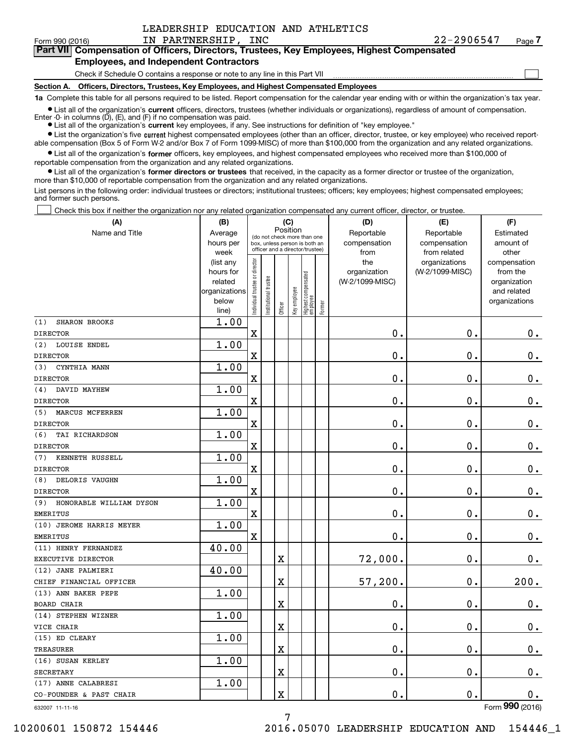$\mathcal{L}^{\text{max}}$ 

#### Form990(2016) IN PARTNERSHIP, INC 22-2906547 Page **7**  Form 990 (2016) Page IN PARTNERSHIP, INC 22-2906547 **Part VII Compensation of Officers, Directors, Trustees, Key Employees, Highest Compensated 7Part VII Compensation of Officers, Directors, Trustees, Key Employees, Highest Compensated Employees, and Independent Contractors Employees, and Independent Contractors**

Check if Schedule O contains a response or note to any line in this Part VII <u>mand all communication communication</u>

**Section A. Officers, Directors, Trustees, Key Employees, and Highest Compensated Employees Section A. Officers, Directors, Trustees, Key Employees, and Highest Compensated Employees**

1a Complete this table for all persons required to be listed. Report compensation for the calendar year ending with or within the organization's tax year.

List all of the organization's current officers, directors, trustees (whether individuals or organizations), regardless of amount of compensation. Enter -0- in columns (D), (E), and (F) if no compensation was paid.

● List all of the organization's current key employees, if any. See instructions for definition of "key employee."

• List the organization's five current highest compensated employees (other than an officer, director, trustee, or key employee) who received reportable compensation (Box 5 of Form W-2 and/or Box 7 of Form 1099-MISC) of more than \$100,000 from the organization and any related organizations.

List all of the organization's former officers, key employees, and highest compensated employees who received more than \$100,000 of reportable compensation from the organization and any related organizations. reportable compensation from the organization and any related organizations.

List all of the organization's former directors or trustees that received, in the capacity as a former director or trustee of the organization, more than \$10 , <sup>000</sup>of reportable compensation from the organization and any related organizations. more than \$10,000 of reportable compensation from the organization and any related organizations.

List persons in the following order: individual trustees or directors; institutional trustees; officers; key employees; highest compensated employees; and former such persons. and former such persons.

Check this box if neither the organization nor any related organization compensated any current officer, director, or trustee.  $\mathcal{L}^{\text{max}}$ 

| (A)                            | (B)                    |                                |                      | (C)         |              |                                                                  |        | (D)                 | (E)                              | (F)                      |
|--------------------------------|------------------------|--------------------------------|----------------------|-------------|--------------|------------------------------------------------------------------|--------|---------------------|----------------------------------|--------------------------|
| Name and Title                 | Average                |                                |                      | Position    |              | (do not check more than one                                      |        | Reportable          | Reportable                       | Estimated                |
|                                | hours per              |                                |                      |             |              | box, unless person is both an<br>officer and a director/trustee) |        | compensation        | compensation                     | amount of                |
|                                | week                   |                                |                      |             |              |                                                                  |        | from                | from related                     | other                    |
|                                | (list any<br>hours for |                                |                      |             |              |                                                                  |        | the<br>organization | organizations<br>(W-2/1099-MISC) | compensation<br>from the |
|                                | related                |                                |                      |             |              |                                                                  |        | (W-2/1099-MISC)     |                                  | organization             |
|                                | organizations          |                                |                      |             |              |                                                                  |        |                     |                                  | and related              |
|                                | below                  | Individual trustee or director | nstitutional trustee |             | Key employee | Highest compensated<br>employee                                  |        |                     |                                  | organizations            |
|                                | line)                  |                                |                      | Officer     |              |                                                                  | Former |                     |                                  |                          |
| <b>SHARON BROOKS</b><br>(1)    | 1.00                   |                                |                      |             |              |                                                                  |        |                     |                                  |                          |
| <b>DIRECTOR</b>                |                        | $\mathbf X$                    |                      |             |              |                                                                  |        | 0.                  | $\mathbf 0$ .                    | 0.                       |
| (2)<br>LOUISE ENDEL            | 1.00                   |                                |                      |             |              |                                                                  |        |                     |                                  |                          |
| <b>DIRECTOR</b>                |                        | $\mathbf X$                    |                      |             |              |                                                                  |        | $\mathbf 0$ .       | 0.                               | 0.                       |
| CYNTHIA MANN<br>(3)            | 1.00                   |                                |                      |             |              |                                                                  |        |                     |                                  |                          |
| <b>DIRECTOR</b>                |                        | $\overline{\textbf{X}}$        |                      |             |              |                                                                  |        | $\mathbf 0$ .       | 0.                               | 0.                       |
| DAVID MAYHEW<br>(4)            | 1.00                   |                                |                      |             |              |                                                                  |        |                     |                                  |                          |
| <b>DIRECTOR</b>                |                        | $\overline{\mathbf{X}}$        |                      |             |              |                                                                  |        | 0.                  | 0.                               | 0.                       |
| MARCUS MCFERREN<br>(5)         | 1.00                   |                                |                      |             |              |                                                                  |        |                     |                                  |                          |
| <b>DIRECTOR</b>                |                        | $\overline{\textbf{X}}$        |                      |             |              |                                                                  |        | 0.                  | 0.                               | 0.                       |
| (6)<br>TAI RICHARDSON          | 1.00                   |                                |                      |             |              |                                                                  |        |                     |                                  |                          |
| <b>DIRECTOR</b>                |                        | $\overline{\textbf{X}}$        |                      |             |              |                                                                  |        | $\mathbf 0$ .       | 0.                               | 0.                       |
| KENNETH RUSSELL<br>(7)         | 1.00                   |                                |                      |             |              |                                                                  |        |                     |                                  |                          |
| <b>DIRECTOR</b>                |                        | X                              |                      |             |              |                                                                  |        | $\mathbf 0$ .       | 0.                               | 0.                       |
| DELORIS VAUGHN<br>(8)          | 1.00                   |                                |                      |             |              |                                                                  |        |                     |                                  |                          |
| <b>DIRECTOR</b>                |                        | X                              |                      |             |              |                                                                  |        | 0.                  | 0.                               | 0.                       |
| (9)<br>HONORABLE WILLIAM DYSON | 1.00                   |                                |                      |             |              |                                                                  |        |                     |                                  |                          |
| <b>EMERITUS</b>                |                        | $\mathbf X$                    |                      |             |              |                                                                  |        | $\mathbf 0$ .       | $\mathbf 0$ .                    | 0.                       |
| (10) JEROME HARRIS MEYER       | 1.00                   |                                |                      |             |              |                                                                  |        |                     |                                  |                          |
| <b>EMERITUS</b>                |                        | X                              |                      |             |              |                                                                  |        | 0.                  | $\mathbf 0$ .                    | $0$ .                    |
| (11) HENRY FERNANDEZ           | 40.00                  |                                |                      |             |              |                                                                  |        |                     |                                  |                          |
| EXECUTIVE DIRECTOR             |                        |                                |                      | $\mathbf X$ |              |                                                                  |        | 72,000.             | 0.                               | $0$ .                    |
| (12) JANE PALMIERI             | 40.00                  |                                |                      |             |              |                                                                  |        |                     |                                  |                          |
| CHIEF FINANCIAL OFFICER        |                        |                                |                      | $\mathbf X$ |              |                                                                  |        | 57,200.             | 0.                               | 200.                     |
| (13) ANN BAKER PEPE            | 1.00                   |                                |                      |             |              |                                                                  |        |                     |                                  |                          |
| BOARD CHAIR                    |                        |                                |                      | $\rm X$     |              |                                                                  |        | $\mathbf 0$ .       | о.                               | 0.                       |
| (14) STEPHEN WIZNER            | 1.00                   |                                |                      |             |              |                                                                  |        |                     |                                  |                          |
| VICE CHAIR                     |                        |                                |                      | $\mathbf X$ |              |                                                                  |        | $\mathbf 0$ .       | $\mathbf 0$ .                    | $0$ .                    |
| (15) ED CLEARY                 | 1.00                   |                                |                      |             |              |                                                                  |        |                     |                                  |                          |
| <b>TREASURER</b>               |                        |                                |                      | $\mathbf X$ |              |                                                                  |        | $\mathbf 0$ .       | 0.                               | 0.                       |
| (16) SUSAN KERLEY              | 1.00                   |                                |                      |             |              |                                                                  |        |                     |                                  |                          |
| <b>SECRETARY</b>               |                        |                                |                      | $\mathbf X$ |              |                                                                  |        | $\mathbf 0$ .       | $\mathbf 0$ .                    | 0.                       |
| (17) ANNE CALABRESI            | 1.00                   |                                |                      |             |              |                                                                  |        |                     |                                  |                          |
| CO-FOUNDER & PAST CHAIR        |                        |                                |                      | $\mathbf X$ |              |                                                                  |        | 0.                  | $\mathbf 0$ .                    | 0.                       |

632007 11-11-16 632007 11-11-16

Form **990** (2016)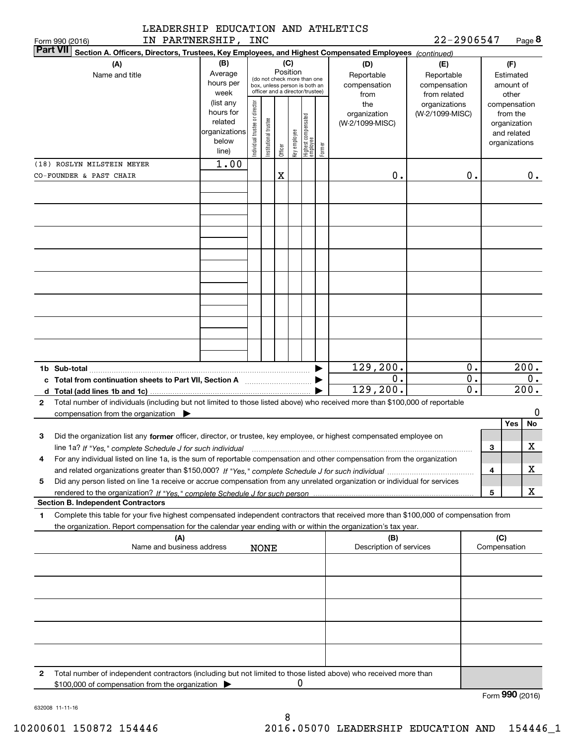| Section A. Officers, Directors, Trustees, Key Employees, and Highest Compensated Employees (continued)<br>(A)                                                                                 | (B)                                                                  |                                |                       | (C)     |                                                                                                             |                                   |        | (D)                                    | (E)                                        |                     | (F)                                                                      |
|-----------------------------------------------------------------------------------------------------------------------------------------------------------------------------------------------|----------------------------------------------------------------------|--------------------------------|-----------------------|---------|-------------------------------------------------------------------------------------------------------------|-----------------------------------|--------|----------------------------------------|--------------------------------------------|---------------------|--------------------------------------------------------------------------|
| Name and title                                                                                                                                                                                | Average<br>hours per<br>week                                         |                                |                       |         | Position<br>(do not check more than one<br>box, unless person is both an<br>officer and a director/trustee) |                                   |        | Reportable<br>compensation<br>from     | Reportable<br>compensation<br>from related |                     | Estimated<br>amount of<br>other                                          |
|                                                                                                                                                                                               | (list any<br>hours for<br>related<br>organizations<br>below<br>line) | Individual trustee or director | Institutional trustee | Officer | Key employee                                                                                                | Highest compensated<br>  employee | Former | the<br>organization<br>(W-2/1099-MISC) | organizations<br>(W-2/1099-MISC)           |                     | compensation<br>from the<br>organization<br>and related<br>organizations |
| (18) ROSLYN MILSTEIN MEYER<br>CO-FOUNDER & PAST CHAIR                                                                                                                                         | 1.00                                                                 |                                |                       | X       |                                                                                                             |                                   |        | 0.                                     | 0.                                         |                     | 0.                                                                       |
|                                                                                                                                                                                               |                                                                      |                                |                       |         |                                                                                                             |                                   |        |                                        |                                            |                     |                                                                          |
|                                                                                                                                                                                               |                                                                      |                                |                       |         |                                                                                                             |                                   |        |                                        |                                            |                     |                                                                          |
|                                                                                                                                                                                               |                                                                      |                                |                       |         |                                                                                                             |                                   |        |                                        |                                            |                     |                                                                          |
|                                                                                                                                                                                               |                                                                      |                                |                       |         |                                                                                                             |                                   |        |                                        |                                            |                     |                                                                          |
|                                                                                                                                                                                               |                                                                      |                                |                       |         |                                                                                                             |                                   |        |                                        |                                            |                     |                                                                          |
|                                                                                                                                                                                               |                                                                      |                                |                       |         |                                                                                                             |                                   |        | 129, 200.<br>0.                        | 0.<br>$0$ .                                |                     | 200.<br>0.                                                               |
| Total number of individuals (including but not limited to those listed above) who received more than \$100,000 of reportable<br>2<br>compensation from the organization $\blacktriangleright$ |                                                                      |                                |                       |         |                                                                                                             |                                   |        | 129,200.                               | 0.                                         |                     | $\overline{200}$ .<br>0                                                  |
| Did the organization list any former officer, director, or trustee, key employee, or highest compensated employee on<br>З                                                                     |                                                                      |                                |                       |         |                                                                                                             |                                   |        |                                        |                                            | 3                   | Yes<br>No<br>$\mathbf X$                                                 |
| line 1a? If "Yes," complete Schedule J for such individual<br>For any individual listed on line 1a, is the sum of reportable compensation and other compensation from the organization<br>4   |                                                                      |                                |                       |         |                                                                                                             |                                   |        |                                        |                                            | 4                   | х                                                                        |
| Did any person listed on line 1a receive or accrue compensation from any unrelated organization or individual for services<br>5                                                               |                                                                      |                                |                       |         |                                                                                                             |                                   |        |                                        |                                            | 5                   | х                                                                        |
| <b>Section B. Independent Contractors</b><br>Complete this table for your five highest compensated independent contractors that received more than \$100,000 of compensation from<br>1        |                                                                      |                                |                       |         |                                                                                                             |                                   |        |                                        |                                            |                     |                                                                          |
| the organization. Report compensation for the calendar year ending with or within the organization's tax year.<br>(A)<br>Name and business address                                            |                                                                      |                                | <b>NONE</b>           |         |                                                                                                             |                                   |        | (B)<br>Description of services         |                                            | (C)<br>Compensation |                                                                          |
|                                                                                                                                                                                               |                                                                      |                                |                       |         |                                                                                                             |                                   |        |                                        |                                            |                     |                                                                          |
|                                                                                                                                                                                               |                                                                      |                                |                       |         |                                                                                                             |                                   |        |                                        |                                            |                     |                                                                          |
|                                                                                                                                                                                               |                                                                      |                                |                       |         |                                                                                                             |                                   |        |                                        |                                            |                     |                                                                          |
| Total number of independent contractors (including but not limited to those listed above) who received more than<br>2<br>\$100,000 of compensation from the organization                      |                                                                      |                                |                       |         | 0                                                                                                           |                                   |        |                                        |                                            |                     |                                                                          |
|                                                                                                                                                                                               |                                                                      |                                |                       |         |                                                                                                             |                                   |        |                                        |                                            |                     | Form 990 (2016)                                                          |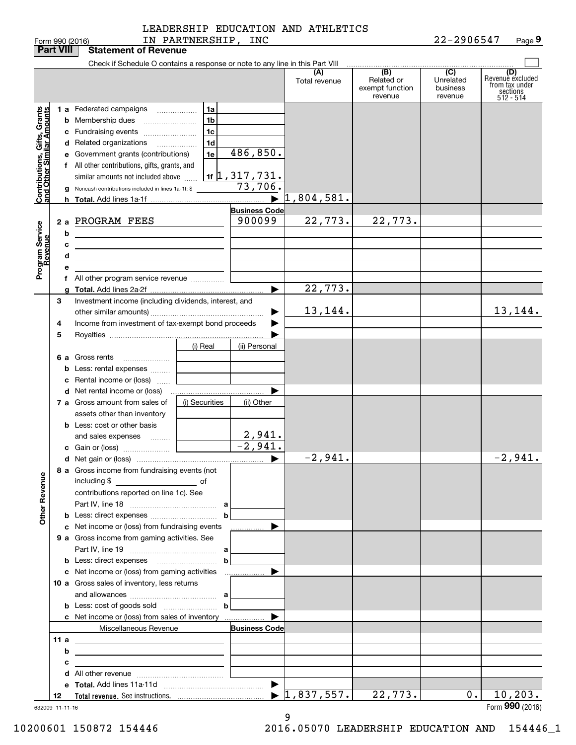| LEADERSHIP EDUCATION AND ATHLETICS |  |  |
|------------------------------------|--|--|
|                                    |  |  |

|                                                           | <b>Part VIII</b> | <b>Statement of Revenue</b>                                                   |                |                                            |                                  |                               |                       |                         |
|-----------------------------------------------------------|------------------|-------------------------------------------------------------------------------|----------------|--------------------------------------------|----------------------------------|-------------------------------|-----------------------|-------------------------|
|                                                           |                  | Check if Schedule O contains a response or note to any line in this Part VIII |                |                                            |                                  |                               |                       |                         |
|                                                           |                  |                                                                               |                |                                            | (A)                              | (B)                           | $\overline{C}$        | (D)<br>Revenuè excluded |
|                                                           |                  |                                                                               |                |                                            | Total revenue                    | Related or<br>exempt function | Unrelated<br>business | from tax under          |
|                                                           |                  |                                                                               |                |                                            |                                  | revenue                       | revenue               | sections<br>512 - 514   |
|                                                           |                  | 1 a Federated campaigns                                                       | 1a             |                                            |                                  |                               |                       |                         |
| Contributions, Gifts, Grants<br>and Other Similar Amounts |                  |                                                                               | 1 <sub>b</sub> |                                            |                                  |                               |                       |                         |
|                                                           |                  | <b>b</b> Membership dues                                                      |                |                                            |                                  |                               |                       |                         |
|                                                           |                  | c Fundraising events                                                          | 1 <sub>c</sub> |                                            |                                  |                               |                       |                         |
|                                                           |                  | d Related organizations                                                       | 1 <sub>d</sub> |                                            |                                  |                               |                       |                         |
|                                                           |                  | e Government grants (contributions)                                           | 1e             | 486,850.                                   |                                  |                               |                       |                         |
|                                                           |                  | f All other contributions, gifts, grants, and                                 |                |                                            |                                  |                               |                       |                         |
|                                                           |                  | similar amounts not included above                                            |                | $\frac{1}{11}$ $\frac{1}{1}$ , 317 , 731 . |                                  |                               |                       |                         |
|                                                           |                  | <b>g</b> Noncash contributions included in lines 1a-1f: \$                    |                | 73,706.                                    |                                  |                               |                       |                         |
|                                                           |                  |                                                                               |                | $\blacktriangleright$                      | 1,804,581.                       |                               |                       |                         |
|                                                           |                  |                                                                               |                | <b>Business Code</b>                       |                                  |                               |                       |                         |
|                                                           |                  | 2 a PROGRAM FEES                                                              |                | 900099                                     | 22,773.                          | 22,773.                       |                       |                         |
|                                                           | b                |                                                                               |                |                                            |                                  |                               |                       |                         |
|                                                           |                  | <u> 1989 - Johann Barn, amerikansk politiker (</u>                            |                |                                            |                                  |                               |                       |                         |
|                                                           | c                | <u> 1989 - Andrea Stadt Britain, amerikansk politiker (</u>                   |                |                                            |                                  |                               |                       |                         |
| Program Service<br>Revenue                                | d                | <u> 1989 - Johann Stein, mars an deus Amerikaansk kommunister (</u>           |                |                                            |                                  |                               |                       |                         |
|                                                           | е                |                                                                               |                |                                            |                                  |                               |                       |                         |
|                                                           |                  | f All other program service revenue                                           |                |                                            |                                  |                               |                       |                         |
|                                                           |                  |                                                                               |                | ►                                          | 22,773.                          |                               |                       |                         |
|                                                           | 3                | Investment income (including dividends, interest, and                         |                |                                            |                                  |                               |                       |                         |
|                                                           |                  |                                                                               |                |                                            | 13, 144.                         |                               |                       | 13,144.                 |
|                                                           | 4                | Income from investment of tax-exempt bond proceeds                            |                |                                            |                                  |                               |                       |                         |
|                                                           | 5                |                                                                               |                |                                            |                                  |                               |                       |                         |
|                                                           |                  |                                                                               | (i) Real       | (ii) Personal                              |                                  |                               |                       |                         |
|                                                           |                  | 6 a Gross rents                                                               |                |                                            |                                  |                               |                       |                         |
|                                                           |                  | <b>b</b> Less: rental expenses                                                |                |                                            |                                  |                               |                       |                         |
|                                                           |                  | c Rental income or (loss)                                                     |                |                                            |                                  |                               |                       |                         |
|                                                           |                  |                                                                               |                |                                            |                                  |                               |                       |                         |
|                                                           |                  |                                                                               |                |                                            |                                  |                               |                       |                         |
|                                                           |                  | 7 a Gross amount from sales of                                                | (i) Securities | (ii) Other                                 |                                  |                               |                       |                         |
|                                                           |                  | assets other than inventory                                                   |                |                                            |                                  |                               |                       |                         |
|                                                           |                  | <b>b</b> Less: cost or other basis                                            |                |                                            |                                  |                               |                       |                         |
|                                                           |                  | and sales expenses                                                            |                | 2,941.                                     |                                  |                               |                       |                         |
|                                                           |                  |                                                                               |                | $\overline{-2,941}$ .                      |                                  |                               |                       |                         |
|                                                           |                  |                                                                               |                |                                            | $-2,941.$                        |                               |                       | $-2,941.$               |
|                                                           |                  | 8 a Gross income from fundraising events (not                                 |                |                                            |                                  |                               |                       |                         |
|                                                           |                  | including \$                                                                  |                |                                            |                                  |                               |                       |                         |
|                                                           |                  | contributions reported on line 1c). See                                       |                |                                            |                                  |                               |                       |                         |
|                                                           |                  |                                                                               |                |                                            |                                  |                               |                       |                         |
| <b>Other Revenue</b>                                      |                  |                                                                               | $\mathbf b$    |                                            |                                  |                               |                       |                         |
|                                                           |                  |                                                                               |                |                                            |                                  |                               |                       |                         |
|                                                           |                  | c Net income or (loss) from fundraising events                                |                | ______________ ▶                           |                                  |                               |                       |                         |
|                                                           |                  | 9 a Gross income from gaming activities. See                                  |                |                                            |                                  |                               |                       |                         |
|                                                           |                  |                                                                               |                |                                            |                                  |                               |                       |                         |
|                                                           |                  |                                                                               | $\mathbf b$    |                                            |                                  |                               |                       |                         |
|                                                           |                  |                                                                               |                |                                            |                                  |                               |                       |                         |
|                                                           |                  | 10 a Gross sales of inventory, less returns                                   |                |                                            |                                  |                               |                       |                         |
|                                                           |                  |                                                                               |                |                                            |                                  |                               |                       |                         |
|                                                           |                  |                                                                               | $\mathbf b$    |                                            |                                  |                               |                       |                         |
|                                                           |                  | c Net income or (loss) from sales of inventory                                |                |                                            |                                  |                               |                       |                         |
|                                                           |                  | Miscellaneous Revenue                                                         |                | <b>Business Code</b>                       |                                  |                               |                       |                         |
|                                                           | 11a              |                                                                               |                |                                            |                                  |                               |                       |                         |
|                                                           | b                | <u> 1989 - Johann Barn, amerikansk politiker (d. 1989)</u>                    |                |                                            |                                  |                               |                       |                         |
|                                                           |                  | <u> 1989 - Andrea Station, amerikansk politik (</u>                           |                |                                            |                                  |                               |                       |                         |
|                                                           | с                | the control of the control of the control of the control of the control of    |                |                                            |                                  |                               |                       |                         |
|                                                           |                  |                                                                               |                |                                            |                                  |                               |                       |                         |
|                                                           |                  |                                                                               |                |                                            |                                  |                               |                       |                         |
|                                                           | 12               |                                                                               |                |                                            | $\blacktriangleright$ 1,837,557. | 22,773.                       | 0.                    | 10, 203.                |
|                                                           | 632009 11-11-16  |                                                                               |                |                                            |                                  |                               |                       | Form 990 (2016)         |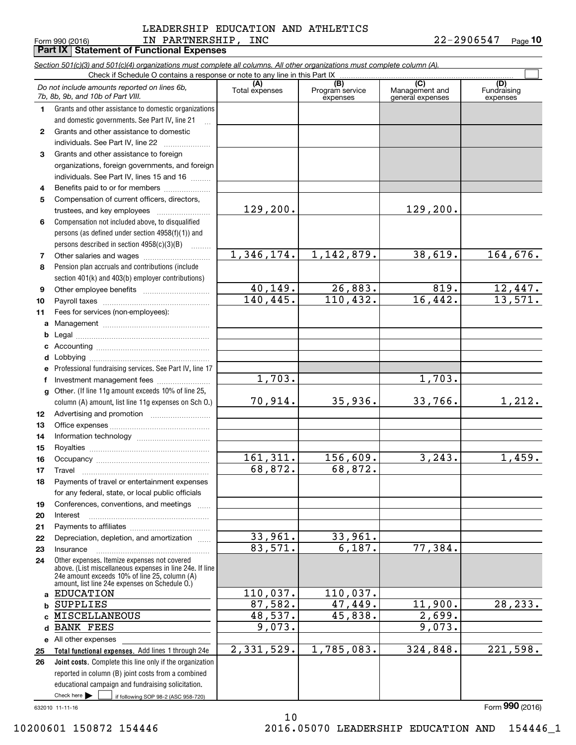#### LEADERSHIP EDUCATION AND ATHLETICS LEADERSHIP EDUCATION AND ATHLETICS Form990(2016) IN PARTNERSHIP, INC 22-2906547 Page **10**  Form 990 (2016) LN PAR'I'NERSHIP, INC 2 Z-Z9 U6 5 4 7 Page IN PARTNERSHIP, INC 22-2906547

**10**

|              | Part IX   Statement of Functional Expenses                                                                                                                |                       |                                    |                                           |                                |
|--------------|-----------------------------------------------------------------------------------------------------------------------------------------------------------|-----------------------|------------------------------------|-------------------------------------------|--------------------------------|
|              | Section 501(c)(3) and 501(c)(4) organizations must complete all columns. All other organizations must complete column (A).                                |                       |                                    |                                           |                                |
|              |                                                                                                                                                           |                       |                                    |                                           |                                |
|              | Do not include amounts reported on lines 6b,<br>7b, 8b, 9b, and 10b of Part VIII.                                                                         | (A)<br>Total expenses | (B)<br>Program service<br>expenses | (C)<br>Management and<br>general expenses | (D)<br>Fundraising<br>expenses |
| 1.           | Grants and other assistance to domestic organizations                                                                                                     |                       |                                    |                                           |                                |
|              | and domestic governments. See Part IV, line 21                                                                                                            |                       |                                    |                                           |                                |
| $\mathbf{2}$ | Grants and other assistance to domestic                                                                                                                   |                       |                                    |                                           |                                |
|              | individuals. See Part IV, line 22                                                                                                                         |                       |                                    |                                           |                                |
| 3            | Grants and other assistance to foreign                                                                                                                    |                       |                                    |                                           |                                |
|              | organizations, foreign governments, and foreign                                                                                                           |                       |                                    |                                           |                                |
|              | individuals. See Part IV, lines 15 and 16                                                                                                                 |                       |                                    |                                           |                                |
| 4            | Benefits paid to or for members                                                                                                                           |                       |                                    |                                           |                                |
| 5            | Compensation of current officers, directors,                                                                                                              |                       |                                    |                                           |                                |
|              | trustees, and key employees                                                                                                                               | 129, 200.             |                                    | 129, 200.                                 |                                |
| 6            | Compensation not included above, to disqualified                                                                                                          |                       |                                    |                                           |                                |
|              | persons (as defined under section 4958(f)(1)) and                                                                                                         |                       |                                    |                                           |                                |
|              | persons described in section $4958(c)(3)(B)$                                                                                                              | 1,346,174.            | 1,142,879.                         | 38,619.                                   | 164,676.                       |
| 7            |                                                                                                                                                           |                       |                                    |                                           |                                |
| 8            | Pension plan accruals and contributions (include<br>section 401(k) and 403(b) employer contributions)                                                     |                       |                                    |                                           |                                |
| 9            |                                                                                                                                                           | 40,149.               | 26,883.                            | 819.                                      |                                |
| 10           |                                                                                                                                                           | 140, 445.             | 110, 432.                          | 16,442.                                   | $\frac{12,447.}{13,571.}$      |
| 11           | Fees for services (non-employees):                                                                                                                        |                       |                                    |                                           |                                |
| a            |                                                                                                                                                           |                       |                                    |                                           |                                |
| b            |                                                                                                                                                           |                       |                                    |                                           |                                |
| c            |                                                                                                                                                           |                       |                                    |                                           |                                |
| d            |                                                                                                                                                           |                       |                                    |                                           |                                |
| е            | Professional fundraising services. See Part IV, line 17                                                                                                   |                       |                                    |                                           |                                |
| f            | Investment management fees                                                                                                                                | 1,703.                |                                    | 1,703.                                    |                                |
| $\mathbf{q}$ | Other. (If line 11g amount exceeds 10% of line 25,                                                                                                        |                       |                                    |                                           |                                |
|              | column (A) amount, list line 11g expenses on Sch O.)                                                                                                      | 70,914.               | 35,936.                            | 33,766.                                   | 1,212.                         |
| 12           |                                                                                                                                                           |                       |                                    |                                           |                                |
| 13           |                                                                                                                                                           |                       |                                    |                                           |                                |
| 14           |                                                                                                                                                           |                       |                                    |                                           |                                |
| 15           |                                                                                                                                                           |                       |                                    |                                           |                                |
| 16           |                                                                                                                                                           | 161, 311.             | 156,609.                           | 3, 243.                                   | 1,459.                         |
| 17           | Travel                                                                                                                                                    | 68,872.               | 68,872.                            |                                           |                                |
| 18           | Payments of travel or entertainment expenses                                                                                                              |                       |                                    |                                           |                                |
|              | for any federal, state, or local public officials                                                                                                         |                       |                                    |                                           |                                |
| 19           | Conferences, conventions, and meetings                                                                                                                    |                       |                                    |                                           |                                |
| 20           | Interest                                                                                                                                                  |                       |                                    |                                           |                                |
| 21           |                                                                                                                                                           |                       |                                    |                                           |                                |
| 22           | Depreciation, depletion, and amortization                                                                                                                 | 33,961.               | 33,961.                            |                                           |                                |
| 23           | Insurance                                                                                                                                                 | 83,571.               | 6,187.                             | 77,384.                                   |                                |
| 24           | Other expenses. Itemize expenses not covered<br>above. (List miscellaneous expenses in line 24e. If line<br>24e amount exceeds 10% of line 25, column (A) |                       |                                    |                                           |                                |
|              | amount, list line 24e expenses on Schedule O.)<br><b>EDUCATION</b>                                                                                        | 110,037.              | 110,037.                           |                                           |                                |
| a<br>b       | <b>SUPPLIES</b>                                                                                                                                           | 87,582.               | 47,449.                            | 11,900.                                   | 28, 233.                       |
|              | <b>MISCELLANEOUS</b>                                                                                                                                      | 48,537.               | 45,838.                            | 2,699.                                    |                                |
| d            | <b>BANK FEES</b>                                                                                                                                          | 9,073.                |                                    | 9,073.                                    |                                |
|              | e All other expenses                                                                                                                                      |                       |                                    |                                           |                                |
| 25           | Total functional expenses. Add lines 1 through 24e                                                                                                        | 2,331,529.            | 1,785,083.                         | 324,848.                                  | 221,598.                       |
| 26           | Joint costs. Complete this line only if the organization                                                                                                  |                       |                                    |                                           |                                |
|              | reported in column (B) joint costs from a combined                                                                                                        |                       |                                    |                                           |                                |
|              | educational campaign and fundraising solicitation.                                                                                                        |                       |                                    |                                           |                                |
|              | Check here $\blacktriangleright$<br>if following SOP 98-2 (ASC 958-720)                                                                                   |                       |                                    |                                           |                                |
|              | 632010 11-11-16                                                                                                                                           |                       |                                    |                                           | Form 990 (2016)                |
|              |                                                                                                                                                           | 10                    |                                    |                                           |                                |

10200601 150872 154446

2016.05070 LEADERSHIP EDUCATION AND 154446\_1 10200601 150872 154446 2016.05070 LEADERSHIP EDUCATION AND 154446\_1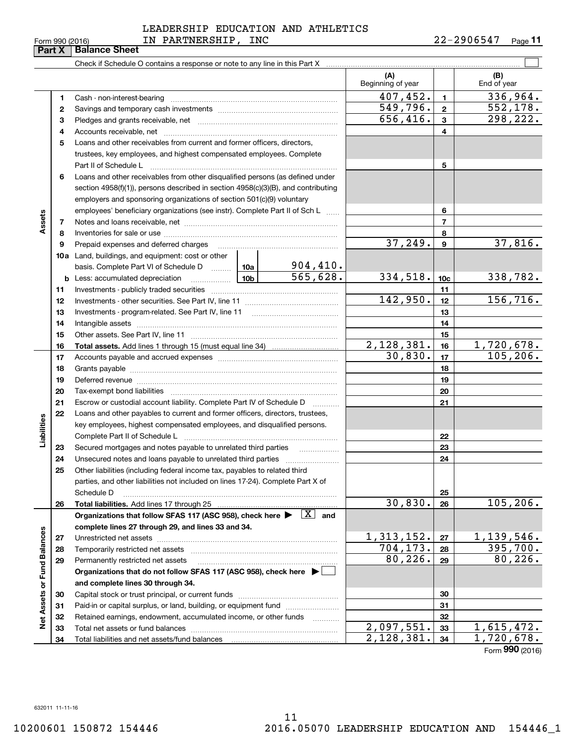#### 632011 11-11-16 632011 11-11-16

**3334**

**32** Retained earnings, endowment, accumulated income, or other funds ............ **33** Total net assets or fund balances ... ... ... ... ... ... ... ... ... ... ... ... ... ... ... ... ... ... ... ... ... ... Total net assets or fund balances ~~~~~~~~~~~~~~~~~~~~~~

Total liabilities and net assets/fund balances

#### LEADERSHIP EDUCATION AND ATHLETICS LEADERSHIP EDUCATION AND ATHLETICS Form 990 (2016) IN PARTNERSHIP , INC 22-2906547 <sub>Page</sub> 11 IN PARTNERSHIP, INC 22-2906547

**11**

|                             | Part X | <b>Balance Sheet</b>                                                                                                       |            |                           |                          |                 |                    |
|-----------------------------|--------|----------------------------------------------------------------------------------------------------------------------------|------------|---------------------------|--------------------------|-----------------|--------------------|
|                             |        |                                                                                                                            |            |                           |                          |                 |                    |
|                             |        |                                                                                                                            |            |                           | (A)<br>Beginning of year |                 | (B)<br>End of year |
|                             | 1      |                                                                                                                            |            |                           | 407, 452.                | $\mathbf{1}$    | 336,964.           |
|                             | 2      |                                                                                                                            |            |                           | 549,796.                 | $\mathbf{2}$    | 552, 178.          |
|                             | з      |                                                                                                                            |            |                           | 656,416.                 | 3               | 298,222.           |
|                             | 4      |                                                                                                                            |            |                           |                          | 4               |                    |
|                             | 5      | Loans and other receivables from current and former officers, directors.                                                   |            |                           |                          |                 |                    |
|                             |        | trustees, key employees, and highest compensated employees. Complete                                                       |            |                           |                          |                 |                    |
|                             |        | Part II of Schedule L                                                                                                      |            |                           |                          | 5               |                    |
|                             | 6      | Loans and other receivables from other disqualified persons (as defined under                                              |            |                           |                          |                 |                    |
|                             |        | section 4958(f)(1)), persons described in section 4958(c)(3)(B), and contributing                                          |            |                           |                          |                 |                    |
|                             |        | employers and sponsoring organizations of section 501(c)(9) voluntary                                                      |            |                           |                          |                 |                    |
|                             |        | employees' beneficiary organizations (see instr). Complete Part II of Sch L                                                |            |                           |                          | 6               |                    |
| Assets                      | 7      |                                                                                                                            |            |                           | $\overline{7}$           |                 |                    |
|                             | 8      |                                                                                                                            |            |                           |                          | 8               |                    |
|                             | 9      | Prepaid expenses and deferred charges                                                                                      |            |                           | 37,249.                  | 9               | 37,816.            |
|                             |        | <b>10a</b> Land, buildings, and equipment: cost or other                                                                   |            |                           |                          |                 |                    |
|                             |        | basis. Complete Part VI of Schedule D  10a                                                                                 |            | 904,410.                  |                          |                 |                    |
|                             | b      | <u>  10b</u>  <br>Less: accumulated depreciation                                                                           |            | $\overline{565,628.}$     | 334,518.                 | 10 <sub>c</sub> | 338,782.           |
|                             | 11     |                                                                                                                            |            |                           | 11                       |                 |                    |
|                             | 12     |                                                                                                                            |            | 142,950.                  | 12                       | 156, 716.       |                    |
|                             | 13     |                                                                                                                            |            |                           | 13                       |                 |                    |
|                             | 14     |                                                                                                                            |            |                           | 14                       |                 |                    |
|                             | 15     |                                                                                                                            |            | 15                        |                          |                 |                    |
|                             | 16     |                                                                                                                            | 2,128,381. | 16                        | 1,720,678.               |                 |                    |
|                             | 17     |                                                                                                                            |            |                           | 30,830.                  | 17              | 105, 206.          |
|                             | 18     |                                                                                                                            |            |                           |                          | 18              |                    |
|                             | 19     |                                                                                                                            |            |                           |                          | 19              |                    |
|                             | 20     |                                                                                                                            |            |                           |                          | 20              |                    |
|                             | 21     | Escrow or custodial account liability. Complete Part IV of Schedule D                                                      |            | 1.1.1.1.1.1.1.1.1         |                          | 21              |                    |
|                             | 22     | Loans and other payables to current and former officers, directors, trustees,                                              |            |                           |                          |                 |                    |
| Liabilities                 |        | key employees, highest compensated employees, and disqualified persons.                                                    |            |                           |                          |                 |                    |
|                             |        |                                                                                                                            |            |                           |                          | 22              |                    |
|                             | 23     | Secured mortgages and notes payable to unrelated third parties                                                             |            |                           |                          | 23              |                    |
|                             | 24     |                                                                                                                            |            |                           |                          | 24              |                    |
|                             | 25     | Other liabilities (including federal income tax, payables to related third                                                 |            |                           |                          |                 |                    |
|                             |        | parties, and other liabilities not included on lines 17-24). Complete Part X of                                            |            |                           |                          |                 |                    |
|                             |        | Schedule D                                                                                                                 |            |                           | 30,830.                  | 25<br>26        | 105, 206.          |
|                             | 26     | Total liabilities. Add lines 17 through 25<br>Organizations that follow SFAS 117 (ASC 958), check here >                   |            | $\boxed{\text{X}}$<br>and |                          |                 |                    |
|                             |        | complete lines 27 through 29, and lines 33 and 34.                                                                         |            |                           |                          |                 |                    |
|                             | 27     | Unrestricted net assets                                                                                                    |            |                           | 1,313,152.               | 27              | 1,139,546.         |
|                             | 28     | Temporarily restricted net assets                                                                                          |            |                           | 704, 173.                | 28              | 395,700.           |
|                             | 29     |                                                                                                                            |            |                           | 80, 226.                 | 29              | 80, 226.           |
|                             |        | Permanently restricted net assets<br>Organizations that do not follow SFAS 117 (ASC 958), check here $\blacktriangleright$ |            |                           |                          |                 |                    |
| Net Assets or Fund Balances |        | and complete lines 30 through 34.                                                                                          |            |                           |                          |                 |                    |
|                             | 30     |                                                                                                                            |            |                           |                          | 30              |                    |
|                             | 31     | Paid-in or capital surplus, or land, building, or equipment fund                                                           |            |                           |                          | 31              |                    |
|                             | 32     | Retained earnings, endowment, accumulated income, or other funds                                                           |            |                           |                          | 32              |                    |
|                             | วว     | Total not accote or fund halances                                                                                          | 2.097.551  | 22                        | 1, 615, 472.             |                 |                    |

2,128,381.

**32 32**2, 097,551. **33** 1, 615,472. 2,097,551. 1,615,472.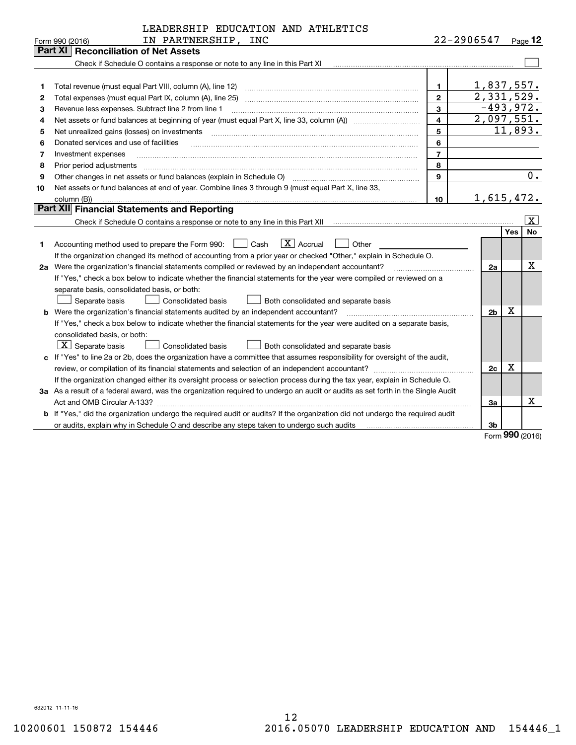|    | LEADERSHIP EDUCATION AND ATHLETICS                                                                                              |                  |            |                |            |                         |
|----|---------------------------------------------------------------------------------------------------------------------------------|------------------|------------|----------------|------------|-------------------------|
|    | IN PARTNERSHIP, INC<br>Form 990 (2016)                                                                                          |                  | 22-2906547 |                |            | $Page$ 12               |
|    | Part XII<br><b>Reconciliation of Net Assets</b>                                                                                 |                  |            |                |            |                         |
|    | Check if Schedule O contains a response or note to any line in this Part XI                                                     |                  |            |                |            |                         |
|    |                                                                                                                                 |                  |            |                |            |                         |
| 1  | Total revenue (must equal Part VIII, column (A), line 12)                                                                       | 1.               | 1,837,557. |                |            |                         |
| 2  | Total expenses (must equal Part IX, column (A), line 25)                                                                        | $\overline{2}$   | 2,331,529. |                |            |                         |
| 3  | Revenue less expenses. Subtract line 2 from line 1                                                                              | 3                |            | $-493,972.$    |            |                         |
| 4  |                                                                                                                                 | 4                | 2,097,551. |                |            |                         |
| 5  | Net unrealized gains (losses) on investments                                                                                    | 5                |            |                |            | 11,893.                 |
| 6  | Donated services and use of facilities                                                                                          | 6                |            |                |            |                         |
| 7  | Investment expenses                                                                                                             | $\overline{7}$   |            |                |            |                         |
| 8  | Prior period adjustments                                                                                                        | 8                |            |                |            |                         |
| 9  | Other changes in net assets or fund balances (explain in Schedule O)                                                            | 9                |            |                |            | $\overline{0}$ .        |
| 10 | Net assets or fund balances at end of year. Combine lines 3 through 9 (must equal Part X, line 33,                              |                  |            |                |            |                         |
|    | column (B))                                                                                                                     | 10 <sup>10</sup> |            | 1,615,472.     |            |                         |
|    | <b>Part XII Financial Statements and Reporting</b>                                                                              |                  |            |                |            |                         |
|    |                                                                                                                                 |                  |            |                |            | $\overline{\mathbf{x}}$ |
|    |                                                                                                                                 |                  |            |                | <b>Yes</b> | <b>No</b>               |
| 1  | $ X $ Accrual<br>Cash<br>Other<br>Accounting method used to prepare the Form 990:                                               |                  |            |                |            |                         |
|    | If the organization changed its method of accounting from a prior year or checked "Other," explain in Schedule O.               |                  |            |                |            |                         |
|    | 2a Were the organization's financial statements compiled or reviewed by an independent accountant?                              |                  |            | 2a             |            | х                       |
|    | If "Yes," check a box below to indicate whether the financial statements for the year were compiled or reviewed on a            |                  |            |                |            |                         |
|    | separate basis, consolidated basis, or both:                                                                                    |                  |            |                |            |                         |
|    | Separate basis<br>Consolidated basis<br>Both consolidated and separate basis                                                    |                  |            |                |            |                         |
|    | b Were the organization's financial statements audited by an independent accountant?                                            |                  |            | 2 <sub>b</sub> | X          |                         |
|    | If "Yes," check a box below to indicate whether the financial statements for the year were audited on a separate basis,         |                  |            |                |            |                         |
|    | consolidated basis, or both:                                                                                                    |                  |            |                |            |                         |
|    | $\boxed{\textbf{X}}$ Separate basis<br><b>Consolidated basis</b><br>Both consolidated and separate basis                        |                  |            |                |            |                         |
|    | c If "Yes" to line 2a or 2b, does the organization have a committee that assumes responsibility for oversight of the audit,     |                  |            |                |            |                         |
|    |                                                                                                                                 |                  |            | 2c             | x          |                         |
|    | If the organization changed either its oversight process or selection process during the tax year, explain in Schedule O.       |                  |            |                |            |                         |
|    | 3a As a result of a federal award, was the organization required to undergo an audit or audits as set forth in the Single Audit |                  |            |                |            |                         |
|    |                                                                                                                                 |                  |            | За             |            | х                       |
|    | b If "Yes," did the organization undergo the required audit or audits? If the organization did not undergo the required audit   |                  |            |                |            |                         |
|    | or audits, explain why in Schedule O and describe any steps taken to undergo such audits                                        |                  |            | 3b             | nnn        |                         |

Form **990** (2016) Form (2016) **990**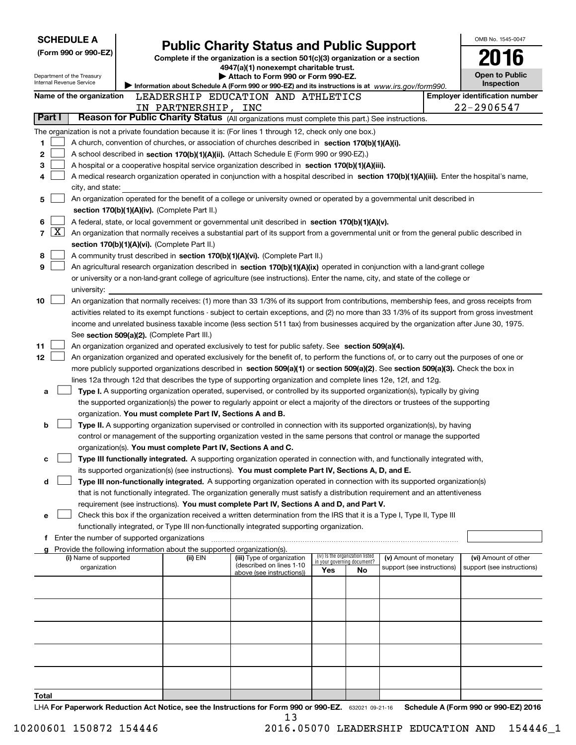|                            | <b>SCHEDULE A</b>                             |                                                                                      |                                                                                                                                                                                                                                                                                            |                                    |                                 |                            | OMB No. 1545-0047                          |
|----------------------------|-----------------------------------------------|--------------------------------------------------------------------------------------|--------------------------------------------------------------------------------------------------------------------------------------------------------------------------------------------------------------------------------------------------------------------------------------------|------------------------------------|---------------------------------|----------------------------|--------------------------------------------|
|                            | (Form 990 or 990-EZ)                          |                                                                                      | <b>Public Charity Status and Public Support</b>                                                                                                                                                                                                                                            |                                    |                                 |                            | 2016                                       |
|                            |                                               |                                                                                      | Complete if the organization is a section 501(c)(3) organization or a section<br>4947(a)(1) nonexempt charitable trust.                                                                                                                                                                    |                                    |                                 |                            |                                            |
| Internal Revenue Service   | Department of the Treasury                    |                                                                                      | Attach to Form 990 or Form 990-EZ.                                                                                                                                                                                                                                                         |                                    |                                 |                            | <b>Open to Public</b><br><b>Inspection</b> |
|                            | Name of the organization                      |                                                                                      | Information about Schedule A (Form 990 or 990-EZ) and its instructions is at www.irs.gov/form990.<br>LEADERSHIP EDUCATION AND ATHLETICS                                                                                                                                                    |                                    |                                 |                            | <b>Employer identification number</b>      |
|                            |                                               | IN PARTNERSHIP, INC                                                                  |                                                                                                                                                                                                                                                                                            |                                    |                                 |                            | 22-2906547                                 |
| Part I                     |                                               |                                                                                      | Reason for Public Charity Status (All organizations must complete this part.) See instructions.                                                                                                                                                                                            |                                    |                                 |                            |                                            |
|                            |                                               |                                                                                      | The organization is not a private foundation because it is: (For lines 1 through 12, check only one box.)                                                                                                                                                                                  |                                    |                                 |                            |                                            |
| 1                          |                                               |                                                                                      | A church, convention of churches, or association of churches described in section 170(b)(1)(A)(i).                                                                                                                                                                                         |                                    |                                 |                            |                                            |
| 2                          |                                               |                                                                                      | A school described in section 170(b)(1)(A)(ii). (Attach Schedule E (Form 990 or 990-EZ).)                                                                                                                                                                                                  |                                    |                                 |                            |                                            |
| 3                          |                                               |                                                                                      | A hospital or a cooperative hospital service organization described in section $170(b)(1)(A)(iii)$ .                                                                                                                                                                                       |                                    |                                 |                            |                                            |
| 4                          |                                               |                                                                                      | A medical research organization operated in conjunction with a hospital described in section 170(b)(1)(A)(iii). Enter the hospital's name,                                                                                                                                                 |                                    |                                 |                            |                                            |
| 5                          | city, and state:                              |                                                                                      | An organization operated for the benefit of a college or university owned or operated by a governmental unit described in                                                                                                                                                                  |                                    |                                 |                            |                                            |
|                            |                                               | section 170(b)(1)(A)(iv). (Complete Part II.)                                        |                                                                                                                                                                                                                                                                                            |                                    |                                 |                            |                                            |
| 6                          |                                               |                                                                                      | A federal, state, or local government or governmental unit described in section 170(b)(1)(A)(v).                                                                                                                                                                                           |                                    |                                 |                            |                                            |
| $\overline{\text{X}}$<br>7 |                                               |                                                                                      | An organization that normally receives a substantial part of its support from a governmental unit or from the general public described in                                                                                                                                                  |                                    |                                 |                            |                                            |
|                            |                                               | section 170(b)(1)(A)(vi). (Complete Part II.)                                        |                                                                                                                                                                                                                                                                                            |                                    |                                 |                            |                                            |
| 8                          |                                               |                                                                                      | A community trust described in section 170(b)(1)(A)(vi). (Complete Part II.)                                                                                                                                                                                                               |                                    |                                 |                            |                                            |
| 9                          |                                               |                                                                                      | An agricultural research organization described in section 170(b)(1)(A)(ix) operated in conjunction with a land-grant college                                                                                                                                                              |                                    |                                 |                            |                                            |
|                            |                                               |                                                                                      | or university or a non-land-grant college of agriculture (see instructions). Enter the name, city, and state of the college or                                                                                                                                                             |                                    |                                 |                            |                                            |
|                            | university:                                   |                                                                                      |                                                                                                                                                                                                                                                                                            |                                    |                                 |                            |                                            |
| 10                         |                                               |                                                                                      | An organization that normally receives: (1) more than 33 1/3% of its support from contributions, membership fees, and gross receipts from<br>activities related to its exempt functions - subject to certain exceptions, and (2) no more than 33 1/3% of its support from gross investment |                                    |                                 |                            |                                            |
|                            |                                               |                                                                                      | income and unrelated business taxable income (less section 511 tax) from businesses acquired by the organization after June 30, 1975.                                                                                                                                                      |                                    |                                 |                            |                                            |
|                            |                                               | See section 509(a)(2). (Complete Part III.)                                          |                                                                                                                                                                                                                                                                                            |                                    |                                 |                            |                                            |
| 11                         |                                               |                                                                                      | An organization organized and operated exclusively to test for public safety. See section 509(a)(4).                                                                                                                                                                                       |                                    |                                 |                            |                                            |
| 12                         |                                               |                                                                                      | An organization organized and operated exclusively for the benefit of, to perform the functions of, or to carry out the purposes of one or                                                                                                                                                 |                                    |                                 |                            |                                            |
|                            |                                               |                                                                                      | more publicly supported organizations described in section 509(a)(1) or section 509(a)(2). See section 509(a)(3). Check the box in                                                                                                                                                         |                                    |                                 |                            |                                            |
|                            |                                               |                                                                                      | lines 12a through 12d that describes the type of supporting organization and complete lines 12e, 12f, and 12g.                                                                                                                                                                             |                                    |                                 |                            |                                            |
| a                          |                                               |                                                                                      | Type I. A supporting organization operated, supervised, or controlled by its supported organization(s), typically by giving                                                                                                                                                                |                                    |                                 |                            |                                            |
|                            |                                               |                                                                                      | the supported organization(s) the power to regularly appoint or elect a majority of the directors or trustees of the supporting                                                                                                                                                            |                                    |                                 |                            |                                            |
|                            |                                               | organization. You must complete Part IV, Sections A and B.                           |                                                                                                                                                                                                                                                                                            |                                    |                                 |                            |                                            |
| b                          |                                               |                                                                                      | Type II. A supporting organization supervised or controlled in connection with its supported organization(s), by having                                                                                                                                                                    |                                    |                                 |                            |                                            |
|                            |                                               | organization(s). You must complete Part IV, Sections A and C.                        | control or management of the supporting organization vested in the same persons that control or manage the supported                                                                                                                                                                       |                                    |                                 |                            |                                            |
| c                          |                                               |                                                                                      | Type III functionally integrated. A supporting organization operated in connection with, and functionally integrated with,                                                                                                                                                                 |                                    |                                 |                            |                                            |
|                            |                                               |                                                                                      | its supported organization(s) (see instructions). You must complete Part IV, Sections A, D, and E.                                                                                                                                                                                         |                                    |                                 |                            |                                            |
| d                          |                                               |                                                                                      | Type III non-functionally integrated. A supporting organization operated in connection with its supported organization(s)                                                                                                                                                                  |                                    |                                 |                            |                                            |
|                            |                                               |                                                                                      | that is not functionally integrated. The organization generally must satisfy a distribution requirement and an attentiveness                                                                                                                                                               |                                    |                                 |                            |                                            |
|                            |                                               |                                                                                      | requirement (see instructions). You must complete Part IV, Sections A and D, and Part V.                                                                                                                                                                                                   |                                    |                                 |                            |                                            |
| е                          |                                               |                                                                                      | Check this box if the organization received a written determination from the IRS that it is a Type I, Type II, Type III                                                                                                                                                                    |                                    |                                 |                            |                                            |
|                            |                                               |                                                                                      | functionally integrated, or Type III non-functionally integrated supporting organization.                                                                                                                                                                                                  |                                    |                                 |                            |                                            |
|                            | f Enter the number of supported organizations |                                                                                      |                                                                                                                                                                                                                                                                                            |                                    |                                 |                            |                                            |
|                            | (i) Name of supported                         | g Provide the following information about the supported organization(s).<br>(ii) EIN | (iii) Type of organization                                                                                                                                                                                                                                                                 |                                    | (iv) Is the organization listed | (v) Amount of monetary     | (vi) Amount of other                       |
|                            | organization                                  |                                                                                      | (described on lines 1-10<br>above (see instructions))                                                                                                                                                                                                                                      | in your governing document?<br>Yes | No                              | support (see instructions) | support (see instructions)                 |
|                            |                                               |                                                                                      |                                                                                                                                                                                                                                                                                            |                                    |                                 |                            |                                            |
|                            |                                               |                                                                                      |                                                                                                                                                                                                                                                                                            |                                    |                                 |                            |                                            |
|                            |                                               |                                                                                      |                                                                                                                                                                                                                                                                                            |                                    |                                 |                            |                                            |
|                            |                                               |                                                                                      |                                                                                                                                                                                                                                                                                            |                                    |                                 |                            |                                            |
|                            |                                               |                                                                                      |                                                                                                                                                                                                                                                                                            |                                    |                                 |                            |                                            |
|                            |                                               |                                                                                      |                                                                                                                                                                                                                                                                                            |                                    |                                 |                            |                                            |
|                            |                                               |                                                                                      |                                                                                                                                                                                                                                                                                            |                                    |                                 |                            |                                            |
|                            |                                               |                                                                                      |                                                                                                                                                                                                                                                                                            |                                    |                                 |                            |                                            |
|                            |                                               |                                                                                      |                                                                                                                                                                                                                                                                                            |                                    |                                 |                            |                                            |
| Total                      |                                               |                                                                                      |                                                                                                                                                                                                                                                                                            |                                    |                                 |                            |                                            |
|                            |                                               |                                                                                      |                                                                                                                                                                                                                                                                                            |                                    |                                 |                            |                                            |

LHA **For Paperwork Reduction Act Notice, see the Instructions for Form 990 or 990-EZ.** 632021 09-21-16 **Schedule A (Form 990 or 990-EZ) <sup>2016</sup>** 13 632021 09-21-16 **For Paperwork Reduction Act Notice, see the Instructions for Form 990 or 990-EZ. Schedule A (Form 990 or 990-EZ) 2016** LHA 13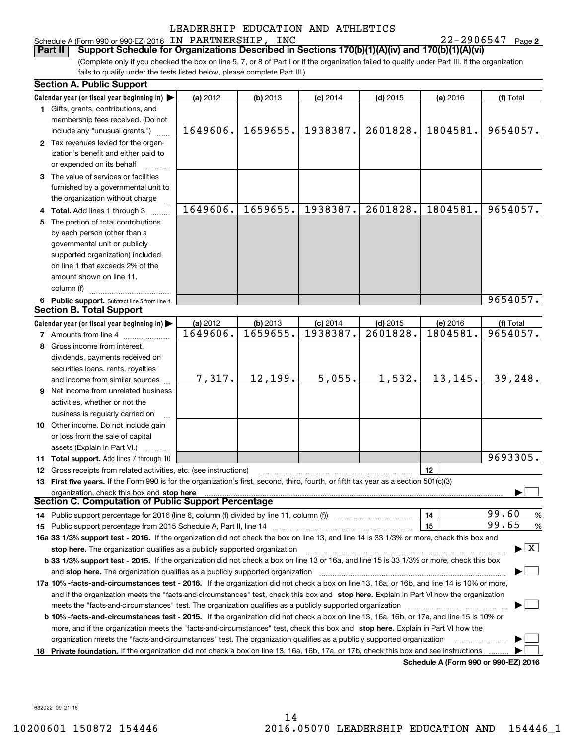### LEADERSHIP EDUCATION AND ATHLETICS LEADERSHIP EDUCATION AND ATHLETICS Schedule A(Form 990 or 990-EZ) 2016 IN PARTNERSHIP, INC 22-2906547 Page **<sup>2</sup>** Schedule A (Form 990 or 990-EZ) 2016 Page IN PARTNERSHIP, INC 22-2906547

| Schedule A (Form 990 or 990-EZ) 2016 IN PARTNERSHIP, INC                                                                                                                                                                                                                                     | LEADERSHIP EDUCATION AND ATHLETICS |                      |                        |                        |                      | $22 - 2906547$ Page 2                    |
|----------------------------------------------------------------------------------------------------------------------------------------------------------------------------------------------------------------------------------------------------------------------------------------------|------------------------------------|----------------------|------------------------|------------------------|----------------------|------------------------------------------|
| Support Schedule for Organizations Described in Sections 170(b)(1)(A)(iv) and 170(b)(1)(A)(vi)<br>Part II                                                                                                                                                                                    |                                    |                      |                        |                        |                      |                                          |
| (Complete only if you checked the box on line 5, 7, or 8 of Part I or if the organization failed to qualify under Part III. If the organization                                                                                                                                              |                                    |                      |                        |                        |                      |                                          |
| fails to qualify under the tests listed below, please complete Part III.)                                                                                                                                                                                                                    |                                    |                      |                        |                        |                      |                                          |
| <b>Section A. Public Support</b>                                                                                                                                                                                                                                                             |                                    |                      |                        |                        |                      |                                          |
| Calendar year (or fiscal year beginning in) $\blacktriangleright$                                                                                                                                                                                                                            | (a) 2012                           | (b) 2013             | $(c)$ 2014             | $(d)$ 2015             | (e) 2016             | (f) Total                                |
| 1 Gifts, grants, contributions, and                                                                                                                                                                                                                                                          |                                    |                      |                        |                        |                      |                                          |
| membership fees received. (Do not                                                                                                                                                                                                                                                            |                                    |                      |                        |                        |                      |                                          |
| include any "unusual grants.")                                                                                                                                                                                                                                                               | 1649606.                           | 1659655.             | 1938387.               | 2601828.               | 1804581.             | 9654057.                                 |
| 2 Tax revenues levied for the organ-<br>ization's benefit and either paid to<br>or expended on its behalf                                                                                                                                                                                    |                                    |                      |                        |                        |                      |                                          |
| 3 The value of services or facilities                                                                                                                                                                                                                                                        |                                    |                      |                        |                        |                      |                                          |
| furnished by a governmental unit to<br>the organization without charge                                                                                                                                                                                                                       |                                    |                      |                        |                        |                      |                                          |
| 4 Total. Add lines 1 through 3                                                                                                                                                                                                                                                               | 1649606.                           | 1659655.             | 1938387.               | 2601828.               | 1804581.             | 9654057.                                 |
| 5 The portion of total contributions                                                                                                                                                                                                                                                         |                                    |                      |                        |                        |                      |                                          |
| by each person (other than a                                                                                                                                                                                                                                                                 |                                    |                      |                        |                        |                      |                                          |
| governmental unit or publicly                                                                                                                                                                                                                                                                |                                    |                      |                        |                        |                      |                                          |
| supported organization) included                                                                                                                                                                                                                                                             |                                    |                      |                        |                        |                      |                                          |
| on line 1 that exceeds 2% of the                                                                                                                                                                                                                                                             |                                    |                      |                        |                        |                      |                                          |
| amount shown on line 11,                                                                                                                                                                                                                                                                     |                                    |                      |                        |                        |                      |                                          |
| column (f)                                                                                                                                                                                                                                                                                   |                                    |                      |                        |                        |                      |                                          |
| 6 Public support. Subtract line 5 from line 4.<br><b>Section B. Total Support</b>                                                                                                                                                                                                            |                                    |                      |                        |                        |                      | 9654057.                                 |
| Calendar year (or fiscal year beginning in)                                                                                                                                                                                                                                                  |                                    |                      |                        |                        |                      |                                          |
| 7 Amounts from line 4                                                                                                                                                                                                                                                                        | (a) 2012<br>1649606.               | (b) 2013<br>1659655. | $(c)$ 2014<br>1938387. | $(d)$ 2015<br>2601828. | (e) 2016<br>1804581. | (f) Total<br>9654057.                    |
| 8 Gross income from interest,                                                                                                                                                                                                                                                                |                                    |                      |                        |                        |                      |                                          |
| dividends, payments received on                                                                                                                                                                                                                                                              |                                    |                      |                        |                        |                      |                                          |
| securities loans, rents, royalties                                                                                                                                                                                                                                                           |                                    |                      |                        |                        |                      |                                          |
| and income from similar sources                                                                                                                                                                                                                                                              | 7,317.                             | 12, 199.             | 5,055.                 | 1,532.                 | 13, 145.             | 39,248.                                  |
| Net income from unrelated business<br>9.                                                                                                                                                                                                                                                     |                                    |                      |                        |                        |                      |                                          |
| activities, whether or not the                                                                                                                                                                                                                                                               |                                    |                      |                        |                        |                      |                                          |
| business is regularly carried on                                                                                                                                                                                                                                                             |                                    |                      |                        |                        |                      |                                          |
| <b>10</b> Other income. Do not include gain                                                                                                                                                                                                                                                  |                                    |                      |                        |                        |                      |                                          |
| or loss from the sale of capital                                                                                                                                                                                                                                                             |                                    |                      |                        |                        |                      |                                          |
| assets (Explain in Part VI.)<br>1.1.1.1.1.1.1.1                                                                                                                                                                                                                                              |                                    |                      |                        |                        |                      |                                          |
| <b>11 Total support.</b> Add lines 7 through 10                                                                                                                                                                                                                                              |                                    |                      |                        |                        |                      | 9693305.                                 |
| <b>12</b> Gross receipts from related activities, etc. (see instructions)                                                                                                                                                                                                                    |                                    |                      |                        |                        | 12                   |                                          |
| 13 First five years. If the Form 990 is for the organization's first, second, third, fourth, or fifth tax year as a section 501(c)(3)                                                                                                                                                        |                                    |                      |                        |                        |                      |                                          |
| organization, check this box and stop here manufactured and state and state and state and state and state and stop here and state and state and state and state and state and state and state and state and state and state an<br><b>Section C. Computation of Public Support Percentage</b> |                                    |                      |                        |                        |                      |                                          |
|                                                                                                                                                                                                                                                                                              |                                    |                      |                        |                        | 14                   | 99.60<br>$\%$                            |
| 15                                                                                                                                                                                                                                                                                           |                                    |                      |                        |                        | 15                   | 99.65<br>%                               |
| 16a 33 1/3% support test - 2016. If the organization did not check the box on line 13, and line 14 is 33 1/3% or more, check this box and                                                                                                                                                    |                                    |                      |                        |                        |                      |                                          |
|                                                                                                                                                                                                                                                                                              |                                    |                      |                        |                        |                      | $\blacktriangleright$ $\boxed{\text{X}}$ |
| <b>b 33 1/3% support test - 2015.</b> If the organization did not check a box on line 13 or 16a, and line 15 is 33 1/3% or more, check this box                                                                                                                                              |                                    |                      |                        |                        |                      |                                          |
|                                                                                                                                                                                                                                                                                              |                                    |                      |                        |                        |                      |                                          |
| 17a 10% -facts-and-circumstances test - 2016. If the organization did not check a box on line 13, 16a, or 16b, and line 14 is 10% or more,                                                                                                                                                   |                                    |                      |                        |                        |                      |                                          |
| and if the organization meets the "facts-and-circumstances" test, check this box and stop here. Explain in Part VI how the organization                                                                                                                                                      |                                    |                      |                        |                        |                      |                                          |
|                                                                                                                                                                                                                                                                                              |                                    |                      |                        |                        |                      |                                          |
| b 10% -facts-and-circumstances test - 2015. If the organization did not check a box on line 13, 16a, 16b, or 17a, and line 15 is 10% or                                                                                                                                                      |                                    |                      |                        |                        |                      |                                          |
| more, and if the organization meets the "facts-and-circumstances" test, check this box and stop here. Explain in Part VI how the                                                                                                                                                             |                                    |                      |                        |                        |                      |                                          |
| organization meets the "facts-and-circumstances" test. The organization qualifies as a publicly supported organization                                                                                                                                                                       |                                    |                      |                        |                        |                      |                                          |
| 18 Private foundation. If the organization did not check a box on line 13, 16a, 16b, 17a, or 17b, check this box and see instructions                                                                                                                                                        |                                    |                      |                        |                        |                      | Schedule A (Form 990 or 990-F7) 2016     |

**Schedule A (Form 990 or 990-EZ) <sup>2016</sup> Schedule A (Form 990 or 990-EZ) 2016**

632022 09-21-16 632022 09-21-16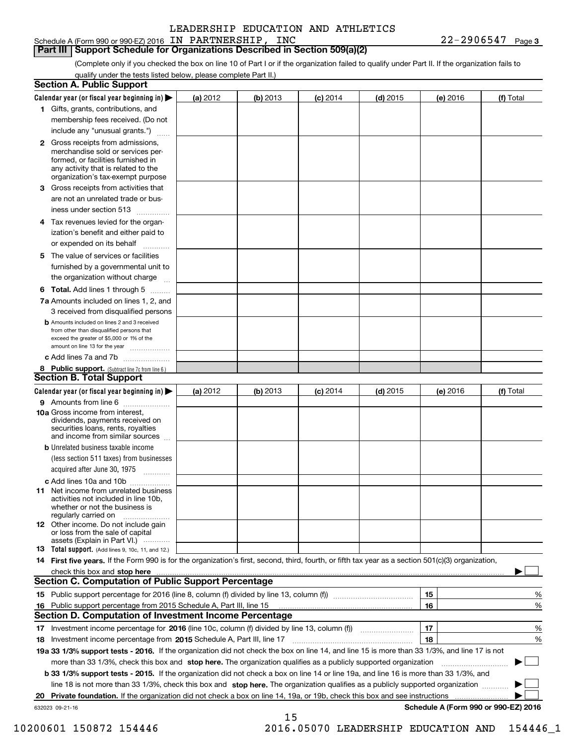Schedule A (Form 990 or 990-EZ) 2016 IN PARTNERSHIP, INC 22-2906547 Page 3

**Part III** Support Schedule for Organizations Described in Section 509(a)(2)

(Complete only if you checked the box on line 10 of Part I or if the organization failed to qualify under Part II. If the organization fails to qualify under the tests listed below, please complete Part II.) qualify under the tests listed below, please complete Part II.)

|                 | <b>Section A. Public Support</b>                                                                                                                                                                |          |          |            |            |                                      |           |
|-----------------|-------------------------------------------------------------------------------------------------------------------------------------------------------------------------------------------------|----------|----------|------------|------------|--------------------------------------|-----------|
|                 | Calendar year (or fiscal year beginning in) $\blacktriangleright$                                                                                                                               | (a) 2012 | (b) 2013 | $(c)$ 2014 | $(d)$ 2015 | (e) 2016                             | (f) Total |
|                 | 1 Gifts, grants, contributions, and                                                                                                                                                             |          |          |            |            |                                      |           |
|                 | membership fees received. (Do not                                                                                                                                                               |          |          |            |            |                                      |           |
|                 | include any "unusual grants.")                                                                                                                                                                  |          |          |            |            |                                      |           |
|                 | <b>2</b> Gross receipts from admissions,<br>merchandise sold or services per-<br>formed, or facilities furnished in<br>any activity that is related to the<br>organization's tax-exempt purpose |          |          |            |            |                                      |           |
|                 | 3 Gross receipts from activities that<br>are not an unrelated trade or bus-                                                                                                                     |          |          |            |            |                                      |           |
|                 | iness under section 513                                                                                                                                                                         |          |          |            |            |                                      |           |
|                 | 4 Tax revenues levied for the organ-                                                                                                                                                            |          |          |            |            |                                      |           |
|                 | ization's benefit and either paid to<br>or expended on its behalf                                                                                                                               |          |          |            |            |                                      |           |
|                 | 5 The value of services or facilities                                                                                                                                                           |          |          |            |            |                                      |           |
|                 | furnished by a governmental unit to                                                                                                                                                             |          |          |            |            |                                      |           |
|                 | the organization without charge                                                                                                                                                                 |          |          |            |            |                                      |           |
|                 | <b>6 Total.</b> Add lines 1 through 5                                                                                                                                                           |          |          |            |            |                                      |           |
|                 | 7a Amounts included on lines 1, 2, and                                                                                                                                                          |          |          |            |            |                                      |           |
|                 | 3 received from disqualified persons                                                                                                                                                            |          |          |            |            |                                      |           |
|                 | <b>b</b> Amounts included on lines 2 and 3 received<br>from other than disqualified persons that<br>exceed the greater of \$5,000 or 1% of the<br>amount on line 13 for the year                |          |          |            |            |                                      |           |
|                 | c Add lines 7a and 7b                                                                                                                                                                           |          |          |            |            |                                      |           |
|                 | 8 Public support. (Subtract line 7c from line 6.)<br><b>Section B. Total Support</b>                                                                                                            |          |          |            |            |                                      |           |
|                 | Calendar year (or fiscal year beginning in)                                                                                                                                                     | (a) 2012 | (b) 2013 | $(c)$ 2014 | $(d)$ 2015 | (e) 2016                             | (f) Total |
|                 | 9 Amounts from line 6                                                                                                                                                                           |          |          |            |            |                                      |           |
|                 | <b>10a</b> Gross income from interest,<br>dividends, payments received on<br>securities loans, rents, royalties<br>and income from similar sources                                              |          |          |            |            |                                      |           |
|                 | <b>b</b> Unrelated business taxable income                                                                                                                                                      |          |          |            |            |                                      |           |
|                 | (less section 511 taxes) from businesses                                                                                                                                                        |          |          |            |            |                                      |           |
|                 | acquired after June 30, 1975                                                                                                                                                                    |          |          |            |            |                                      |           |
|                 | c Add lines 10a and 10b                                                                                                                                                                         |          |          |            |            |                                      |           |
|                 | 11 Net income from unrelated business<br>activities not included in line 10b,<br>whether or not the business is<br>regularly carried on                                                         |          |          |            |            |                                      |           |
|                 | <b>12</b> Other income. Do not include gain<br>or loss from the sale of capital<br>assets (Explain in Part VI.)                                                                                 |          |          |            |            |                                      |           |
|                 | <b>13 Total support.</b> (Add lines 9, 10c, 11, and 12.)                                                                                                                                        |          |          |            |            |                                      |           |
|                 | 14 First five years. If the Form 990 is for the organization's first, second, third, fourth, or fifth tax year as a section 501(c)(3) organization,                                             |          |          |            |            |                                      |           |
|                 |                                                                                                                                                                                                 |          |          |            |            |                                      |           |
|                 | <b>Section C. Computation of Public Support Percentage</b>                                                                                                                                      |          |          |            |            |                                      |           |
|                 |                                                                                                                                                                                                 |          |          |            |            | 15                                   | %         |
|                 | 16 Public support percentage from 2015 Schedule A, Part III, line 15<br><b>Section D. Computation of Investment Income Percentage</b>                                                           |          |          |            |            | 16                                   | %         |
|                 | 17 Investment income percentage for 2016 (line 10c, column (f) divided by line 13, column (f))                                                                                                  |          |          |            |            | 17                                   | %         |
|                 | 18 Investment income percentage from 2015 Schedule A, Part III, line 17                                                                                                                         |          |          |            |            | 18                                   | %         |
|                 | 19a 33 1/3% support tests - 2016. If the organization did not check the box on line 14, and line 15 is more than 33 1/3%, and line 17 is not                                                    |          |          |            |            |                                      |           |
|                 | more than 33 1/3%, check this box and stop here. The organization qualifies as a publicly supported organization                                                                                |          |          |            |            |                                      |           |
|                 | b 33 1/3% support tests - 2015. If the organization did not check a box on line 14 or line 19a, and line 16 is more than 33 1/3%, and                                                           |          |          |            |            |                                      |           |
|                 | line 18 is not more than 33 1/3%, check this box and stop here. The organization qualifies as a publicly supported organization                                                                 |          |          |            |            |                                      |           |
| 20              |                                                                                                                                                                                                 |          |          |            |            |                                      |           |
| 632023 09-21-16 |                                                                                                                                                                                                 |          | 15       |            |            | Schedule A (Form 990 or 990-EZ) 2016 |           |

10200601 150872 154446 2016.05070 LEADERSHIP EDUCATION AND 154446\_1 10200601 150872 154446 2016.05070 LEADERSHIP EDUCATION AND 154446\_1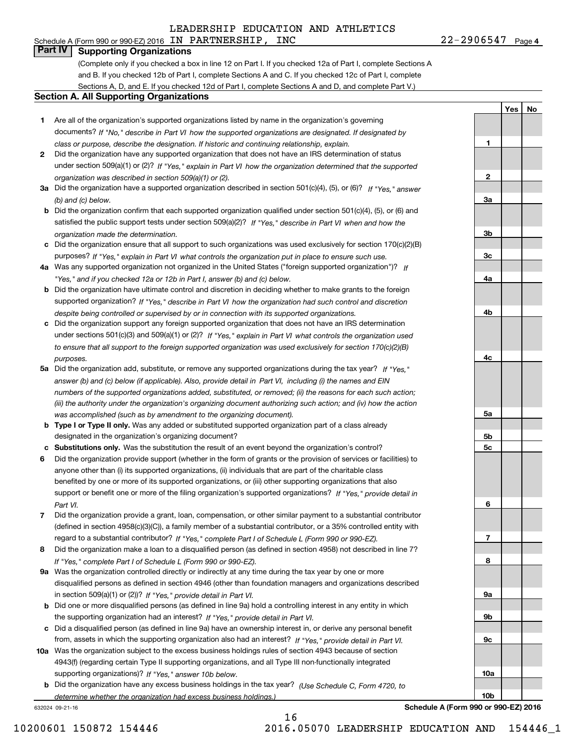#### Schedule A (Form 990 or 990-EZ) 2016 IN PARTNERSHIP, INC 22-2906547 Page 4 **Part IV I Supporting Organizations Part IV Supporting Organizations**

(Complete only if you checked a box in line 12 on Part I. If you checked 12a of Part I, complete Sections A and B. If you checked 12b of Part I, complete Sections A and C. If you checked 12c of Part I, complete and B. If you checked 12b of Part I, complete Sections A and C. If you checked 12c of Part I, complete Sections A, D, and E. If you checked 12d of Part I, complete Sections A and D, and complete Part V.)

#### **Section A. All Supporting Organizations Section A. All Supporting Organizations**

- **1** Are all of the organization's supported organizations listed by name in the organization's governing **1**Are all of the organization's supported organizations listed by name in the organization's governing  $\,$  documents? If "No," describe in Part VI how the supported organizations are designated. If designated by class or purpose, describe the designation. If historic and continuing relationship, explain. **1**  *class or purpose, describe the designation. If historic and continuing relationship, explain.*
- **2** Did the organization have any supported organization that does not have an IRS determination of status **2**Did the organization have any supported organization that does not have an IRS determination of status under section 509(a)(1) or (2)? If "Yes," explain in Part VI how the organization determined that the supported organization was described in section 509 (a) (1) or (2). **2**  *organization was described in section 509(a)(1) or (2).*
- 3a Did the organization have a supported organization described in section 501(c)(4), (5), or (6)? If "Yes, " answer (b) and (c) below. **3** *(b) and (c) below.*
- b Did the organization confirm that each supported organization qualified under section 501(c)(4), (5), or (6) and satisfied the public support tests under section 509(a)(2)? If "Yes," describe in Part VI when and how the organization made the determination. *organization made the determination.*
- c Did the organization ensure that all support to such organizations was used exclusively for section 170(c)(2)(B) purposes? If "Yes," explain in Part VI what controls the organization put in place to ensure such use.
- 4a Was any supported organization not organized in the United States ("foreign supported organization")? If Yes, and if you checked 12a or 12b in Part I, answer (b) and (c) below. **4** *"Yes," and if you checked 12a or 12b in Part I, answer (b) and (c) below.*
- **b** Did the organization have ultimate control and discretion in deciding whether to make grants to the foreign supported organization? If "Yes," describe in Part VI how the organization had such control and discretion despite being controlled or supervised by or in connection with its supported organizations. **4** *despite being controlled or supervised by or in connection with its supported organizations.*
- c Did the organization support any foreign supported organization that does not have an IRS determination under sections 501(c)(3) and 509(a)(1) or (2)? If "Yes," explain in Part VI what controls the organization used to ensure that all support to the foreign supported organization was used exclusively for section 170(c)(2)(B) purposes.<br>**4** *purposes.*
- 5a Did the organization add, substitute, or remove any supported organizations during the tax year? If "Yes," answer (b) and (c) below (if applicable). Also, provide detail in Part VI, including (i) the names and EIN numbers of the supported organizations added, substituted, or removed; (ii) the reasons for each such action; (iii) the authority under the organization's organizing document authorizing such action; and (iv) how the action was accomplished (such as by amendment to the organizing document). **5** *was accomplished (such as by amendment to the organizing document).*
- **b Type I or Type II only.** Was any added or substituted supported organization part of a class already designated in the organization's organizing document? **5** designated in the organization's organizing document?
- c Substitutions only. Was the substitution the result of an event beyond the organization's control?
- 6 Did the organization provide support (whether in the form of grants or the provision of services or facilities) to anyone other than (i) its supported organizations, (ii) individuals that are part of the charitable class anyone other than (i) its supported organizations, (ii) individuals that are part of the charitable class benefited by one or more of its supported organizations, or (iii) other supporting organizations that also benefited by one or more of its supported organizations, or (iii) other supporting organizations that also support or benefit one or more of the filing organization's supported organizations? If "Yes," provide detail in Part VI. **6**  *Part VI.*
- 7 Did the organization provide a grant, loan, compensation, or other similar payment to a substantial contributor (defined in section 4958(c)(3)(C)), a family member of a substantial contributor, or a 35% controlled entity with regard to a substantial contributor? If "Yes," complete Part I of Schedule L (Form 990 or 990-EZ).
- 8 Did the organization make a loan to a disqualified person (as defined in section 4958) not described in line 7? If "Yes," complete Part I of Schedule L (Form 990 or 990-EZ).
- 9a Was the organization controlled directly or indirectly at any time during the tax year by one or more disqualified persons as defined in section 4946 (other than foundation managers and organizations described disqualified persons as defined in section 4946 (other than foundation managers and organizations described in section 509(a)(1) or (2))? If "Yes," provide detail in Part VI.
- **b** Did one or more disqualified persons (as defined in line 9a) hold a controlling interest in any entity in which the supporting organization had an interest? If "Yes," provide detail in Part VI.
- c Did a disqualified person (as defined in line 9a) have an ownership interest in, or derive any personal benefit from, assets in which the supporting organization also had an interest? If "Yes," provide detail in Part VI.
- 10a Was the organization subject to the excess business holdings rules of section 4943 because of section 4943(f) (regarding certain Type II supporting organizations, and all Type III non-functionally integrated 4943(f) (regarding certain Type II supporting organizations, and all Type III non-functionally integrated supporting organizations)? If "Yes," answer 10b below. **10a**
- **b** Did the organization have any excess business holdings in the tax year? (Use Schedule C, Form 4720, to determine whether the organization had excess business holdings.) **10<sup>b</sup>** *determine whether the organization had excess business holdings.)*

632024 09-21-16



632024 09-21-16 **Schedule A (Form 990 or 990-EZ) <sup>2016</sup> Schedule A (Form 990 or 990-EZ) 2016**

**10b**

10200601 150872 154446 2016.05070 LEADERSHIP EDUCATION AND 154446\_1 10200601 150872 154446 2016.05070 LEADERSHIP EDUCATION AND 154446\_1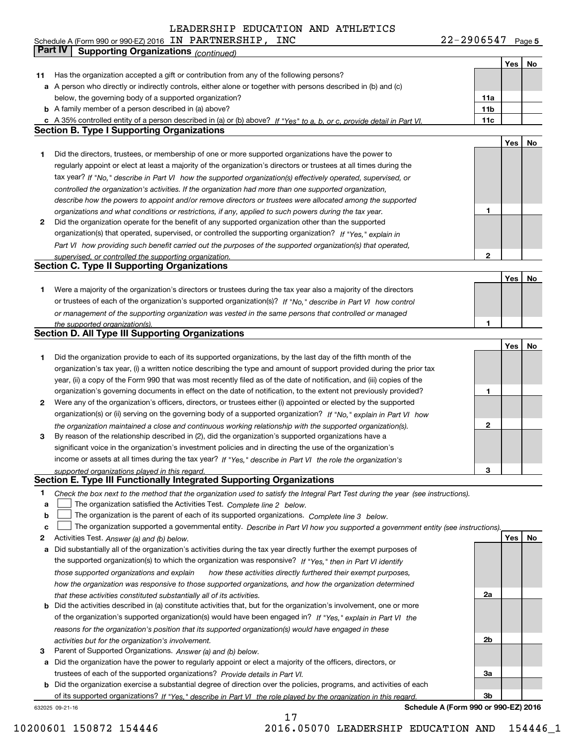Schedule A (Form 990 or 990-EZ) 2016 IN PARTNERSHIP, INC 22-29 06547 Page **Yes** I **No Yes11** Has the organization accepted a gift or contribution from any of the following persons? a A person who directly or indirectly controls, either alone or together with persons described in (b) and (c) below, the governing body of a supported organization? below, the governing body of a supported organization? **b** A family member of a person described in (a) above? **11b 11b 11b Section B. Section B. Type I Supporting Organizations 1** Did the directors, trustees, or membership of one or more supported organizations have the power to **1**Did the directors, trustees, or membership of one or more supported organizations have the power to regularly appoint or elect at least a majority of the organization's directors or trustees at all times during the tax year? If "No," describe in Part VI how the supported organization(s) effectively operated, supervised, or controlled the organization's activities. If the organization had more than one supported organization, *controlled the organization's activities. If the organization had more than one supported organization,* describe how the powers to appoint and/or remove directors or trustees were allocated among the supported *describe how the powers to appoint and/or remove directors or trustees were allocated among the supported* organizations and what conditions or restrictions, if any, applied to such powers during the tax year. *organizations and what conditions or restrictions, if any, applied to such powers during the tax year.* **2** Did the organization operate for the benefit of any supported organization other than the supported **2**Did the organization operate for the benefit of any supported organization other than the supported organization(s) that operated, supervised, or controlled the supporting organization? If "Yes," explain in Part VI how providing such benefit carried out the purposes of the supported organization(s) that operated, **Section C. Type II Section C. Type II Supporting Organizations** 1 Were a majority of the organization's directors or trustees during the tax year also a majority of the directors or trustees of each of the organization's supported organization(s)? If "No," describe in Part VI how control or management of the supporting organization was vested in the same persons that controlled or managed *or management of the supporting organization was vested in the same persons that controlled or managed* **Section D. All Type III Section D. All Type III Supporting Organizations** 1 Did the organization provide to each of its supported organizations, by the last day of the fifth month of the organization's tax year, (i) a written notice describing the type and amount of support provided during the prior tax year, (ii) a copy of the Form 990 that was most recently filed as of the date of notification, and (iii) copies of the organization's governing documents in effect on the date of notification, to the extent not previously provided? 2 Were any of the organization's officers, directors, or trustees either (i) appointed or elected by the supported organization(s) or (ii) serving on the governing body of a supported organization? If "No," explain in Part VI how the organization maintained a close and continuous working relationship with the supported organization(s). *the organization maintained a close and continuous working relationship with the supported organization(s).* **3** By reason of the relationship described in (2), did the organization's supported organizations have a significant voice in the organization's investment policies and in directing the use of the organization's significant voice in the organization's investment policies and in directing the use of the organization's income or assets at all times during the tax year? If "Yes," describe in Part VI the role the organization's 22-2906547 Page 5 **No c** A 35% controlled entity of a person described in (a) or (b) above? If "Yes" to a, b, or c, provide detail in Part VI. **11a11b11cYes No 12Yes No 1Yes No 312***supervised, or controlled the supporting organization. the supported organization(s).* **Part IV Supporting Organizations** *(continued)*

*supported organizations played in this regard.*

#### **Section E. Type III Functionally Integrated Supporting Organizations Section E. Type III Functionally Integrated Supporting Organizations**

- 1 Check the box next to the method that the organization used to satisfy the Integral Part Test during the year (see instructions). **1**
- **a**  $\Box$  The organization satisfied the Activities Test. Complete line 2 below. **a**
- **b**  $\Box$  The organization is the parent of each of its supported organizations. Complete line 3 below. **b** $\mathcal{L}^{\text{max}}$

|  |  |  | J The organization supported a governmental entity. Describe in Part VI how you supported a government entity (see instructions). |
|--|--|--|-----------------------------------------------------------------------------------------------------------------------------------|
|--|--|--|-----------------------------------------------------------------------------------------------------------------------------------|

- **2** Activities Test. Answer (a) and (b) below. **Yes No**
- a Did substantially all of the organization's activities during the tax year directly further the exempt purposes of the supported organization(s) to which the organization was responsive? If "Yes," then in Part VI identify those supported organizations and explain how these activities directly furthered their exempt purposes,  *how these activities directly furthered their exempt purposes,* how the organization was responsive to those supported organizations, and how the organization determined *how the organization was responsive to those supported organizations, and how the organization determined* that these activities constituted substantially all of its activities. *that these activities constituted substantially all of its activities. those supported organizations and explain*
- **b** Did the activities described in (a) constitute activities that, but for the organization's involvement, one or more of the organization's supported organization(s) would have been engaged in? If "Yes," explain in Part VI the reasons for the organization's position that its supported organization(s) would have engaged in these *reasons for the organization's position that its supported organization(s) would have engaged in these* activities but for the organization's involvement. *activities but for the organization's involvement.*
- **3** Parent of Supported Organizations. Answer (a) and (b) below. **3**Parent of Supported Organizations. *Answer (a) and (b) below.*
- $\bf a$  Did the organization have the power to regularly appoint or elect a majority of the officers, directors, or trustees of each of the supported organizations? Provide details in Part VI. *Provide details in* trustees of each of the supported organizations? *Part VI.*

b Did the organization exercise a substantial degree of direction over the policies, programs, and activities of each of its supported organizations? *If "Yes," describe in the role played by the organization in this regard.* of its supported organizations? *Part VI*

632025 09-21-16

632025 09-21-16 **Schedule A (Form 990 or 990-EZ) <sup>2016</sup> Schedule A (Form 990 or 990-EZ) 2016**

**3**

**2a**

**2b**

**3a**

**3b**

**Yes No**

17 17 10200601 150872 154446 2016.05070 LEADERSHIP EDUCATION AND 154446\_1 10200601 150872 154446 2016.05070 LEADERSHIP EDUCATION AND 154446\_1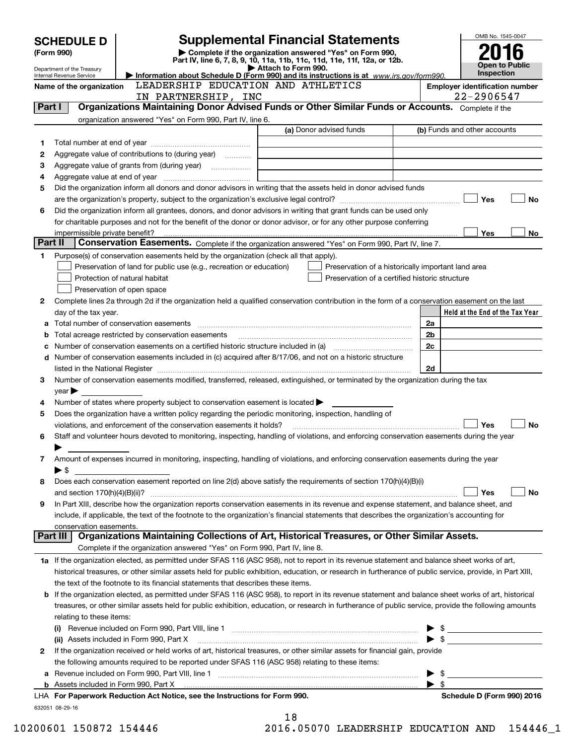|         | <b>SCHEDULE D</b>                                      |                                                                                                        | <b>Supplemental Financial Statements</b>                                                                                                                                                                                      |                          | OMB No. 1545-0047                                                                                                                                                                                                                                                                                                   |
|---------|--------------------------------------------------------|--------------------------------------------------------------------------------------------------------|-------------------------------------------------------------------------------------------------------------------------------------------------------------------------------------------------------------------------------|--------------------------|---------------------------------------------------------------------------------------------------------------------------------------------------------------------------------------------------------------------------------------------------------------------------------------------------------------------|
|         | (Form 990)                                             |                                                                                                        | Complete if the organization answered "Yes" on Form 990,                                                                                                                                                                      |                          |                                                                                                                                                                                                                                                                                                                     |
|         |                                                        |                                                                                                        | Part IV, line 6, 7, 8, 9, 10, 11a, 11b, 11c, 11d, 11e, 11f, 12a, or 12b.<br>Attach to Form 990.                                                                                                                               |                          | Open to Public                                                                                                                                                                                                                                                                                                      |
|         | Department of the Treasury<br>Internal Revenue Service |                                                                                                        | Information about Schedule D (Form 990) and its instructions is at $www.irs.gov/form990$ .                                                                                                                                    |                          | <b>Inspection</b>                                                                                                                                                                                                                                                                                                   |
|         | Name of the organization                               | LEADERSHIP EDUCATION AND ATHLETICS                                                                     |                                                                                                                                                                                                                               |                          | <b>Employer identification number</b>                                                                                                                                                                                                                                                                               |
|         |                                                        | IN PARTNERSHIP, INC                                                                                    |                                                                                                                                                                                                                               |                          | 22-2906547                                                                                                                                                                                                                                                                                                          |
| Part I  |                                                        |                                                                                                        | Organizations Maintaining Donor Advised Funds or Other Similar Funds or Accounts. Complete if the                                                                                                                             |                          |                                                                                                                                                                                                                                                                                                                     |
|         |                                                        | organization answered "Yes" on Form 990, Part IV, line 6.                                              | (a) Donor advised funds                                                                                                                                                                                                       |                          | (b) Funds and other accounts                                                                                                                                                                                                                                                                                        |
|         |                                                        |                                                                                                        |                                                                                                                                                                                                                               |                          |                                                                                                                                                                                                                                                                                                                     |
| 1       |                                                        |                                                                                                        |                                                                                                                                                                                                                               |                          |                                                                                                                                                                                                                                                                                                                     |
| 2<br>3  |                                                        | Aggregate value of contributions to (during year)                                                      |                                                                                                                                                                                                                               |                          |                                                                                                                                                                                                                                                                                                                     |
| 4       |                                                        |                                                                                                        |                                                                                                                                                                                                                               |                          |                                                                                                                                                                                                                                                                                                                     |
| 5       |                                                        |                                                                                                        | Did the organization inform all donors and donor advisors in writing that the assets held in donor advised funds                                                                                                              |                          |                                                                                                                                                                                                                                                                                                                     |
|         |                                                        |                                                                                                        |                                                                                                                                                                                                                               |                          | Yes<br><b>No</b>                                                                                                                                                                                                                                                                                                    |
| 6       |                                                        |                                                                                                        | Did the organization inform all grantees, donors, and donor advisors in writing that grant funds can be used only                                                                                                             |                          |                                                                                                                                                                                                                                                                                                                     |
|         |                                                        |                                                                                                        | for charitable purposes and not for the benefit of the donor or donor advisor, or for any other purpose conferring                                                                                                            |                          |                                                                                                                                                                                                                                                                                                                     |
|         |                                                        |                                                                                                        |                                                                                                                                                                                                                               |                          | Yes<br>No                                                                                                                                                                                                                                                                                                           |
| Part II |                                                        |                                                                                                        | Conservation Easements. Complete if the organization answered "Yes" on Form 990, Part IV, line 7.                                                                                                                             |                          |                                                                                                                                                                                                                                                                                                                     |
| 1       |                                                        | Purpose(s) of conservation easements held by the organization (check all that apply).                  |                                                                                                                                                                                                                               |                          |                                                                                                                                                                                                                                                                                                                     |
|         |                                                        | Preservation of land for public use (e.g., recreation or education)                                    | Preservation of a historically important land area                                                                                                                                                                            |                          |                                                                                                                                                                                                                                                                                                                     |
|         |                                                        | Protection of natural habitat                                                                          | Preservation of a certified historic structure                                                                                                                                                                                |                          |                                                                                                                                                                                                                                                                                                                     |
|         |                                                        | Preservation of open space                                                                             |                                                                                                                                                                                                                               |                          |                                                                                                                                                                                                                                                                                                                     |
| 2       |                                                        |                                                                                                        | Complete lines 2a through 2d if the organization held a qualified conservation contribution in the form of a conservation easement on the last                                                                                |                          |                                                                                                                                                                                                                                                                                                                     |
|         | day of the tax year.                                   |                                                                                                        |                                                                                                                                                                                                                               |                          | Held at the End of the Tax Year                                                                                                                                                                                                                                                                                     |
| а       |                                                        |                                                                                                        |                                                                                                                                                                                                                               | 2a                       |                                                                                                                                                                                                                                                                                                                     |
| b       |                                                        |                                                                                                        | Total acreage restricted by conservation easements [11] matter continuum matter account to the action of the stricted by conservation easements [11] matter continuum matter action of the stricted by conservation easements | 2b                       |                                                                                                                                                                                                                                                                                                                     |
| с       |                                                        |                                                                                                        |                                                                                                                                                                                                                               | 2c                       |                                                                                                                                                                                                                                                                                                                     |
| d       |                                                        |                                                                                                        | Number of conservation easements included in (c) acquired after 8/17/06, and not on a historic structure                                                                                                                      |                          |                                                                                                                                                                                                                                                                                                                     |
|         |                                                        |                                                                                                        |                                                                                                                                                                                                                               | 2d                       |                                                                                                                                                                                                                                                                                                                     |
| 3       |                                                        |                                                                                                        | Number of conservation easements modified, transferred, released, extinguished, or terminated by the organization during the tax                                                                                              |                          |                                                                                                                                                                                                                                                                                                                     |
|         | $year \blacktriangleright$                             |                                                                                                        |                                                                                                                                                                                                                               |                          |                                                                                                                                                                                                                                                                                                                     |
| 4       |                                                        | Number of states where property subject to conservation easement is located $\blacktriangleright$      |                                                                                                                                                                                                                               |                          |                                                                                                                                                                                                                                                                                                                     |
| 5       |                                                        | Does the organization have a written policy regarding the periodic monitoring, inspection, handling of |                                                                                                                                                                                                                               |                          |                                                                                                                                                                                                                                                                                                                     |
|         |                                                        | violations, and enforcement of the conservation easements it holds?                                    |                                                                                                                                                                                                                               |                          | <b>No</b><br>Yes                                                                                                                                                                                                                                                                                                    |
| 6       |                                                        |                                                                                                        | Staff and volunteer hours devoted to monitoring, inspecting, handling of violations, and enforcing conservation easements during the year                                                                                     |                          |                                                                                                                                                                                                                                                                                                                     |
| 7       | ▶                                                      |                                                                                                        | Amount of expenses incurred in monitoring, inspecting, handling of violations, and enforcing conservation easements during the year                                                                                           |                          |                                                                                                                                                                                                                                                                                                                     |
|         | $\blacktriangleright$ \$                               |                                                                                                        |                                                                                                                                                                                                                               |                          |                                                                                                                                                                                                                                                                                                                     |
| 8       |                                                        |                                                                                                        | Does each conservation easement reported on line 2(d) above satisfy the requirements of section 170(h)(4)(B)(i)                                                                                                               |                          |                                                                                                                                                                                                                                                                                                                     |
|         |                                                        |                                                                                                        |                                                                                                                                                                                                                               |                          | No<br>Yes                                                                                                                                                                                                                                                                                                           |
| 9       |                                                        |                                                                                                        | In Part XIII, describe how the organization reports conservation easements in its revenue and expense statement, and balance sheet, and                                                                                       |                          |                                                                                                                                                                                                                                                                                                                     |
|         |                                                        |                                                                                                        | include, if applicable, the text of the footnote to the organization's financial statements that describes the organization's accounting for                                                                                  |                          |                                                                                                                                                                                                                                                                                                                     |
|         | conservation easements.                                |                                                                                                        |                                                                                                                                                                                                                               |                          |                                                                                                                                                                                                                                                                                                                     |
|         | Part III l                                             |                                                                                                        | Organizations Maintaining Collections of Art, Historical Treasures, or Other Similar Assets.                                                                                                                                  |                          |                                                                                                                                                                                                                                                                                                                     |
|         |                                                        | Complete if the organization answered "Yes" on Form 990, Part IV, line 8.                              |                                                                                                                                                                                                                               |                          |                                                                                                                                                                                                                                                                                                                     |
|         |                                                        |                                                                                                        | 1a If the organization elected, as permitted under SFAS 116 (ASC 958), not to report in its revenue statement and balance sheet works of art,                                                                                 |                          |                                                                                                                                                                                                                                                                                                                     |
|         |                                                        |                                                                                                        | historical treasures, or other similar assets held for public exhibition, education, or research in furtherance of public service, provide, in Part XIII,                                                                     |                          |                                                                                                                                                                                                                                                                                                                     |
|         |                                                        | the text of the footnote to its financial statements that describes these items.                       |                                                                                                                                                                                                                               |                          |                                                                                                                                                                                                                                                                                                                     |
| b       |                                                        |                                                                                                        | If the organization elected, as permitted under SFAS 116 (ASC 958), to report in its revenue statement and balance sheet works of art, historical                                                                             |                          |                                                                                                                                                                                                                                                                                                                     |
|         |                                                        |                                                                                                        | treasures, or other similar assets held for public exhibition, education, or research in furtherance of public service, provide the following amounts                                                                         |                          |                                                                                                                                                                                                                                                                                                                     |
|         | relating to these items:                               |                                                                                                        |                                                                                                                                                                                                                               |                          |                                                                                                                                                                                                                                                                                                                     |
|         |                                                        |                                                                                                        |                                                                                                                                                                                                                               |                          | $\frac{1}{2}$ $\frac{1}{2}$ $\frac{1}{2}$ $\frac{1}{2}$ $\frac{1}{2}$ $\frac{1}{2}$ $\frac{1}{2}$ $\frac{1}{2}$ $\frac{1}{2}$ $\frac{1}{2}$ $\frac{1}{2}$ $\frac{1}{2}$ $\frac{1}{2}$ $\frac{1}{2}$ $\frac{1}{2}$ $\frac{1}{2}$ $\frac{1}{2}$ $\frac{1}{2}$ $\frac{1}{2}$ $\frac{1}{2}$ $\frac{1}{2}$ $\frac{1}{2}$ |
|         |                                                        | (ii) Assets included in Form 990, Part X                                                               |                                                                                                                                                                                                                               | $\blacktriangleright$ \$ |                                                                                                                                                                                                                                                                                                                     |
| 2       |                                                        |                                                                                                        | If the organization received or held works of art, historical treasures, or other similar assets for financial gain, provide                                                                                                  |                          |                                                                                                                                                                                                                                                                                                                     |
|         |                                                        | the following amounts required to be reported under SFAS 116 (ASC 958) relating to these items:        |                                                                                                                                                                                                                               |                          |                                                                                                                                                                                                                                                                                                                     |
| а       |                                                        |                                                                                                        |                                                                                                                                                                                                                               | - \$                     |                                                                                                                                                                                                                                                                                                                     |
|         |                                                        |                                                                                                        |                                                                                                                                                                                                                               | -\$                      |                                                                                                                                                                                                                                                                                                                     |
|         |                                                        | LHA For Paperwork Reduction Act Notice, see the Instructions for Form 990.                             |                                                                                                                                                                                                                               |                          | Schedule D (Form 990) 2016                                                                                                                                                                                                                                                                                          |
|         | 632051 08-29-16                                        |                                                                                                        | 18                                                                                                                                                                                                                            |                          |                                                                                                                                                                                                                                                                                                                     |
|         |                                                        |                                                                                                        |                                                                                                                                                                                                                               |                          |                                                                                                                                                                                                                                                                                                                     |

| 10200601 150872 154446 |  |  |
|------------------------|--|--|
|------------------------|--|--|

| ᅩᇰ |  |  |  |                  |  |
|----|--|--|--|------------------|--|
|    |  |  |  | בסססתמפו ומכות ה |  |

10200601 150872 154446 2016.05070 LEADERSHIP EDUCATION AND 154446\_1 10200601 150872 154446 2016.05070 LEADERSHIP EDUCATION AND 154446\_1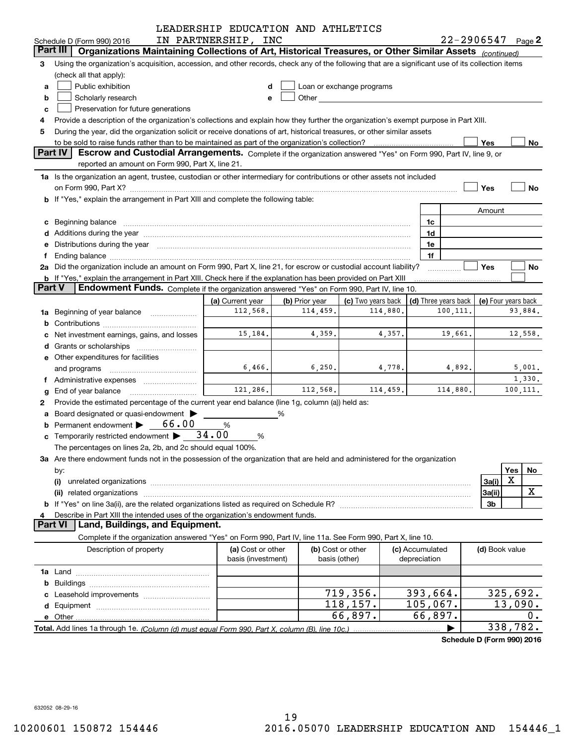|               |                                                                                                                                                                                                                                      | LEADERSHIP EDUCATION AND ATHLETICS |                |                                                                                                                                                                                                                               |  |                  |                      |                            |           |    |
|---------------|--------------------------------------------------------------------------------------------------------------------------------------------------------------------------------------------------------------------------------------|------------------------------------|----------------|-------------------------------------------------------------------------------------------------------------------------------------------------------------------------------------------------------------------------------|--|------------------|----------------------|----------------------------|-----------|----|
|               | Schedule D (Form 990) 2016                                                                                                                                                                                                           | IN PARTNERSHIP, INC                |                |                                                                                                                                                                                                                               |  |                  |                      | $22 - 2906547$ Page 2      |           |    |
|               | Organizations Maintaining Collections of Art, Historical Treasures, or Other Similar Assets (continued)<br>Part III                                                                                                                  |                                    |                |                                                                                                                                                                                                                               |  |                  |                      |                            |           |    |
| З             | Using the organization's acquisition, accession, and other records, check any of the following that are a significant use of its collection items                                                                                    |                                    |                |                                                                                                                                                                                                                               |  |                  |                      |                            |           |    |
|               | (check all that apply):                                                                                                                                                                                                              |                                    |                |                                                                                                                                                                                                                               |  |                  |                      |                            |           |    |
| a             | Public exhibition<br>Loan or exchange programs<br>d                                                                                                                                                                                  |                                    |                |                                                                                                                                                                                                                               |  |                  |                      |                            |           |    |
| b             | Scholarly research                                                                                                                                                                                                                   | е                                  |                | Other and the contract of the contract of the contract of the contract of the contract of the contract of the contract of the contract of the contract of the contract of the contract of the contract of the contract of the |  |                  |                      |                            |           |    |
| c             | Preservation for future generations                                                                                                                                                                                                  |                                    |                |                                                                                                                                                                                                                               |  |                  |                      |                            |           |    |
| 4             | Provide a description of the organization's collections and explain how they further the organization's exempt purpose in Part XIII.                                                                                                 |                                    |                |                                                                                                                                                                                                                               |  |                  |                      |                            |           |    |
| 5             | During the year, did the organization solicit or receive donations of art, historical treasures, or other similar assets                                                                                                             |                                    |                |                                                                                                                                                                                                                               |  |                  |                      |                            |           |    |
|               |                                                                                                                                                                                                                                      |                                    |                |                                                                                                                                                                                                                               |  |                  |                      | Yes                        |           | No |
|               | Part IV<br>Escrow and Custodial Arrangements. Complete if the organization answered "Yes" on Form 990, Part IV, line 9, or                                                                                                           |                                    |                |                                                                                                                                                                                                                               |  |                  |                      |                            |           |    |
|               | reported an amount on Form 990, Part X, line 21.                                                                                                                                                                                     |                                    |                |                                                                                                                                                                                                                               |  |                  |                      |                            |           |    |
|               | 1a Is the organization an agent, trustee, custodian or other intermediary for contributions or other assets not included                                                                                                             |                                    |                |                                                                                                                                                                                                                               |  |                  |                      |                            |           |    |
|               |                                                                                                                                                                                                                                      |                                    |                |                                                                                                                                                                                                                               |  |                  |                      | Yes                        | No        |    |
|               | b If "Yes," explain the arrangement in Part XIII and complete the following table:                                                                                                                                                   |                                    |                |                                                                                                                                                                                                                               |  |                  |                      |                            |           |    |
|               |                                                                                                                                                                                                                                      |                                    |                |                                                                                                                                                                                                                               |  |                  |                      | Amount                     |           |    |
| с             | Beginning balance <b>contract the contract of the contract of the contract of the contract of the contract of the contract of the contract of the contract of the contract of the contract of the contract of the contract of th</b> |                                    |                |                                                                                                                                                                                                                               |  | 1c               |                      |                            |           |    |
| d             | Additions during the year manufactured and an account of the year manufactured and account of the year manufactured and account of the year manufactured and account of the year manufactured and account of the year and acco       |                                    |                |                                                                                                                                                                                                                               |  | 1d               |                      |                            |           |    |
| е             | Distributions during the year manufactured and an intervention of the year manufactured and the year manufactured and the year manufactured and the year manufactured and the year manufactured and the year manufactured and        |                                    |                |                                                                                                                                                                                                                               |  | 1e               |                      |                            |           |    |
| f             |                                                                                                                                                                                                                                      |                                    |                |                                                                                                                                                                                                                               |  | 1f               |                      |                            |           |    |
|               | 2a Did the organization include an amount on Form 990, Part X, line 21, for escrow or custodial account liability?                                                                                                                   |                                    |                |                                                                                                                                                                                                                               |  |                  |                      | <b>Yes</b>                 | No        |    |
| <b>Part V</b> | <b>b</b> If "Yes," explain the arrangement in Part XIII. Check here if the explanation has been provided on Part XIII                                                                                                                |                                    |                |                                                                                                                                                                                                                               |  |                  |                      |                            |           |    |
|               | Endowment Funds. Complete if the organization answered "Yes" on Form 990, Part IV, line 10.                                                                                                                                          |                                    |                |                                                                                                                                                                                                                               |  |                  |                      |                            |           |    |
|               |                                                                                                                                                                                                                                      | (a) Current year                   | (b) Prior year | (c) Two years back                                                                                                                                                                                                            |  |                  | (d) Three years back | (e) Four years back        |           |    |
| 1a            | Beginning of year balance <i>mused in the sea</i> m and the search of the search of the search of the search of the search of the search of the search of the search of the search of the search of the search of the search of the  | 112,568.                           | 114,459.       | 114,880.                                                                                                                                                                                                                      |  |                  | 100,111.             |                            | 93,884.   |    |
| b             |                                                                                                                                                                                                                                      | 12,558.                            |                |                                                                                                                                                                                                                               |  |                  |                      |                            |           |    |
|               | Net investment earnings, gains, and losses                                                                                                                                                                                           | 15,184.                            | 4,359.         | 4,357.                                                                                                                                                                                                                        |  | 19,661.          |                      |                            |           |    |
| d             |                                                                                                                                                                                                                                      |                                    |                |                                                                                                                                                                                                                               |  |                  |                      |                            |           |    |
|               | e Other expenditures for facilities                                                                                                                                                                                                  |                                    |                |                                                                                                                                                                                                                               |  |                  |                      |                            |           |    |
|               | and programs                                                                                                                                                                                                                         | 6,466.                             | 6, 250.        | 4,778.                                                                                                                                                                                                                        |  | 4,892.<br>5,001. |                      |                            |           |    |
|               | f Administrative expenses <i></i>                                                                                                                                                                                                    |                                    |                |                                                                                                                                                                                                                               |  |                  |                      |                            | 1,330.    |    |
| g             | End of year balance                                                                                                                                                                                                                  | 121,286.                           | 112,568.       | 114,459.                                                                                                                                                                                                                      |  |                  | 114,880.             |                            | 100, 111. |    |
| 2             | Provide the estimated percentage of the current year end balance (line 1g, column (a)) held as:                                                                                                                                      |                                    |                |                                                                                                                                                                                                                               |  |                  |                      |                            |           |    |
| а             | Board designated or quasi-endowment                                                                                                                                                                                                  |                                    |                |                                                                                                                                                                                                                               |  |                  |                      |                            |           |    |
|               | Permanent endowment > 66.00                                                                                                                                                                                                          | %                                  |                |                                                                                                                                                                                                                               |  |                  |                      |                            |           |    |
|               | <b>c</b> Temporarily restricted endowment $\blacktriangleright$ 34.00                                                                                                                                                                | %                                  |                |                                                                                                                                                                                                                               |  |                  |                      |                            |           |    |
|               | The percentages on lines 2a, 2b, and 2c should equal 100%.                                                                                                                                                                           |                                    |                |                                                                                                                                                                                                                               |  |                  |                      |                            |           |    |
|               | 3a Are there endowment funds not in the possession of the organization that are held and administered for the organization                                                                                                           |                                    |                |                                                                                                                                                                                                                               |  |                  |                      |                            |           |    |
|               | by:                                                                                                                                                                                                                                  |                                    |                |                                                                                                                                                                                                                               |  |                  |                      |                            | Yes<br>No |    |
|               | (i)                                                                                                                                                                                                                                  |                                    |                |                                                                                                                                                                                                                               |  |                  |                      | 3a(i)                      | X         |    |
|               | related organizations<br>(ii)                                                                                                                                                                                                        |                                    |                |                                                                                                                                                                                                                               |  |                  |                      | 3a(ii)                     | X         |    |
| b             |                                                                                                                                                                                                                                      |                                    |                |                                                                                                                                                                                                                               |  |                  |                      | 3b                         |           |    |
|               | Describe in Part XIII the intended uses of the organization's endowment funds.<br><b>Part VI</b>                                                                                                                                     |                                    |                |                                                                                                                                                                                                                               |  |                  |                      |                            |           |    |
|               | Land, Buildings, and Equipment.                                                                                                                                                                                                      |                                    |                |                                                                                                                                                                                                                               |  |                  |                      |                            |           |    |
|               | Complete if the organization answered "Yes" on Form 990, Part IV, line 11a. See Form 990, Part X, line 10.                                                                                                                           |                                    |                |                                                                                                                                                                                                                               |  |                  |                      |                            |           |    |
|               | Description of property                                                                                                                                                                                                              | (a) Cost or other                  |                | (b) Cost or other                                                                                                                                                                                                             |  | (c) Accumulated  |                      | (d) Book value             |           |    |
|               |                                                                                                                                                                                                                                      | basis (investment)                 |                | basis (other)                                                                                                                                                                                                                 |  | depreciation     |                      |                            |           |    |
|               |                                                                                                                                                                                                                                      |                                    |                |                                                                                                                                                                                                                               |  |                  |                      |                            |           |    |
| b             |                                                                                                                                                                                                                                      |                                    |                |                                                                                                                                                                                                                               |  |                  |                      |                            |           |    |
|               |                                                                                                                                                                                                                                      |                                    |                | 719,356.                                                                                                                                                                                                                      |  | 393,664.         |                      |                            | 325,692.  |    |
| d             |                                                                                                                                                                                                                                      |                                    |                | 118,157.                                                                                                                                                                                                                      |  | 105,067.         |                      |                            | 13,090.   |    |
| е             |                                                                                                                                                                                                                                      |                                    |                | 66,897.                                                                                                                                                                                                                       |  | 66,897.          |                      |                            | $0$ .     |    |
|               | Total. Add lines 1a through 1e. (Column (d) must equal Form 990. Part X. column (B). line 10c.)                                                                                                                                      |                                    |                |                                                                                                                                                                                                                               |  |                  |                      |                            | 338, 782. |    |
|               |                                                                                                                                                                                                                                      |                                    |                |                                                                                                                                                                                                                               |  |                  |                      | Schedule D (Form 990) 2016 |           |    |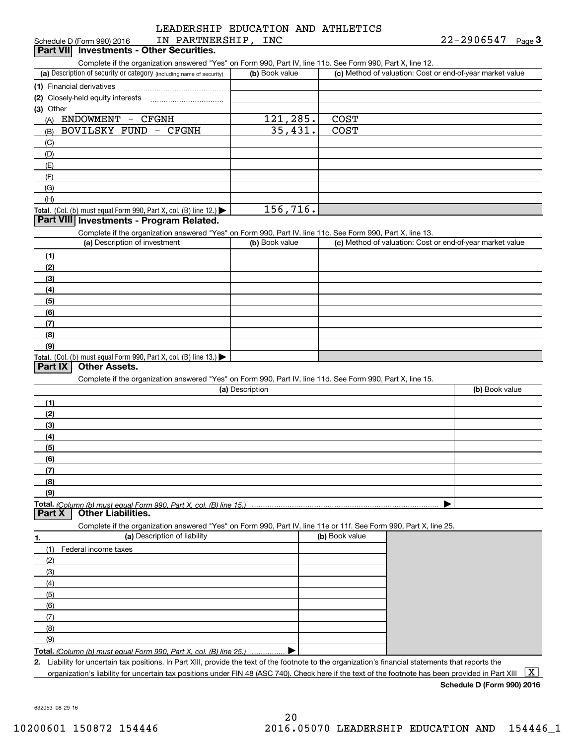#### LEADERSHIP EDUCATION AND ATHLETICS LEADERSHIP EDUCATION AND ATHLETICS ScheduleD(Form990)2016 IN PARTNERSHIP, INC 22-2906547 Page **3**  22-2906547 Schedule D (Form 990) 2016 IN PARTNERSHIP,INC 22-2906547 Page

| Schedule D (Form 990) 2016 | IN                                       | PARTNERSHIP | INC | -2906547<br>$22 -$ | نة Page |
|----------------------------|------------------------------------------|-------------|-----|--------------------|---------|
|                            | Part VII Investments - Other Securities. |             |     |                    |         |

Complete if the organization answered "Yes" on Form 990, Part IV, line 11b. See Form 990, Part X, line 12.

| (a) Description of security or category (including name of security)                          | (b) Book value | (c) Method of valuation: Cost or end-of-year market value |
|-----------------------------------------------------------------------------------------------|----------------|-----------------------------------------------------------|
| (1) Financial derivatives                                                                     |                |                                                           |
| (2) Closely-held equity interests                                                             |                |                                                           |
| $(3)$ Other                                                                                   |                |                                                           |
| ENDOWMENT<br><b>CFGNH</b><br>$\overline{\phantom{m}}$<br>(A)                                  | 121,285.       | <b>COST</b>                                               |
| BOVILSKY FUND<br>- CFGNH<br>(B)                                                               | 35,431.        | <b>COST</b>                                               |
| (C)                                                                                           |                |                                                           |
| (D)                                                                                           |                |                                                           |
| (E)                                                                                           |                |                                                           |
| (F)                                                                                           |                |                                                           |
| (G)                                                                                           |                |                                                           |
| (H)                                                                                           |                |                                                           |
| <b>Total.</b> (Col. (b) must equal Form 990, Part X, col. (B) line 12.) $\blacktriangleright$ | 156,716.       |                                                           |

## **Investments - Program Related. Part VIII Investments - Program Related.**

Complete if the organization answered "Yes" on Form 990, Part IV, line 11c. See Form 990, Part X, line 13.

| (a) Description of investment                                                          | (b) Book value | (c) Method of valuation: Cost or end-of-year market value |
|----------------------------------------------------------------------------------------|----------------|-----------------------------------------------------------|
| (1)                                                                                    |                |                                                           |
| (2)                                                                                    |                |                                                           |
| $\frac{1}{2}$                                                                          |                |                                                           |
| (4)                                                                                    |                |                                                           |
| $\frac{1}{2}$                                                                          |                |                                                           |
| (6)                                                                                    |                |                                                           |
| $\sqrt{(7)}$                                                                           |                |                                                           |
| (8)                                                                                    |                |                                                           |
| (9)                                                                                    |                |                                                           |
| Total. (Col. (b) must equal Form 990, Part X, col. (B) line 13.) $\blacktriangleright$ |                |                                                           |

#### **Part IX Other Assets.**

Complete if the organization answered "Yes" on Form 990, Part IV, line 11d. See Form 990, Part X, line 15.

| (a) Description | (b) Book value |
|-----------------|----------------|
| (1)             |                |
| (2)             |                |
| $\frac{1}{2}$   |                |
| (4)             |                |
| $\frac{1}{2}$   |                |
| (6)             |                |
| $\frac{1}{2}$   |                |
| (8)             |                |
| (9)             |                |
|                 |                |

#### **Part X Other Liabilities.**

Complete if the organization answered "Yes" on Form 990, Part IV, line 11e or 11f. See Form 990, Part X, line 25.

|     | (a) Description of liability                                       | (b) Book value |
|-----|--------------------------------------------------------------------|----------------|
| (1) | Federal income taxes                                               |                |
| (2) |                                                                    |                |
| (3) |                                                                    |                |
| (4) |                                                                    |                |
| (5) |                                                                    |                |
| (6) |                                                                    |                |
|     |                                                                    |                |
| (8) |                                                                    |                |
| (9) |                                                                    |                |
|     | Total. (Column (b) must equal Form 990. Part X, col. (B) line 25.) |                |

**Total.**  *(Column (b) must equal Form 990, Part X, col. (B) line 25.)*

2. Liability for uncertain tax positions. In Part XIII, provide the text of the footnote to the organization's financial statements that reports the organization's liability for uncertain tax positions under FIN 48 (ASC 740). Check here if the text of the footnote has been provided in Part XIII  $~\fbox{X}$ 

**Schedule D (Form 990) 2016 Schedule D (Form 990) 2016**

632053 08-29-16 632053 08-29-16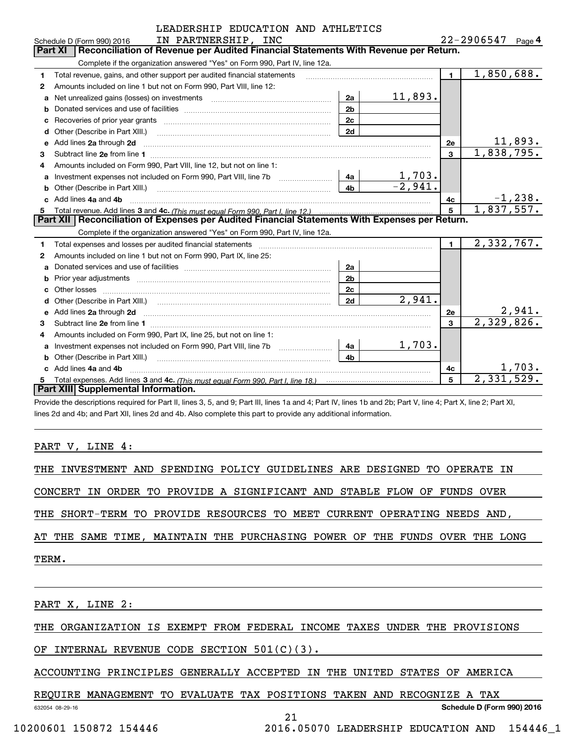|              | LEADERSHIP EDUCATION AND ATHLETICS                                                                                                                                                                                                 |                |                       |                |            |            |  |  |
|--------------|------------------------------------------------------------------------------------------------------------------------------------------------------------------------------------------------------------------------------------|----------------|-----------------------|----------------|------------|------------|--|--|
|              | IN PARTNERSHIP, INC<br>Schedule D (Form 990) 2016                                                                                                                                                                                  |                | $22 - 2906547$ Page 4 |                |            |            |  |  |
|              | Reconciliation of Revenue per Audited Financial Statements With Revenue per Return.<br><b>Part XI</b>                                                                                                                              |                |                       |                |            |            |  |  |
|              | Complete if the organization answered "Yes" on Form 990, Part IV, line 12a.                                                                                                                                                        |                |                       |                |            |            |  |  |
| 1            | Total revenue, gains, and other support per audited financial statements                                                                                                                                                           |                |                       | $\blacksquare$ | 1,850,688. |            |  |  |
| $\mathbf{2}$ | Amounts included on line 1 but not on Form 990, Part VIII, line 12:                                                                                                                                                                |                |                       |                |            |            |  |  |
| a            |                                                                                                                                                                                                                                    | 2a             | 11,893.               |                |            |            |  |  |
| b            |                                                                                                                                                                                                                                    | 2 <sub>b</sub> |                       |                |            |            |  |  |
| c            |                                                                                                                                                                                                                                    | 2c             |                       |                |            |            |  |  |
| d            | Other (Describe in Part XIII.)                                                                                                                                                                                                     | 2d             |                       |                |            |            |  |  |
| е            | Add lines 2a through 2d                                                                                                                                                                                                            |                |                       | 2e             |            | 11,893.    |  |  |
| 3            |                                                                                                                                                                                                                                    |                |                       | $\overline{3}$ | 1,838,795. |            |  |  |
| 4            | Amounts included on Form 990, Part VIII, line 12, but not on line 1:                                                                                                                                                               |                |                       |                |            |            |  |  |
| a            |                                                                                                                                                                                                                                    | 4a             | 1,703.                |                |            |            |  |  |
| b            | Other (Describe in Part XIII.) <b>Construction Contract Construction</b> Chemistry Chemistry Chemistry Chemistry Chemistry                                                                                                         | 4 <sub>h</sub> | $-2,941.$             |                |            |            |  |  |
|              | c Add lines 4a and 4b                                                                                                                                                                                                              |                |                       | 4c             |            | $-1, 238.$ |  |  |
| 5            |                                                                                                                                                                                                                                    |                |                       | 5              | 1,837,557. |            |  |  |
|              | Part XII   Reconciliation of Expenses per Audited Financial Statements With Expenses per Return.                                                                                                                                   |                |                       |                |            |            |  |  |
|              | Complete if the organization answered "Yes" on Form 990, Part IV, line 12a.                                                                                                                                                        |                |                       |                |            |            |  |  |
| 1            |                                                                                                                                                                                                                                    |                |                       | $\blacksquare$ | 2,332,767. |            |  |  |
| 2            | Amounts included on line 1 but not on Form 990, Part IX, line 25:                                                                                                                                                                  |                |                       |                |            |            |  |  |
| a            |                                                                                                                                                                                                                                    | 2a             |                       |                |            |            |  |  |
| b            |                                                                                                                                                                                                                                    | 2 <sub>b</sub> |                       |                |            |            |  |  |
| c.           |                                                                                                                                                                                                                                    | 2c             |                       |                |            |            |  |  |
| d            |                                                                                                                                                                                                                                    | 2d             | 2,941.                |                |            |            |  |  |
| е            | Add lines 2a through 2d <b>manufactures</b> and contained the state of the state of the state of the state of the state of the state of the state of the state of the state of the state of the state of the state of the state of |                |                       | <b>2e</b>      |            | 2,941.     |  |  |
| 3            |                                                                                                                                                                                                                                    |                |                       | 3              | 2,329,826. |            |  |  |
| 4            | Amounts included on Form 990, Part IX, line 25, but not on line 1:                                                                                                                                                                 |                |                       |                |            |            |  |  |
| a            |                                                                                                                                                                                                                                    | 4a             | 1,703.                |                |            |            |  |  |
| b            | Other (Describe in Part XIII.)                                                                                                                                                                                                     | 4 <sub>b</sub> |                       |                |            |            |  |  |
|              | c Add lines 4a and 4b                                                                                                                                                                                                              |                |                       | 4c             |            | 1,703.     |  |  |
| 5            |                                                                                                                                                                                                                                    |                |                       | 5              | 2,331,529. |            |  |  |
|              | Part XIII Supplemental Information.                                                                                                                                                                                                |                |                       |                |            |            |  |  |

-<br>Provide the descriptions required for Part II, lines 3, 5, and 9; Part III, lines 1a and 4; Part IV, lines 1b and 2b; Part V, line 4; Part X, line 2; Part XI, lines 2d and 4b; and Part XII, lines 2d and 4b. Also complete this part to provide any additional information.

PART V, LINE 4:

THE INVESTMENT AND SPENDING POLICY GUIDELINES ARE DESIGNED TO OPERATE IN THE INVESTMENT AND SPENDING POLICY GUIDELINES ARE DESIGNED TO OPERATE IN

CONCERT IN ORDER TO PROVIDE A SIGNIFICANT AND STABLE FLOW OF FUNDS OVER CONCERT IN ORDER TO PROVIDE A SIGNIFICANT AND STABLE FLOW OF FUNDS OVER

THE SHORT-TERM TO PROVIDE RESOURCES TO MEET CURRENT OPERATING NEEDS AND THE SHORT-TERM TO PROVIDE RESOURCES TO MEET CURRENT OPERATING NEEDS AND,

AT THE SAME TIME, MAINTAIN THE PURCHASING POWER OF THE FUNDS OVER THE LONG AT THE SAME TIME, MAINTAIN THE PURCHASING POWER OF THE FUNDS OVER THE LONG

TERM. TERM.

PART X, LINE 2:

THE ORGANIZATION IS EXEMPT FROM FEDERAL INCOME TAXES UNDER THE PROVISIONS THE ORGANIZATION IS EXEMPT FROM FEDERAL INCOME TAXES UNDER THE PROVISIONS

OF INTERNAL REVENUE CODE SECTION 501 (C) ( 3) . OF INTERNAL REVENUE CODE SECTION 501(C)(3).

ACCOUNTING PRINCIPLES GENERALLY ACCEPTED IN THE UNITED STATES OF AMERICA ACCOUNTING PRINCIPLES GENERALLY ACCEPTED IN THE UNITED STATES OF AMERICA

21 21

REQUIRE MANAGEMENT TO EVALUATE TAX POSITIONS TAKEN AND RECOGNIZE A TAX REQUIRE MANAGEMENT TO EVALUATE TAX POSITIONS TAKEN AND RECOGNIZE A TAX

632054 08-29-16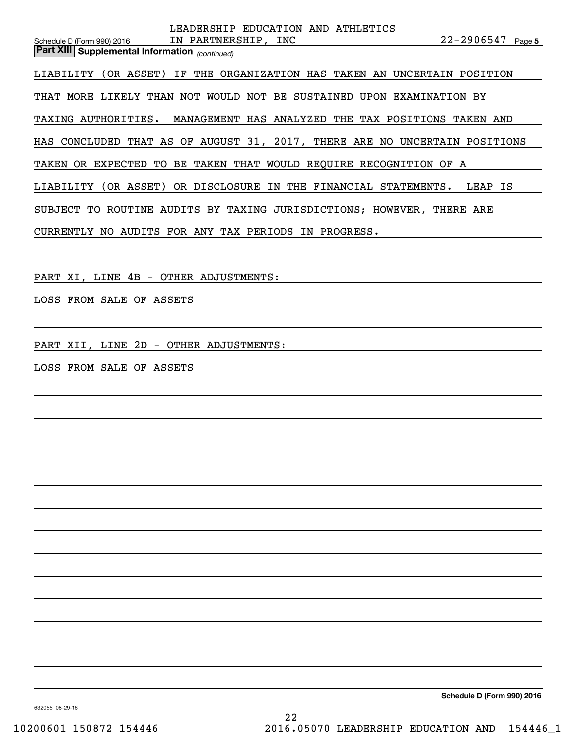| LEADERSHIP EDUCATION AND ATHLETICS<br>$22 - 2906547$ Page 5<br>IN PARTNERSHIP, INC<br>Schedule D (Form 990) 2016<br><b>Part XIII Supplemental Information</b> (continued) |
|---------------------------------------------------------------------------------------------------------------------------------------------------------------------------|
| LIABILITY (OR ASSET) IF THE ORGANIZATION HAS TAKEN AN UNCERTAIN POSITION                                                                                                  |
| THAT MORE LIKELY THAN NOT WOULD NOT BE SUSTAINED UPON EXAMINATION BY                                                                                                      |
| MANAGEMENT HAS ANALYZED THE TAX POSITIONS TAKEN AND<br>TAXING AUTHORITIES.                                                                                                |
| HAS CONCLUDED THAT AS OF AUGUST 31, 2017, THERE ARE NO UNCERTAIN POSITIONS                                                                                                |
| TAKEN OR EXPECTED TO BE TAKEN THAT WOULD REQUIRE RECOGNITION OF A                                                                                                         |
| LIABILITY (OR ASSET) OR DISCLOSURE IN THE FINANCIAL STATEMENTS. LEAP IS                                                                                                   |
| SUBJECT TO ROUTINE AUDITS BY TAXING JURISDICTIONS; HOWEVER, THERE ARE                                                                                                     |
| CURRENTLY NO AUDITS FOR ANY TAX PERIODS IN PROGRESS.                                                                                                                      |
|                                                                                                                                                                           |
| PART XI, LINE 4B - OTHER ADJUSTMENTS:                                                                                                                                     |
| LOSS FROM SALE OF ASSETS                                                                                                                                                  |
|                                                                                                                                                                           |
| PART XII, LINE 2D - OTHER ADJUSTMENTS:                                                                                                                                    |
| LOSS FROM SALE OF ASSETS                                                                                                                                                  |
|                                                                                                                                                                           |
|                                                                                                                                                                           |
|                                                                                                                                                                           |
|                                                                                                                                                                           |
|                                                                                                                                                                           |
|                                                                                                                                                                           |
|                                                                                                                                                                           |
|                                                                                                                                                                           |
|                                                                                                                                                                           |

**Schedule D (Form 990) <sup>2016</sup> Schedule D (Form 990) 2016**

632055 08-29-16 632055 08-29-16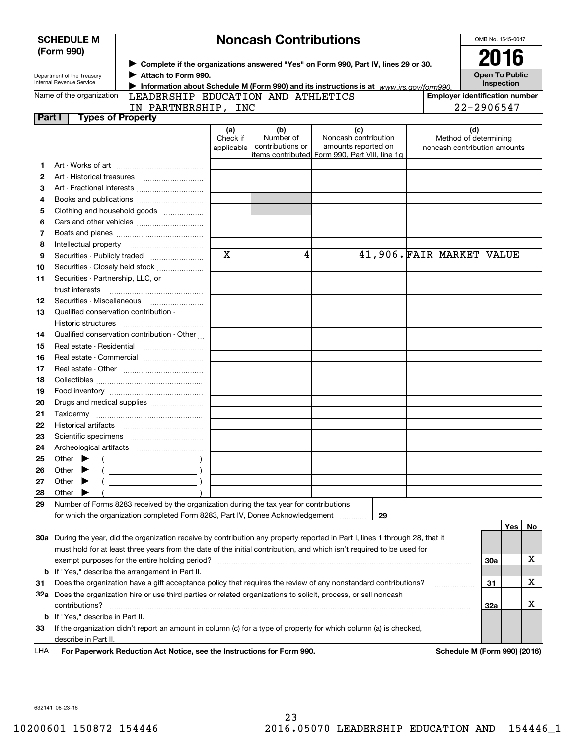|        | <b>SCHEDULE M</b>                 |                                                                                                                   | <b>Noncash Contributions</b> |                  | OMB No. 1545-0047                                                                                                              |                           |                                       |     |    |
|--------|-----------------------------------|-------------------------------------------------------------------------------------------------------------------|------------------------------|------------------|--------------------------------------------------------------------------------------------------------------------------------|---------------------------|---------------------------------------|-----|----|
|        | (Form 990)                        |                                                                                                                   |                              |                  |                                                                                                                                |                           |                                       |     |    |
|        |                                   | ▶ Complete if the organizations answered "Yes" on Form 990, Part IV, lines 29 or 30.                              |                              |                  | 2016                                                                                                                           |                           |                                       |     |    |
|        | Department of the Treasury        | Attach to Form 990.                                                                                               |                              |                  |                                                                                                                                |                           | <b>Open To Public</b>                 |     |    |
|        | Internal Revenue Service          |                                                                                                                   |                              |                  | Information about Schedule M (Form 990) and its instructions is at www.irs.gov/form990.                                        |                           | Inspection                            |     |    |
|        | Name of the organization          | LEADERSHIP EDUCATION AND ATHLETICS                                                                                |                              |                  |                                                                                                                                |                           | <b>Employer identification number</b> |     |    |
|        |                                   | IN PARTNERSHIP, INC                                                                                               |                              |                  |                                                                                                                                |                           | 22-2906547                            |     |    |
| Part I |                                   | <b>Types of Property</b>                                                                                          |                              |                  |                                                                                                                                |                           |                                       |     |    |
|        |                                   |                                                                                                                   | (a)                          | (b)              | (c)                                                                                                                            |                           | (d)                                   |     |    |
|        |                                   |                                                                                                                   | Check if                     | Number of        | Noncash contribution                                                                                                           |                           | Method of determining                 |     |    |
|        |                                   |                                                                                                                   | applicable                   | contributions or | amounts reported on<br>litems contributed  Form 990. Part VIII. line 1q                                                        |                           | noncash contribution amounts          |     |    |
| 1      |                                   |                                                                                                                   |                              |                  |                                                                                                                                |                           |                                       |     |    |
| 2      |                                   |                                                                                                                   |                              |                  |                                                                                                                                |                           |                                       |     |    |
| з      |                                   | Art - Fractional interests                                                                                        |                              |                  |                                                                                                                                |                           |                                       |     |    |
| 4      |                                   |                                                                                                                   |                              |                  |                                                                                                                                |                           |                                       |     |    |
| 5      |                                   | Clothing and household goods                                                                                      |                              |                  |                                                                                                                                |                           |                                       |     |    |
| 6      |                                   |                                                                                                                   |                              |                  |                                                                                                                                |                           |                                       |     |    |
|        |                                   |                                                                                                                   |                              |                  |                                                                                                                                |                           |                                       |     |    |
| 7      |                                   |                                                                                                                   |                              |                  |                                                                                                                                |                           |                                       |     |    |
| 8      |                                   |                                                                                                                   | X                            | 4                |                                                                                                                                | 41,906. FAIR MARKET VALUE |                                       |     |    |
| 9      |                                   | Securities - Publicly traded                                                                                      |                              |                  |                                                                                                                                |                           |                                       |     |    |
| 10     |                                   | Securities - Closely held stock                                                                                   |                              |                  |                                                                                                                                |                           |                                       |     |    |
| 11     | Securities - Partnership, LLC, or |                                                                                                                   |                              |                  |                                                                                                                                |                           |                                       |     |    |
|        | trust interests                   |                                                                                                                   |                              |                  |                                                                                                                                |                           |                                       |     |    |
| 12     |                                   |                                                                                                                   |                              |                  |                                                                                                                                |                           |                                       |     |    |
| 13     |                                   | Qualified conservation contribution -                                                                             |                              |                  |                                                                                                                                |                           |                                       |     |    |
|        | Historic structures               |                                                                                                                   |                              |                  |                                                                                                                                |                           |                                       |     |    |
| 14     |                                   | Qualified conservation contribution - Other                                                                       |                              |                  |                                                                                                                                |                           |                                       |     |    |
| 15     |                                   |                                                                                                                   |                              |                  |                                                                                                                                |                           |                                       |     |    |
| 16     |                                   | Real estate - Commercial                                                                                          |                              |                  |                                                                                                                                |                           |                                       |     |    |
| 17     |                                   |                                                                                                                   |                              |                  |                                                                                                                                |                           |                                       |     |    |
| 18     |                                   |                                                                                                                   |                              |                  |                                                                                                                                |                           |                                       |     |    |
| 19     |                                   |                                                                                                                   |                              |                  |                                                                                                                                |                           |                                       |     |    |
| 20     |                                   | Drugs and medical supplies                                                                                        |                              |                  |                                                                                                                                |                           |                                       |     |    |
| 21     |                                   |                                                                                                                   |                              |                  |                                                                                                                                |                           |                                       |     |    |
| 22     |                                   |                                                                                                                   |                              |                  |                                                                                                                                |                           |                                       |     |    |
| 23     |                                   |                                                                                                                   |                              |                  |                                                                                                                                |                           |                                       |     |    |
| 24     |                                   |                                                                                                                   |                              |                  |                                                                                                                                |                           |                                       |     |    |
| 25     | Other                             |                                                                                                                   |                              |                  |                                                                                                                                |                           |                                       |     |    |
| 26     | Other                             |                                                                                                                   |                              |                  |                                                                                                                                |                           |                                       |     |    |
| 27     | Other                             |                                                                                                                   |                              |                  |                                                                                                                                |                           |                                       |     |    |
| 28     | Other                             |                                                                                                                   |                              |                  |                                                                                                                                |                           |                                       |     |    |
| 29     |                                   | Number of Forms 8283 received by the organization during the tax year for contributions                           |                              |                  |                                                                                                                                |                           |                                       |     |    |
|        |                                   | for which the organization completed Form 8283, Part IV, Donee Acknowledgement                                    |                              |                  | 29                                                                                                                             |                           |                                       |     |    |
|        |                                   |                                                                                                                   |                              |                  |                                                                                                                                |                           |                                       | Yes | No |
|        |                                   |                                                                                                                   |                              |                  | 30a During the year, did the organization receive by contribution any property reported in Part I, lines 1 through 28, that it |                           |                                       |     |    |
|        |                                   |                                                                                                                   |                              |                  | must hold for at least three years from the date of the initial contribution, and which isn't required to be used for          |                           |                                       |     |    |
|        |                                   | exempt purposes for the entire holding period?                                                                    |                              |                  |                                                                                                                                |                           | 30a                                   |     | x  |
|        |                                   | <b>b</b> If "Yes," describe the arrangement in Part II.                                                           |                              |                  |                                                                                                                                |                           |                                       |     |    |
| 31     |                                   |                                                                                                                   |                              |                  | Does the organization have a gift acceptance policy that requires the review of any nonstandard contributions?                 |                           | 31                                    |     | х  |
|        |                                   | 32a Does the organization hire or use third parties or related organizations to solicit, process, or sell noncash |                              |                  |                                                                                                                                |                           |                                       |     |    |
|        |                                   |                                                                                                                   |                              |                  |                                                                                                                                |                           |                                       |     | х  |
|        | contributions?                    |                                                                                                                   |                              |                  |                                                                                                                                |                           | 32a                                   |     |    |
|        | b If "Yes," describe in Part II.  |                                                                                                                   |                              |                  |                                                                                                                                |                           |                                       |     |    |
| 33     |                                   |                                                                                                                   |                              |                  | If the organization didn't report an amount in column (c) for a type of property for which column (a) is checked,              |                           |                                       |     |    |
|        | describe in Part II.              |                                                                                                                   |                              |                  |                                                                                                                                |                           |                                       |     |    |
| LHA    |                                   | For Paperwork Reduction Act Notice, see the Instructions for Form 990.                                            |                              |                  |                                                                                                                                |                           | Schedule M (Form 990) (2016)          |     |    |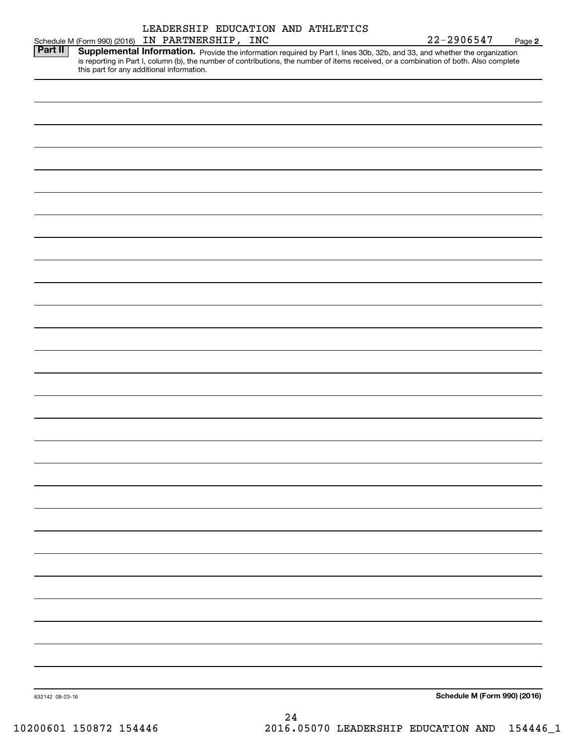|                 | Schedule M (Form 990) (2016) IN PARTNERSHIP, INC<br>Part II   Supplemental Information. Drovide the information                                                                                                                                                                  |  |    |  | $22 - 2906547$               | Page 2 |
|-----------------|----------------------------------------------------------------------------------------------------------------------------------------------------------------------------------------------------------------------------------------------------------------------------------|--|----|--|------------------------------|--------|
|                 | <b>Supplemental Information.</b> Provide the information required by Part I, lines 30b, 32b, and 33, and whether the organization is reporting in Part I, column (b), the number of contributions, the number of items received, or<br>this part for any additional information. |  |    |  |                              |        |
|                 |                                                                                                                                                                                                                                                                                  |  |    |  |                              |        |
|                 |                                                                                                                                                                                                                                                                                  |  |    |  |                              |        |
|                 |                                                                                                                                                                                                                                                                                  |  |    |  |                              |        |
|                 |                                                                                                                                                                                                                                                                                  |  |    |  |                              |        |
|                 |                                                                                                                                                                                                                                                                                  |  |    |  |                              |        |
|                 |                                                                                                                                                                                                                                                                                  |  |    |  |                              |        |
|                 |                                                                                                                                                                                                                                                                                  |  |    |  |                              |        |
|                 |                                                                                                                                                                                                                                                                                  |  |    |  |                              |        |
|                 |                                                                                                                                                                                                                                                                                  |  |    |  |                              |        |
|                 |                                                                                                                                                                                                                                                                                  |  |    |  |                              |        |
|                 |                                                                                                                                                                                                                                                                                  |  |    |  |                              |        |
|                 |                                                                                                                                                                                                                                                                                  |  |    |  |                              |        |
|                 |                                                                                                                                                                                                                                                                                  |  |    |  |                              |        |
|                 |                                                                                                                                                                                                                                                                                  |  |    |  |                              |        |
|                 |                                                                                                                                                                                                                                                                                  |  |    |  |                              |        |
|                 |                                                                                                                                                                                                                                                                                  |  |    |  |                              |        |
|                 |                                                                                                                                                                                                                                                                                  |  |    |  |                              |        |
|                 |                                                                                                                                                                                                                                                                                  |  |    |  |                              |        |
|                 |                                                                                                                                                                                                                                                                                  |  |    |  |                              |        |
|                 |                                                                                                                                                                                                                                                                                  |  |    |  |                              |        |
|                 |                                                                                                                                                                                                                                                                                  |  |    |  |                              |        |
|                 |                                                                                                                                                                                                                                                                                  |  |    |  |                              |        |
|                 |                                                                                                                                                                                                                                                                                  |  |    |  |                              |        |
|                 |                                                                                                                                                                                                                                                                                  |  |    |  |                              |        |
|                 |                                                                                                                                                                                                                                                                                  |  |    |  |                              |        |
|                 |                                                                                                                                                                                                                                                                                  |  |    |  |                              |        |
| 632142 08-23-16 |                                                                                                                                                                                                                                                                                  |  |    |  | Schedule M (Form 990) (2016) |        |
|                 |                                                                                                                                                                                                                                                                                  |  | 24 |  |                              |        |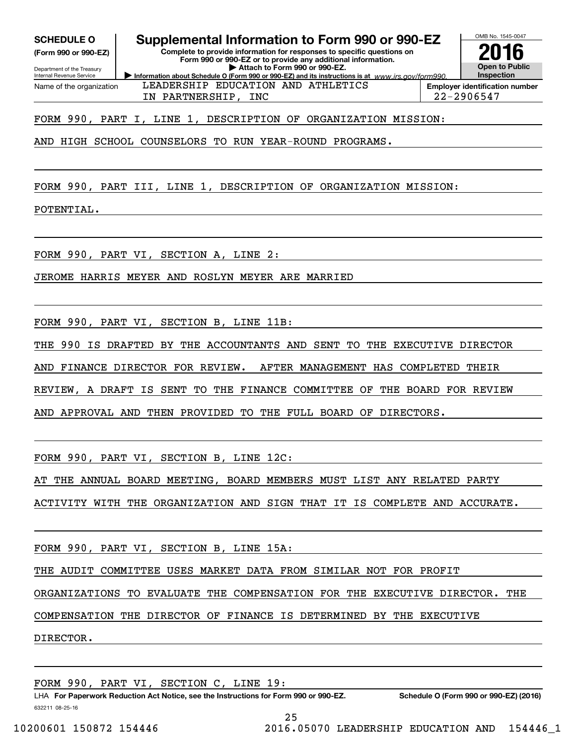**(Form 990 or 990-EZ)**

Department of the Treasury Internal Revenue Service Name of the organization

# **SCHEDULE O Supplemental Information to Form 990 or 990-EZ SCHEDULE O Supplemental Information to Form 990 or 990-EZ**

**(Form 990 or 990-EZ) Complete to provide information for responses to specific questions on Complete to provide information for responses to specific questions on Form 990 or 990-EZ or to provide any additional information. Form 990 or 990-EZ or to provide any additional information.** Department of the Treasury **and Construction Construction Construction b Attach to Form 990 or 990-EZ. Information about Schedule O (Form 990 or 990-EZ) and its instructions is at**  $www.irs.gov/form990.$ 



IN PARTNERSHIP, INC 22-2906547 IN PARTNERSHIP, INC 22-2906547

FORM 990, PART I, LINE 1, DESCRIPTION OF ORGANIZATION MISSION: FORM 990, PART I, LINE 1, DESCRIPTION OF ORGANIZATION MISSION:

AND HIGH SCHOOL COUNSELORS TO RUN YEAR-ROUND PROGRAMS. AND HIGH SCHOOL COUNSELORS TO RUN YEAR-ROUND PROGRAMS.

FORM 990, PART III, LINE 1, DESCRIPTION OF ORGANIZATION MISSION: FORM 990, PART III, LINE 1, DESCRIPTION OF ORGANIZATION MISSION:

POTENTIAL. POTENTIAL.

FORM 990, PART VI , SECTION A, LINE 2 : FORM 990, PART VI, SECTION A, LINE 2:

JEROME HARRIS MEYER AND ROSLYN MEYER ARE MARRIED JEROME HARRIS MEYER AND ROSLYN MEYER ARE MARRIED

FORM 990, PART VI , SECTION B, LINE 11B: FORM 990, PART VI, SECTION B, LINE 11B:

THE 990 IS DRAFTED BY THE ACCOUNTANTS AND SENT TO THE EXECUTIVE DIRECTOR THE 990 IS DRAFTED BY THE ACCOUNTANTS AND SENT TO THE EXECUTIVE DIRECTOR

AND FINANCE DIRECTOR FOR REVIEW. AFTER MANAGEMENT HAS COMPLETED THEIR AND FINANCE DIRECTOR FOR REVIEW. AFTER MANAGEMENT HAS COMPLETED THEIR

REVIEW, A DRAFT IS SENT TO THE FINANCE COMMITTEE OF THE BOARD FOR REVIEW REVIEW, A DRAFT IS SENT TO THE FINANCE COMMITTEE OF THE BOARD FOR REVIEW

AND APPROVAL AND THEN PROVIDED TO THE FULL BOARD OF DIRECTORS. AND APPROVAL AND THEN PROVIDED TO THE FULL BOARD OF DIRECTORS.

FORM 990, PART VI , SECTION B, LINE 12C: FORM 990, PART VI, SECTION B, LINE 12C:

AT THE ANNUAL BOARD MEETING, BOARD MEMBERS MUST LIST ANY RELATED PARTY AT THE ANNUAL BOARD MEETING, BOARD MEMBERS MUST LIST ANY RELATED PARTY

ACTIVITY WITH THE ORGANIZATION AND SIGN THAT IT IS COMPLETE AND ACCURATE. ACTIVITY WITH THE ORGANIZATION AND SIGN THAT IT IS COMPLETE AND ACCURATE.

FORM 990, PART VI , SECTION B, LINE 15A: FORM 990, PART VI, SECTION B, LINE 15A:

THE AUDIT COMMITTEE USES MARKET DATA FROM SIMILAR NOT FOR PROFIT THE AUDIT COMMITTEE USES MARKET DATA FROM SIMILAR NOT FOR PROFIT

ORGANIZATIONS TO EVALUATE THE COMPENSATION FOR THE EXECUTIVE DIRECTOR. THE ORGANIZATIONS TO EVALUATE THE COMPENSATION FOR THE EXECUTIVE DIRECTOR. THE

COMPENSATION THE DIRECTOR OF FINANCE IS DETERMINED BY THE EXECUTIVE COMPENSATION THE DIRECTOR OF FINANCE IS DETERMINED BY THE EXECUTIVE

DIRECTOR. DIRECTOR.

FORM 990, PART VI , SECTION C, LINE 19 : FORM 990, PART VI, SECTION C, LINE 19:

LHA For Paperwork Reduction Act Notice, see the Instructions for Form 990 or 990-EZ. Schedule O (Form 990 or 990-EZ) (2016) 632211 08-25-16 632211 08-25-16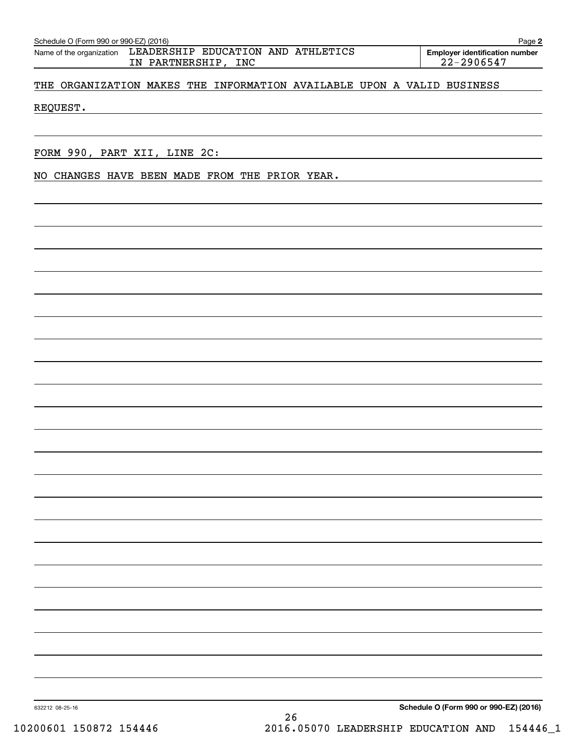| NO CHANGES HAVE BEEN MADE FROM THE PRIOR YEAR. |
|------------------------------------------------|
|                                                |
|                                                |
|                                                |
|                                                |
|                                                |
|                                                |
|                                                |
|                                                |
|                                                |
|                                                |
|                                                |
|                                                |
|                                                |
|                                                |
|                                                |
|                                                |
|                                                |
|                                                |
|                                                |
|                                                |
|                                                |
|                                                |
|                                                |
|                                                |
|                                                |
|                                                |
|                                                |
|                                                |
|                                                |
|                                                |
|                                                |

Schedule O (Form 990 or 990-EZ) (2016)

Name of the organization LEADERSHIP EDUCATION AND ATHLETICS **Employer identification number**  Schedule O (Form 990 or 990-EZ) (2016) Page Name of the organization LEADERSHIP EDUCATION AND ATHLETICS IN PARTNERSHIP, INC 22-29 0654 7 IN PARTNERSHIP, INC 22-2906547

**Employer identification number**